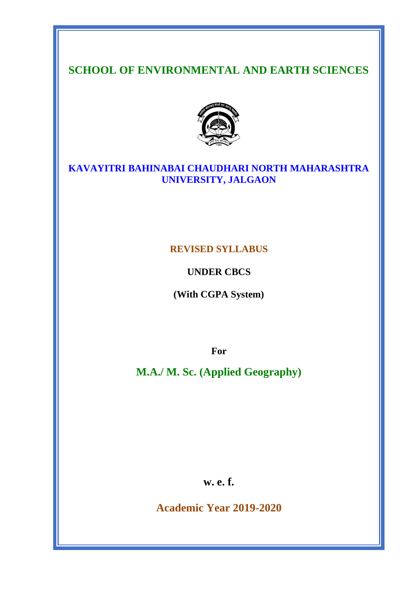# **SCHOOL OF ENVIRONMENTAL AND EARTH SCIENCES**



# **KAVAYITRI BAHINABAI CHAUDHARI NORTH MAHARASHTRA UNIVERSITY, JALGAON**

# **REVISED SYLLABUS**

**UNDER CBCS**

**(With CGPA System)**

**For**

**M.A./ M. Sc. (Applied Geography)**

**w. e. f.**

**Academic Year 2019-2020**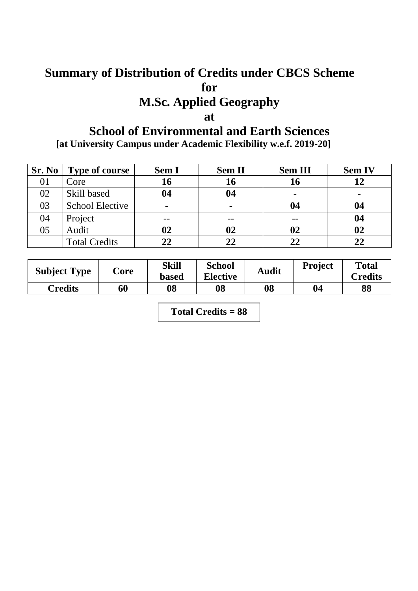# **Summary of Distribution of Credits under CBCS Scheme for**

# **M.Sc. Applied Geography**

# **at**

# **School of Environmental and Earth Sciences**

**[at University Campus under Academic Flexibility w.e.f. 2019-20]**

| Sr. No | <b>Type of course</b>  | <b>Sem I</b>   | <b>Sem II</b> | <b>Sem III</b> | <b>Sem IV</b> |
|--------|------------------------|----------------|---------------|----------------|---------------|
| 01     | Core                   | 16             | 16            |                | 12            |
| 02     | Skill based            | 04             | 04            | $\blacksquare$ |               |
| 03     | <b>School Elective</b> | $\blacksquare$ |               | 04             | 04            |
| 04     | Project                | $\sim$ $\sim$  | --            | $ -$           | 04            |
| 05     | Audit                  | 02             | 02            |                | 02            |
|        | <b>Total Credits</b>   | 22             | 22            |                | 22            |

| <b>Subject Type</b> | $\text{Core}$ | Skill<br><b>based</b> | <b>School</b><br><b>Elective</b> | <b>Audit</b> | <b>Project</b> | <b>Total</b><br><b>Credits</b> |
|---------------------|---------------|-----------------------|----------------------------------|--------------|----------------|--------------------------------|
| Credits             | 60            | 08                    | 08                               | 08           | 04             | 88                             |

**Total Credits = 88**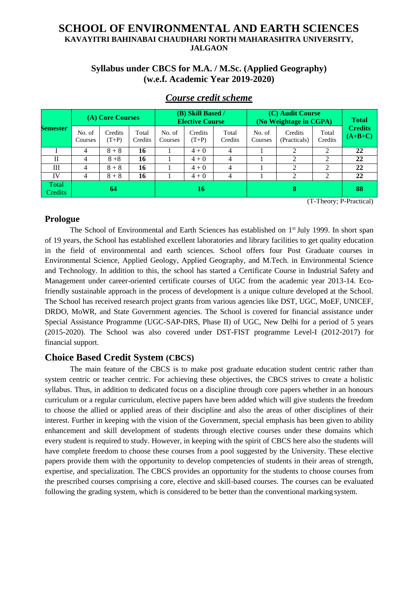# **SCHOOL OF ENVIRONMENTAL AND EARTH SCIENCES KAVAYITRI BAHINABAI CHAUDHARI NORTH MAHARASHTRA UNIVERSITY, JALGAON**

# **Syllabus under CBCS for M.A. / M.Sc. (Applied Geography) (w.e.f. Academic Year 2019-2020)**

|                         |                   | (A) Core Courses   |                  |                   | (B) Skill Based /<br><b>Elective Course</b> |                  | (C) Audit Course<br>(No Weightage in CGPA) | <b>Total</b>            |                  |                             |
|-------------------------|-------------------|--------------------|------------------|-------------------|---------------------------------------------|------------------|--------------------------------------------|-------------------------|------------------|-----------------------------|
| <b>Semester</b>         | No. of<br>Courses | Credits<br>$(T+P)$ | Total<br>Credits | No. of<br>Courses | <b>Credits</b><br>$(T+P)$                   | Total<br>Credits | No. of<br>Courses                          | Credits<br>(Practicals) | Total<br>Credits | <b>Credits</b><br>$(A+B+C)$ |
|                         | 4                 | $8 + 8$            | 16               |                   | $4 + 0$                                     | 4                |                                            | $\overline{c}$          | $\overline{2}$   | 22                          |
| $\mathbf{H}$            | 4                 | $8 + 8$            | 16               |                   | $4 + 0$                                     |                  |                                            | ↑                       | $\mathcal{D}$    | 22                          |
| Ш                       | 4                 | $8 + 8$            | 16               |                   | $4 + 0$                                     |                  |                                            | 2                       | 2                | 22                          |
| IV                      | 4                 | $8 + 8$            | 16               |                   | $4 + 0$                                     | 4                |                                            | $\overline{c}$          | $\overline{2}$   | 22                          |
| Total<br><b>Credits</b> |                   | 64                 |                  |                   | 16                                          |                  | 8                                          |                         |                  | 88                          |

# *Course credit scheme*

(T-Theory; P-Practical)

## **Prologue**

The School of Environmental and Earth Sciences has established on 1<sup>st</sup> July 1999. In short span of 19 years, the School has established excellent laboratories and library facilities to get quality education in the field of environmental and earth sciences. School offers four Post Graduate courses in Environmental Science, Applied Geology, Applied Geography, and M.Tech. in Environmental Science and Technology. In addition to this, the school has started a Certificate Course in Industrial Safety and Management under career-oriented certificate courses of UGC from the academic year 2013-14. Ecofriendly sustainable approach in the process of development is a unique culture developed at the School. The School has received research project grants from various agencies like DST, UGC, MoEF, UNICEF, DRDO, MoWR, and State Government agencies. The School is covered for financial assistance under Special Assistance Programme (UGC-SAP-DRS, Phase II) of UGC, New Delhi for a period of 5 years (2015-2020). The School was also covered under DST-FIST programme Level-I (2012-2017) for financial support.

# **Choice Based Credit System (CBCS)**

The main feature of the CBCS is to make post graduate education student centric rather than system centric or teacher centric. For achieving these objectives, the CBCS strives to create a holistic syllabus. Thus, in addition to dedicated focus on a discipline through core papers whether in an honours curriculum or a regular curriculum, elective papers have been added which will give students the freedom to choose the allied or applied areas of their discipline and also the areas of other disciplines of their interest. Further in keeping with the vision of the Government, special emphasis has been given to ability enhancement and skill development of students through elective courses under these domains which every student is required to study. However, in keeping with the spirit of CBCS here also the students will have complete freedom to choose these courses from a pool suggested by the University. These elective papers provide them with the opportunity to develop competencies of students in their areas of strength, expertise, and specialization. The CBCS provides an opportunity for the students to choose courses from the prescribed courses comprising a core, elective and skill-based courses. The courses can be evaluated following the grading system, which is considered to be better than the conventional marking system.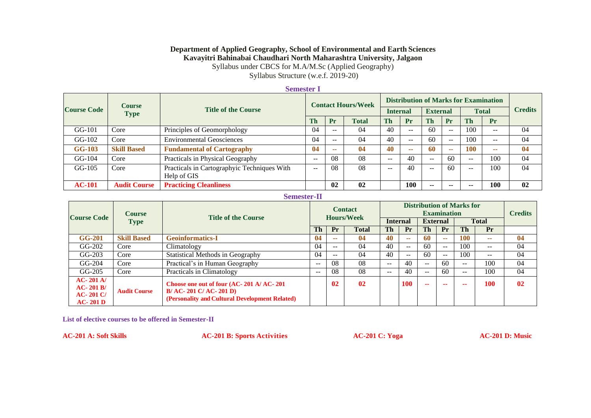#### **Department of Applied Geography, School of Environmental and Earth Sciences Kavayitri Bahinabai Chaudhari North Maharashtra University, Jalgaon**

Syllabus under CBCS for M.A/M.Sc (Applied Geography)

Syllabus Structure (w.e.f. 2019-20)

#### **Semester I**

|                    | <b>Course</b>       |                                                            |       | <b>Contact Hours/Week</b> |              |                 | <b>Distribution of Marks for Examination</b> |                 |               |              |       |                |  |
|--------------------|---------------------|------------------------------------------------------------|-------|---------------------------|--------------|-----------------|----------------------------------------------|-----------------|---------------|--------------|-------|----------------|--|
| <b>Course Code</b> | <b>Type</b>         | <b>Title of the Course</b>                                 |       |                           |              | <b>Internal</b> |                                              | <b>External</b> |               | <b>Total</b> |       | <b>Credits</b> |  |
|                    |                     |                                                            | Th    | Pr                        | <b>Total</b> | <b>Th</b>       | Pr                                           | Th              | Pr            | <b>Th</b>    | Pr    |                |  |
| $GG-101$           | Core                | Principles of Geomorphology                                | 04    | $- -$                     | 04           | 40              | --                                           | 60              | $\sim$ $\sim$ | 100          | $- -$ | 04             |  |
| $GG-102$           | Core                | <b>Environmental Geosciences</b>                           | 04    | $- -$                     | 04           | 40              | $\overline{\phantom{m}}$                     | 60              | $\sim$ $\sim$ | 100          | $- -$ | 04             |  |
| <b>GG-103</b>      | <b>Skill Based</b>  | <b>Fundamental of Cartography</b>                          | 04    | --                        | 04           | 40              | --                                           | -60             | --            | 100          | --    | 04             |  |
| $GG-104$           | Core                | Practicals in Physical Geography                           | $- -$ | 08                        | 08           | $- -$           | 40                                           | $- -$           | 60            | $-$          | 100   | 04             |  |
| $GG-105$           | Core                | Practicals in Cartographyic Techniques With<br>Help of GIS | $- -$ | 08                        | 08           | $-$             | 40                                           | $\sim$ $\sim$   | 60            | $-$          | 100   | 04             |  |
| $AC-101$           | <b>Audit Course</b> | <b>Practicing Cleanliness</b>                              |       | 02                        | 02           |                 | <b>100</b>                                   | $-$             | --            | --           | 100   | 02             |  |

#### **Semester-II**

|                                                            | <b>Course</b><br><b>Title of the Course</b> |                                                                                                                         | <b>Contact</b><br><b>Hours/Week</b> |                | <b>Distribution of Marks for</b><br><b>Examination</b> |                          |       |                 |           |              | <b>Credits</b>           |    |
|------------------------------------------------------------|---------------------------------------------|-------------------------------------------------------------------------------------------------------------------------|-------------------------------------|----------------|--------------------------------------------------------|--------------------------|-------|-----------------|-----------|--------------|--------------------------|----|
| <b>Course Code</b>                                         | <b>Type</b>                                 |                                                                                                                         |                                     |                |                                                        | <b>Internal</b>          |       | <b>External</b> |           | <b>Total</b> |                          |    |
|                                                            |                                             |                                                                                                                         | Th                                  | Pr             | <b>Total</b>                                           | <b>Th</b>                | Pr    | Th              | <b>Pr</b> | <b>Th</b>    | Pr                       |    |
| <b>GG-201</b>                                              | <b>Skill Based</b>                          | <b>Geoinformatics-I</b>                                                                                                 | 04                                  | --             | 04                                                     | 40                       | --    | 60              | --        | 100          | --                       | 04 |
| $GG-202$                                                   | Core                                        | Climatology                                                                                                             | 04                                  | $- -$          | 04                                                     | 40                       | $- -$ | 60              | $- -$     | 100          | $- -$                    | 04 |
| $GG-203$                                                   | Core                                        | Statistical Methods in Geography                                                                                        | 04                                  | $- -$          | 04                                                     | 40                       | $- -$ | 60              | $- -$     | 100          | $\overline{\phantom{m}}$ | 04 |
| $GG-204$                                                   | Core                                        | Practical's in Human Geography                                                                                          | $-$                                 | 08             | 08                                                     | $\overline{\phantom{a}}$ | 40    | $\sim$ $\sim$   | 60        | $- -$        | 100                      | 04 |
| $GG-205$                                                   | Core                                        | Practicals in Climatology                                                                                               | $ -$                                | 08             | 08                                                     | $- -$                    | 40    | $-$             | 60        | $- -$        | 100                      | 04 |
| $AC-201$ A/<br>$AC-201B/$<br><b>AC-201 C/</b><br>$AC-201D$ | <b>Audit Course</b>                         | Choose one out of four (AC-201 A/ AC-201<br>$B/AC - 201 C/AC - 201 D$<br>(Personality and Cultural Development Related) |                                     | 0 <sub>2</sub> | 0 <sub>2</sub>                                         |                          | 100   | --              | --        |              | 100                      | 02 |

**List of elective courses to be offered in Semester-II**

**AC-201 A: Soft Skills AC-201 B: Sports Activities AC-201 C: Yoga AC-201 D: Music**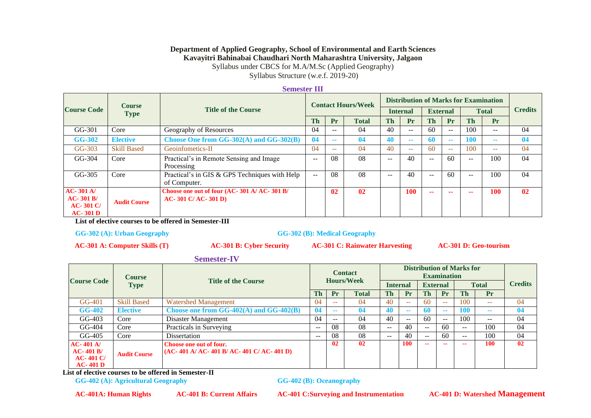#### **Department of Applied Geography, School of Environmental and Earth Sciences Kavayitri Bahinabai Chaudhari North Maharashtra University, Jalgaon**

Syllabus under CBCS for M.A/M.Sc (Applied Geography)

Syllabus Structure (w.e.f. 2019-20)

#### **Semester III**

| <b>Course</b>                                         |                     |                                                                    |                   | <b>Contact Hours/Week</b> |                |                 | <b>Distribution of Marks for Examination</b> |                 |               |              |               |                |  |
|-------------------------------------------------------|---------------------|--------------------------------------------------------------------|-------------------|---------------------------|----------------|-----------------|----------------------------------------------|-----------------|---------------|--------------|---------------|----------------|--|
| <b>Course Code</b>                                    | <b>Type</b>         | <b>Title of the Course</b>                                         |                   |                           |                | <b>Internal</b> |                                              | <b>External</b> |               | <b>Total</b> |               | <b>Credits</b> |  |
|                                                       |                     |                                                                    | <b>Th</b>         | Pr                        | <b>Total</b>   | Th              | Pr                                           | <b>Th</b>       | Pr            | <b>Th</b>    | Pr            |                |  |
| $GG-301$                                              | Core                | Geography of Resources                                             | 04                | $- -$                     | 04             | 40              | $\sim$ $\sim$                                | 60              | $- -$         | 100          | $- -$         | 04             |  |
| <b>GG-302</b>                                         | <b>Elective</b>     | Choose One from GG-302(A) and GG-302(B)                            | 04                | --                        | 04             | 40              | --                                           | 60              | $\sim$ $\sim$ | <b>100</b>   | $\sim$ $\sim$ | 04             |  |
| $GG-303$                                              | <b>Skill Based</b>  | Geoinfometics-II                                                   | 04                | $\sim$ $\sim$             | 04             | 40              | $- -$                                        | 60              | $\sim$ $\sim$ | 100          | $\sim$ $\sim$ | 04             |  |
| $GG-304$                                              | Core                | Practical's in Remote Sensing and Image<br>Processing              | $\qquad \qquad -$ | 08                        | 08             | $- -$           | 40                                           | --              | 60            | $- -$        | 100           | 04             |  |
| $GG-305$                                              | Core                | Practical's in GIS & GPS Techniques with Help<br>of Computer.      | $\mathbf{u}$      | 08                        | 08             | $- -$           | 40                                           | --              | 60            | $- -$        | 100           | 04             |  |
| $AC-301$ A/<br>$AC-301B/$<br>$AC-301 C/$<br>$AC-301D$ | <b>Audit Course</b> | Choose one out of four (AC-301 A/ AC-301 B/<br>$AC-301 C/AC-301 D$ |                   | 02                        | 0 <sub>2</sub> |                 | 100                                          | --              | --            | --           | 100           | 02             |  |

**List of elective courses to be offered in Semester-III**

**GG-302 (A): Urban Geography GG-302 (B): Medical Geography**

**AC-301 A: Computer Skills (T) AC-301 B: Cyber Security AC-301 C: Rainwater Harvesting AC-301 D: Geo-tourism**

#### **Semester-IV**

|                                                      | <b>Course</b>       |                                                                    | <b>Contact</b> |                   |              |                 |               |                 |               |              |       |                |
|------------------------------------------------------|---------------------|--------------------------------------------------------------------|----------------|-------------------|--------------|-----------------|---------------|-----------------|---------------|--------------|-------|----------------|
| <b>Course Code</b>                                   | <b>Type</b>         | <b>Title of the Course</b>                                         |                | <b>Hours/Week</b> |              | <b>Internal</b> |               | <b>External</b> |               | <b>Total</b> |       | <b>Credits</b> |
|                                                      |                     |                                                                    | Th             | Pr                | <b>Total</b> | Th              | Pr            | Th              | Pr            | Th           | Pr    |                |
| $GG-401$                                             | <b>Skill Based</b>  | Watershed Management                                               | 04             | --                | 04           | 40              | $\sim$ $\sim$ | 60              | $\sim$ $\sim$ | 100          | --    | 04             |
| <b>GG-402</b>                                        | <b>Elective</b>     | Choose one from $GG-402(A)$ and $GG-402(B)$                        | 04             | --                |              | 40              | $\sim$        | 60              | --            | 100          | --    | 04             |
| $GG-403$                                             | Core                | Disaster Management                                                | 04             | $- -$             | 04           | 40              | $- -$         | 60              | $-$           | 100          | $- -$ | 04             |
| $GG-404$                                             | Core                | Practicals in Surveying                                            | $- -$          | 08                | 08           | $- -$           | 40            | $- -$           | 60            | $- -$        | 100   | 04             |
| $GG-405$                                             | Core                | Dissertation                                                       | $- -$          | 08                | 08           | $- -$           | 40            | $- -$           | 60            | $- -$        | 100   | 04             |
| $AC-401$ A/<br>$AC-401B/$<br>$AC-401C/$<br>$AC-401D$ | <b>Audit Course</b> | Choose one out of four.<br>$(AC-401 A/AC-401 B/AC-401 C/AC-401 D)$ |                | $\mathbf{02}$     | 02           |                 | 100           | --              | --            | --           | 100   | $\mathbf{02}$  |

**List of elective courses to be offered in Semester-II**

**GG-402 (A): Agricultural Geography GG-402 (B): Oceanography**

**AC-401A: Human Rights AC-401 B: Current Affairs AC-401 C:Surveying and Instrumentation AC-401 D: Watershed Management**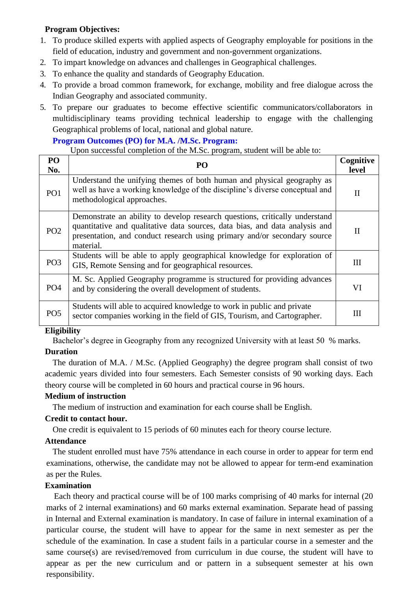# **Program Objectives:**

- 1. To produce skilled experts with applied aspects of Geography employable for positions in the field of education, industry and government and non-government organizations.
- 2. To impart knowledge on advances and challenges in Geographical challenges.
- 3. To enhance the quality and standards of Geography Education.
- 4. To provide a broad common framework, for exchange, mobility and free dialogue across the Indian Geography and associated community.
- 5. To prepare our graduates to become effective scientific communicators/collaborators in multidisciplinary teams providing technical leadership to engage with the challenging Geographical problems of local, national and global nature.

#### **Program Outcomes (PO) for M.A. /M.Sc. Program:**

Upon successful completion of the M.Sc. program, student will be able to:

| PO<br>No.       | PO                                                                                                                                                                                                                                                  | Cognitive<br>level |
|-----------------|-----------------------------------------------------------------------------------------------------------------------------------------------------------------------------------------------------------------------------------------------------|--------------------|
| PO <sub>1</sub> | Understand the unifying themes of both human and physical geography as<br>well as have a working knowledge of the discipline's diverse conceptual and<br>methodological approaches.                                                                 | $\mathbf{I}$       |
| PO <sub>2</sub> | Demonstrate an ability to develop research questions, critically understand<br>quantitative and qualitative data sources, data bias, and data analysis and<br>presentation, and conduct research using primary and/or secondary source<br>material. | H                  |
| PO <sub>3</sub> | Students will be able to apply geographical knowledge for exploration of<br>GIS, Remote Sensing and for geographical resources.                                                                                                                     | Ш                  |
| PO <sub>4</sub> | M. Sc. Applied Geography programme is structured for providing advances<br>and by considering the overall development of students.                                                                                                                  | VI                 |
| PO <sub>5</sub> | Students will able to acquired knowledge to work in public and private<br>sector companies working in the field of GIS, Tourism, and Cartographer.                                                                                                  | Ш                  |

## **Eligibility**

Bachelor's degree in Geography from any recognized University with at least 50 % marks.

## **Duration**

The duration of M.A. / M.Sc. (Applied Geography) the degree program shall consist of two academic years divided into four semesters. Each Semester consists of 90 working days. Each theory course will be completed in 60 hours and practical course in 96 hours.

## **Medium of instruction**

The medium of instruction and examination for each course shall be English.

## **Credit to contact hour.**

One credit is equivalent to 15 periods of 60 minutes each for theory course lecture.

## **Attendance**

The student enrolled must have 75% attendance in each course in order to appear for term end examinations, otherwise, the candidate may not be allowed to appear for term-end examination as per the Rules.

## **Examination**

Each theory and practical course will be of 100 marks comprising of 40 marks for internal (20 marks of 2 internal examinations) and 60 marks external examination. Separate head of passing in Internal and External examination is mandatory. In case of failure in internal examination of a particular course, the student will have to appear for the same in next semester as per the schedule of the examination. In case a student fails in a particular course in a semester and the same course(s) are revised/removed from curriculum in due course, the student will have to appear as per the new curriculum and or pattern in a subsequent semester at his own responsibility.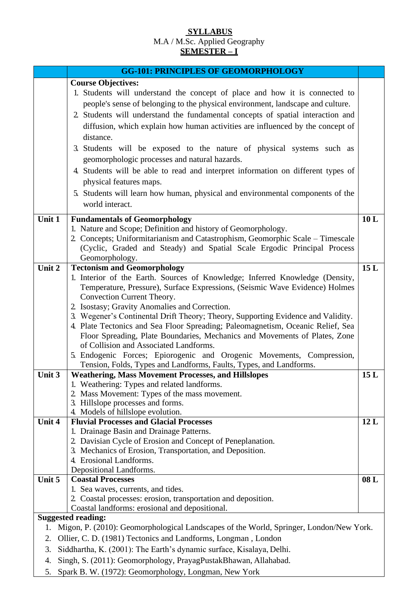# **SYLLABUS** M.A / M.Sc. Applied Geography **SEMESTER – I**

|        | <b>GG-101: PRINCIPLES OF GEOMORPHOLOGY</b>                                             |     |
|--------|----------------------------------------------------------------------------------------|-----|
|        | <b>Course Objectives:</b>                                                              |     |
|        | 1. Students will understand the concept of place and how it is connected to            |     |
|        | people's sense of belonging to the physical environment, landscape and culture.        |     |
|        | 2. Students will understand the fundamental concepts of spatial interaction and        |     |
|        | diffusion, which explain how human activities are influenced by the concept of         |     |
|        | distance.                                                                              |     |
|        | 3. Students will be exposed to the nature of physical systems such as                  |     |
|        | geomorphologic processes and natural hazards.                                          |     |
|        | 4. Students will be able to read and interpret information on different types of       |     |
|        |                                                                                        |     |
|        | physical features maps.                                                                |     |
|        | 5. Students will learn how human, physical and environmental components of the         |     |
|        | world interact.                                                                        |     |
| Unit 1 | <b>Fundamentals of Geomorphology</b>                                                   | 10L |
|        | 1. Nature and Scope; Definition and history of Geomorphology.                          |     |
|        | 2. Concepts; Uniformitarianism and Catastrophism, Geomorphic Scale - Timescale         |     |
|        | (Cyclic, Graded and Steady) and Spatial Scale Ergodic Principal Process                |     |
|        | Geomorphology.                                                                         |     |
| Unit 2 | <b>Tectonism and Geomorphology</b>                                                     | 15L |
|        | 1. Interior of the Earth. Sources of Knowledge; Inferred Knowledge (Density,           |     |
|        | Temperature, Pressure), Surface Expressions, (Seismic Wave Evidence) Holmes            |     |
|        | Convection Current Theory.<br>2. Isostasy; Gravity Anomalies and Correction.           |     |
|        | 3. Wegener's Continental Drift Theory; Theory, Supporting Evidence and Validity.       |     |
|        | 4. Plate Tectonics and Sea Floor Spreading; Paleomagnetism, Oceanic Relief, Sea        |     |
|        | Floor Spreading, Plate Boundaries, Mechanics and Movements of Plates, Zone             |     |
|        | of Collision and Associated Landforms.                                                 |     |
|        | 5. Endogenic Forces; Epiorogenic and Orogenic Movements, Compression,                  |     |
|        | Tension, Folds, Types and Landforms, Faults, Types, and Landforms.                     |     |
| Unit 3 | <b>Weathering, Mass Movement Processes, and Hillslopes</b>                             | 15L |
|        | 1. Weathering: Types and related landforms.                                            |     |
|        | 2. Mass Movement: Types of the mass movement.                                          |     |
|        | 3. Hillslope processes and forms.                                                      |     |
| Unit 4 | 4. Models of hillslope evolution.<br><b>Fluvial Processes and Glacial Processes</b>    | 12L |
|        | 1. Drainage Basin and Drainage Patterns.                                               |     |
|        | 2. Davisian Cycle of Erosion and Concept of Peneplanation.                             |     |
|        | 3. Mechanics of Erosion, Transportation, and Deposition.                               |     |
|        | 4. Erosional Landforms.                                                                |     |
|        | Depositional Landforms.                                                                |     |
| Unit 5 | <b>Coastal Processes</b>                                                               | 08L |
|        | 1. Sea waves, currents, and tides.                                                     |     |
|        | 2. Coastal processes: erosion, transportation and deposition.                          |     |
|        | Coastal landforms: erosional and depositional.                                         |     |
|        | <b>Suggested reading:</b>                                                              |     |
| 1.     | Migon, P. (2010): Geomorphological Landscapes of the World, Springer, London/New York. |     |
| 2.     | Ollier, C. D. (1981) Tectonics and Landforms, Longman, London                          |     |
| 3.     | Siddhartha, K. (2001): The Earth's dynamic surface, Kisalaya, Delhi.                   |     |
| 4.     | Singh, S. (2011): Geomorphology, PrayagPustakBhawan, Allahabad.                        |     |

5. Spark B. W. (1972): Geomorphology, Longman, New York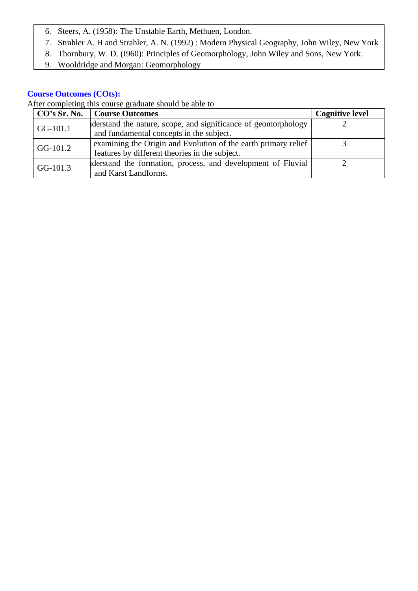- 6. Steers, A. (1958): The Unstable Earth, Methuen, London.
- 7. Strahler A. H and Strahler, A. N. (1992) : Modern Physical Geography, John Wiley, New York
- 8. Thornbury, W. D. (I960): Principles of Geomorphology, John Wiley and Sons, New York.
- 9. Wooldridge and Morgan: Geomorphology

| $ $ CO's Sr. No. | <b>Course Outcomes</b>                                         | <b>Cognitive level</b> |
|------------------|----------------------------------------------------------------|------------------------|
| $GG-101.1$       | derstand the nature, scope, and significance of geomorphology  |                        |
|                  | and fundamental concepts in the subject.                       |                        |
| GG-101.2         | examining the Origin and Evolution of the earth primary relief |                        |
|                  | features by different theories in the subject.                 |                        |
|                  | derstand the formation, process, and development of Fluvial    |                        |
| $GG-101.3$       | and Karst Landforms.                                           |                        |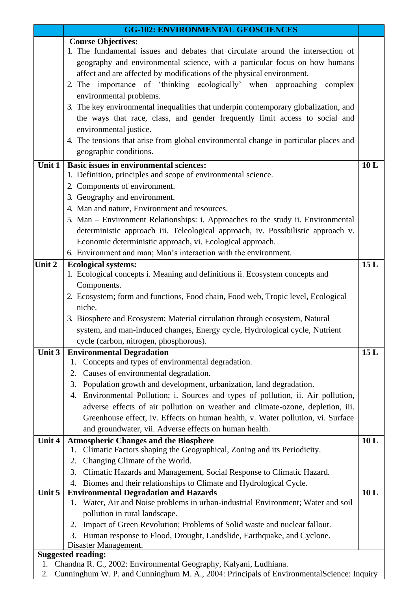|        | <b>GG-102: ENVIRONMENTAL GEOSCIENCES</b>                                                            |     |
|--------|-----------------------------------------------------------------------------------------------------|-----|
|        | <b>Course Objectives:</b>                                                                           |     |
|        | 1. The fundamental issues and debates that circulate around the intersection of                     |     |
|        | geography and environmental science, with a particular focus on how humans                          |     |
|        | affect and are affected by modifications of the physical environment.                               |     |
|        | 2. The importance of 'thinking ecologically' when approaching complex                               |     |
|        | environmental problems.                                                                             |     |
|        | 3. The key environmental inequalities that underpin contemporary globalization, and                 |     |
|        | the ways that race, class, and gender frequently limit access to social and                         |     |
|        | environmental justice.                                                                              |     |
|        | 4. The tensions that arise from global environmental change in particular places and                |     |
|        | geographic conditions.                                                                              |     |
| Unit 1 | <b>Basic issues in environmental sciences:</b>                                                      | 10L |
|        | 1. Definition, principles and scope of environmental science.                                       |     |
|        | 2. Components of environment.                                                                       |     |
|        | 3. Geography and environment.                                                                       |     |
|        | 4. Man and nature, Environment and resources.                                                       |     |
|        | 5. Man – Environment Relationships: i. Approaches to the study ii. Environmental                    |     |
|        | deterministic approach iii. Teleological approach, iv. Possibilistic approach v.                    |     |
|        | Economic deterministic approach, vi. Ecological approach.                                           |     |
|        | 6. Environment and man; Man's interaction with the environment.                                     |     |
| Unit 2 | <b>Ecological systems:</b>                                                                          | 15L |
|        | 1. Ecological concepts i. Meaning and definitions ii. Ecosystem concepts and                        |     |
|        | Components.                                                                                         |     |
|        | 2. Ecosystem; form and functions, Food chain, Food web, Tropic level, Ecological                    |     |
|        | niche.                                                                                              |     |
|        | 3. Biosphere and Ecosystem; Material circulation through ecosystem, Natural                         |     |
|        | system, and man-induced changes, Energy cycle, Hydrological cycle, Nutrient                         |     |
| Unit 3 | cycle (carbon, nitrogen, phosphorous).                                                              | 15L |
|        | <b>Environmental Degradation</b><br>Concepts and types of environmental degradation.<br>1.          |     |
|        | Causes of environmental degradation.<br>2.                                                          |     |
|        | Population growth and development, urbanization, land degradation.<br>3.                            |     |
|        | Environmental Pollution; i. Sources and types of pollution, ii. Air pollution,<br>4.                |     |
|        | adverse effects of air pollution on weather and climate-ozone, depletion, iii.                      |     |
|        | Greenhouse effect, iv. Effects on human health, v. Water pollution, vi. Surface                     |     |
|        | and groundwater, vii. Adverse effects on human health.                                              |     |
| Unit 4 | <b>Atmospheric Changes and the Biosphere</b>                                                        | 10L |
|        | Climatic Factors shaping the Geographical, Zoning and its Periodicity.<br>1.                        |     |
|        | Changing Climate of the World.<br>2.                                                                |     |
|        | 3.<br>Climatic Hazards and Management, Social Response to Climatic Hazard.                          |     |
|        | Biomes and their relationships to Climate and Hydrological Cycle.<br>4.                             |     |
| Unit 5 | <b>Environmental Degradation and Hazards</b>                                                        | 10L |
|        | Water, Air and Noise problems in urban-industrial Environment; Water and soil<br>1.                 |     |
|        | pollution in rural landscape.                                                                       |     |
|        | Impact of Green Revolution; Problems of Solid waste and nuclear fallout.<br>2.                      |     |
|        | Human response to Flood, Drought, Landslide, Earthquake, and Cyclone.<br>3.<br>Disaster Management. |     |
|        | <b>Suggested reading:</b>                                                                           |     |
| 1.     | Chandna R. C., 2002: Environmental Geography, Kalyani, Ludhiana.                                    |     |
| 2.     | Cunninghum W. P. and Cunninghum M. A., 2004: Principals of EnvironmentalScience: Inquiry            |     |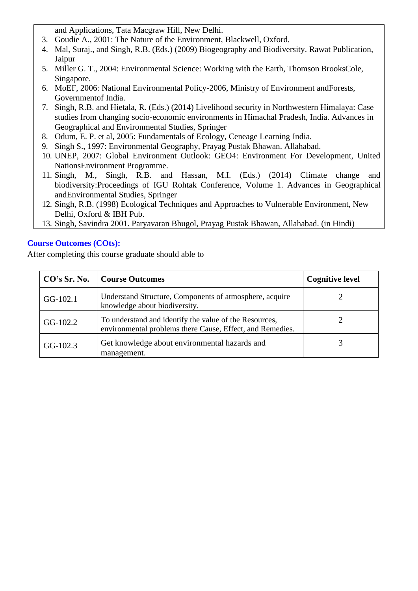and Applications, Tata Macgraw Hill, New Delhi.

- 3. Goudie A., 2001: The Nature of the Environment, Blackwell, Oxford.
- 4. Mal, Suraj., and Singh, R.B. (Eds.) (2009) Biogeography and Biodiversity. Rawat Publication, Jaipur
- 5. Miller G. T., 2004: Environmental Science: Working with the Earth, Thomson BrooksCole, Singapore.
- 6. MoEF, 2006: National Environmental Policy-2006, Ministry of Environment andForests, Governmentof India.
- 7. Singh, R.B. and Hietala, R. (Eds.) (2014) Livelihood security in Northwestern Himalaya: Case studies from changing socio-economic environments in Himachal Pradesh, India. Advances in Geographical and Environmental Studies, Springer
- 8. Odum, E. P. et al, 2005: Fundamentals of Ecology, Ceneage Learning India.
- 9. Singh S., 1997: Environmental Geography, Prayag Pustak Bhawan. Allahabad.
- 10. UNEP, 2007: Global Environment Outlook: GEO4: Environment For Development, United NationsEnvironment Programme.
- 11. Singh, M., Singh, R.B. and Hassan, M.I. (Eds.) (2014) Climate change and biodiversity:Proceedings of IGU Rohtak Conference, Volume 1. Advances in Geographical andEnvironmental Studies, Springer
- 12. Singh, R.B. (1998) Ecological Techniques and Approaches to Vulnerable Environment, New Delhi, Oxford & IBH Pub.
- 13. Singh, Savindra 2001. Paryavaran Bhugol, Prayag Pustak Bhawan, Allahabad. (in Hindi)

# **Course Outcomes (COts):**

| CO's Sr. No. | <b>Course Outcomes</b>                                                                                              | <b>Cognitive level</b> |
|--------------|---------------------------------------------------------------------------------------------------------------------|------------------------|
| GG-102.1     | Understand Structure, Components of atmosphere, acquire<br>knowledge about biodiversity.                            |                        |
| GG-102.2     | To understand and identify the value of the Resources,<br>environmental problems there Cause, Effect, and Remedies. |                        |
| $GG-102.3$   | Get knowledge about environmental hazards and<br>management.                                                        |                        |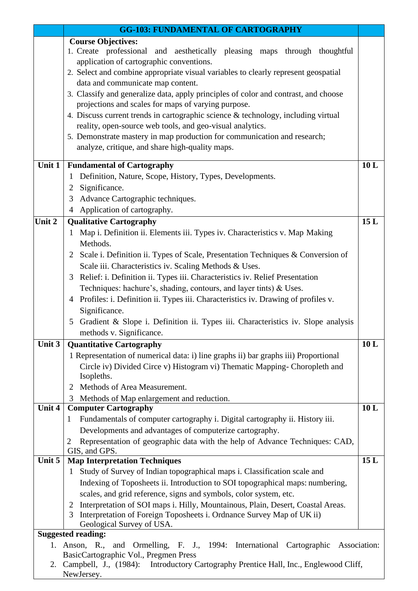|        | <b>GG-103: FUNDAMENTAL OF CARTOGRAPHY</b>                                                                        |              |
|--------|------------------------------------------------------------------------------------------------------------------|--------------|
|        | <b>Course Objectives:</b>                                                                                        |              |
|        | 1. Create professional and aesthetically pleasing maps through thoughtful                                        |              |
|        | application of cartographic conventions.                                                                         |              |
|        | 2. Select and combine appropriate visual variables to clearly represent geospatial                               |              |
|        | data and communicate map content.                                                                                |              |
|        | 3. Classify and generalize data, apply principles of color and contrast, and choose                              |              |
|        | projections and scales for maps of varying purpose.                                                              |              |
|        | 4. Discuss current trends in cartographic science & technology, including virtual                                |              |
|        | reality, open-source web tools, and geo-visual analytics.                                                        |              |
|        | 5. Demonstrate mastery in map production for communication and research;                                         |              |
|        | analyze, critique, and share high-quality maps.                                                                  |              |
| Unit 1 | <b>Fundamental of Cartography</b>                                                                                | 10L          |
|        | Definition, Nature, Scope, History, Types, Developments.<br>1                                                    |              |
|        | Significance.<br>$\overline{2}$                                                                                  |              |
|        | Advance Cartographic techniques.<br>3                                                                            |              |
|        | Application of cartography.<br>$\overline{4}$                                                                    |              |
| Unit 2 | <b>Qualitative Cartography</b>                                                                                   | 15L          |
|        | Map i. Definition ii. Elements iii. Types iv. Characteristics v. Map Making<br>$\mathbf 1$                       |              |
|        | Methods.                                                                                                         |              |
|        | Scale i. Definition ii. Types of Scale, Presentation Techniques & Conversion of<br>2                             |              |
|        | Scale iii. Characteristics iv. Scaling Methods & Uses.                                                           |              |
|        | Relief: i. Definition ii. Types iii. Characteristics iv. Relief Presentation<br>3                                |              |
|        | Techniques: hachure's, shading, contours, and layer tints) & Uses.                                               |              |
|        | 4 Profiles: i. Definition ii. Types iii. Characteristics iv. Drawing of profiles v.                              |              |
|        | Significance.                                                                                                    |              |
|        | Gradient & Slope i. Definition ii. Types iii. Characteristics iv. Slope analysis<br>5                            |              |
|        | methods v. Significance.                                                                                         |              |
| Unit 3 | <b>Quantitative Cartography</b>                                                                                  | 10L          |
|        | 1 Representation of numerical data: i) line graphs ii) bar graphs iii) Proportional                              |              |
|        | Circle iv) Divided Circe v) Histogram vi) Thematic Mapping- Choropleth and                                       |              |
|        | Isopleths.                                                                                                       |              |
|        | Methods of Area Measurement.<br>2                                                                                |              |
| Unit 4 | Methods of Map enlargement and reduction.<br>3                                                                   | 10L          |
|        | <b>Computer Cartography</b><br>Fundamentals of computer cartography i. Digital cartography ii. History iii.<br>1 |              |
|        | Developments and advantages of computerize cartography.                                                          |              |
|        | Representation of geographic data with the help of Advance Techniques: CAD,<br>2                                 |              |
|        | GIS, and GPS.                                                                                                    |              |
| Unit 5 | <b>Map Interpretation Techniques</b>                                                                             | 15L          |
|        | 1 Study of Survey of Indian topographical maps i. Classification scale and                                       |              |
|        | Indexing of Toposheets ii. Introduction to SOI topographical maps: numbering,                                    |              |
|        | scales, and grid reference, signs and symbols, color system, etc.                                                |              |
|        | Interpretation of SOI maps i. Hilly, Mountainous, Plain, Desert, Coastal Areas.<br>2                             |              |
|        | Interpretation of Foreign Toposheets i. Ordnance Survey Map of UK ii)<br>3                                       |              |
|        | Geological Survey of USA.                                                                                        |              |
|        | <b>Suggested reading:</b>                                                                                        |              |
| 1.     | and Ormelling, F. J., 1994: International Cartographic<br>Anson, R.,<br>BasicCartographic Vol., Pregmen Press    | Association: |
|        | 2. Campbell, J., (1984): Introductory Cartography Prentice Hall, Inc., Englewood Cliff,                          |              |
|        | NewJersey.                                                                                                       |              |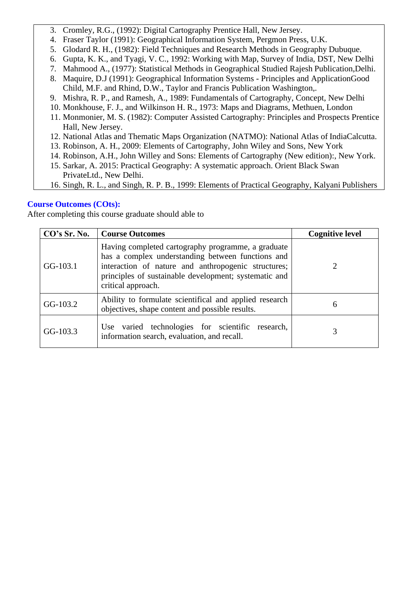- 3. Cromley, R.G., (1992): Digital Cartography Prentice Hall, New Jersey.
- 4. Fraser Taylor (1991): Geographical Information System, Pergmon Press, U.K.
- 5. Glodard R. H., (1982): Field Techniques and Research Methods in Geography Dubuque.
- 6. Gupta, K. K., and Tyagi, V. C., 1992: Working with Map, Survey of India, DST, New Delhi
- 7. Mahmood A., (1977): Statistical Methods in Geographical Studied Rajesh Publication,Delhi.
- 8. Maquire, D.J (1991): Geographical Information Systems Principles and ApplicationGood Child, M.F. and Rhind, D.W., Taylor and Francis Publication Washington,.
- 9. Mishra, R. P., and Ramesh, A., 1989: Fundamentals of Cartography, Concept, New Delhi
- 10. Monkhouse, F. J., and Wilkinson H. R., 1973: Maps and Diagrams, Methuen, London
- 11. Monmonier, M. S. (1982): Computer Assisted Cartography: Principles and Prospects Prentice Hall, New Jersey.
- 12. National Atlas and Thematic Maps Organization (NATMO): National Atlas of IndiaCalcutta.
- 13. Robinson, A. H., 2009: Elements of Cartography, John Wiley and Sons, New York
- 14. Robinson, A.H., John Willey and Sons: Elements of Cartography (New edition):, New York.
- 15. Sarkar, A. 2015: Practical Geography: A systematic approach. Orient Black Swan PrivateLtd., New Delhi.
- 16. Singh, R. L., and Singh, R. P. B., 1999: Elements of Practical Geography, Kalyani Publishers

| CO's Sr. No. | <b>Course Outcomes</b>                                                                                                                                                                                                                        | <b>Cognitive level</b> |
|--------------|-----------------------------------------------------------------------------------------------------------------------------------------------------------------------------------------------------------------------------------------------|------------------------|
| GG-103.1     | Having completed cartography programme, a graduate<br>has a complex understanding between functions and<br>interaction of nature and anthropogenic structures;<br>principles of sustainable development; systematic and<br>critical approach. |                        |
| GG-103.2     | Ability to formulate scientifical and applied research<br>objectives, shape content and possible results.                                                                                                                                     | 6                      |
| $GG-103.3$   | Use varied technologies for scientific research,<br>information search, evaluation, and recall.                                                                                                                                               |                        |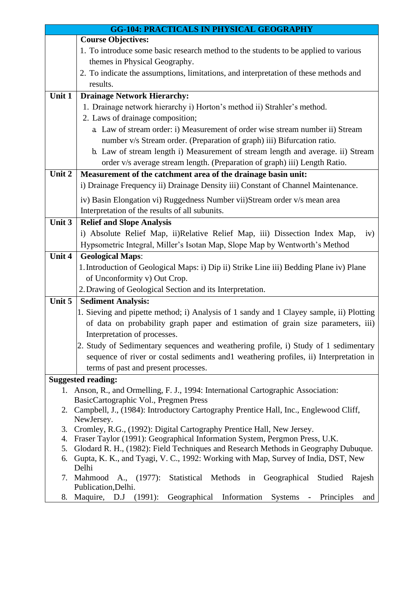| <b>GG-104: PRACTICALS IN PHYSICAL GEOGRAPHY</b> |                                                                                                    |  |
|-------------------------------------------------|----------------------------------------------------------------------------------------------------|--|
|                                                 | <b>Course Objectives:</b>                                                                          |  |
|                                                 | 1. To introduce some basic research method to the students to be applied to various                |  |
|                                                 | themes in Physical Geography.                                                                      |  |
|                                                 | 2. To indicate the assumptions, limitations, and interpretation of these methods and               |  |
|                                                 | results.                                                                                           |  |
| Unit 1                                          | <b>Drainage Network Hierarchy:</b>                                                                 |  |
|                                                 | 1. Drainage network hierarchy i) Horton's method ii) Strahler's method.                            |  |
|                                                 | 2. Laws of drainage composition;                                                                   |  |
|                                                 | a. Law of stream order: i) Measurement of order wise stream number ii) Stream                      |  |
|                                                 | number v/s Stream order. (Preparation of graph) iii) Bifurcation ratio.                            |  |
|                                                 | b. Law of stream length i) Measurement of stream length and average. ii) Stream                    |  |
|                                                 | order v/s average stream length. (Preparation of graph) iii) Length Ratio.                         |  |
| Unit 2                                          | Measurement of the catchment area of the drainage basin unit:                                      |  |
|                                                 | i) Drainage Frequency ii) Drainage Density iii) Constant of Channel Maintenance.                   |  |
|                                                 | iv) Basin Elongation vi) Ruggedness Number vii)Stream order v/s mean area                          |  |
|                                                 | Interpretation of the results of all subunits.                                                     |  |
| Unit 3                                          | <b>Relief and Slope Analysis</b>                                                                   |  |
|                                                 | i) Absolute Relief Map, ii)Relative Relief Map, iii) Dissection Index Map,<br>iv)                  |  |
|                                                 | Hypsometric Integral, Miller's Isotan Map, Slope Map by Wentworth's Method                         |  |
| Unit 4                                          | <b>Geological Maps:</b>                                                                            |  |
|                                                 | 1. Introduction of Geological Maps: i) Dip ii) Strike Line iii) Bedding Plane iv) Plane            |  |
|                                                 | of Unconformity v) Out Crop.                                                                       |  |
|                                                 | 2. Drawing of Geological Section and its Interpretation.                                           |  |
| Unit 5                                          | <b>Sediment Analysis:</b>                                                                          |  |
|                                                 | 1. Sieving and pipette method; i) Analysis of 1 sandy and 1 Clayey sample, ii) Plotting            |  |
|                                                 | of data on probability graph paper and estimation of grain size parameters, iii)                   |  |
|                                                 | Interpretation of processes.                                                                       |  |
|                                                 | 2. Study of Sedimentary sequences and weathering profile, i) Study of 1 sedimentary                |  |
|                                                 | sequence of river or costal sediments and 1 weathering profiles, ii) Interpretation in             |  |
|                                                 | terms of past and present processes.                                                               |  |
|                                                 | <b>Suggested reading:</b>                                                                          |  |
|                                                 | 1. Anson, R., and Ormelling, F. J., 1994: International Cartographic Association:                  |  |
|                                                 | BasicCartographic Vol., Pregmen Press                                                              |  |
|                                                 | 2. Campbell, J., (1984): Introductory Cartography Prentice Hall, Inc., Englewood Cliff,            |  |
|                                                 | NewJersey.                                                                                         |  |
| 3.                                              | Cromley, R.G., (1992): Digital Cartography Prentice Hall, New Jersey.                              |  |
| 4.                                              | Fraser Taylor (1991): Geographical Information System, Pergmon Press, U.K.                         |  |
| 5.                                              | Glodard R. H., (1982): Field Techniques and Research Methods in Geography Dubuque.                 |  |
| 6.                                              | Gupta, K. K., and Tyagi, V. C., 1992: Working with Map, Survey of India, DST, New<br>Delhi         |  |
| 7.                                              | Mahmood A., (1977):<br>Statistical Methods in Geographical<br>Studied<br>Rajesh                    |  |
|                                                 | Publication, Delhi.                                                                                |  |
| 8.                                              | Maquire, D.J<br>(1991):<br>Geographical<br>Information<br>Systems<br>Principles<br>and<br>$\equiv$ |  |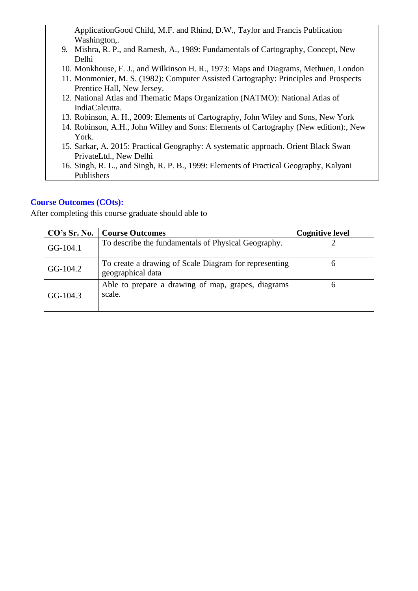ApplicationGood Child, M.F. and Rhind, D.W., Taylor and Francis Publication Washington,.

- 9. Mishra, R. P., and Ramesh, A., 1989: Fundamentals of Cartography, Concept, New Delhi
- 10. Monkhouse, F. J., and Wilkinson H. R., 1973: Maps and Diagrams, Methuen, London
- 11. Monmonier, M. S. (1982): Computer Assisted Cartography: Principles and Prospects Prentice Hall, New Jersey.
- 12. National Atlas and Thematic Maps Organization (NATMO): National Atlas of IndiaCalcutta.
- 13. Robinson, A. H., 2009: Elements of Cartography, John Wiley and Sons, New York
- 14. Robinson, A.H., John Willey and Sons: Elements of Cartography (New edition):, New York.
- 15. Sarkar, A. 2015: Practical Geography: A systematic approach. Orient Black Swan PrivateLtd., New Delhi
- 16. Singh, R. L., and Singh, R. P. B., 1999: Elements of Practical Geography, Kalyani Publishers

#### **Course Outcomes (COts):**

| CO's Sr. No. | <b>Course Outcomes</b>                                                     | <b>Cognitive level</b> |
|--------------|----------------------------------------------------------------------------|------------------------|
| GG-104.1     | To describe the fundamentals of Physical Geography.                        |                        |
| GG-104.2     | To create a drawing of Scale Diagram for representing<br>geographical data |                        |
| $GG-104.3$   | Able to prepare a drawing of map, grapes, diagrams<br>scale.               |                        |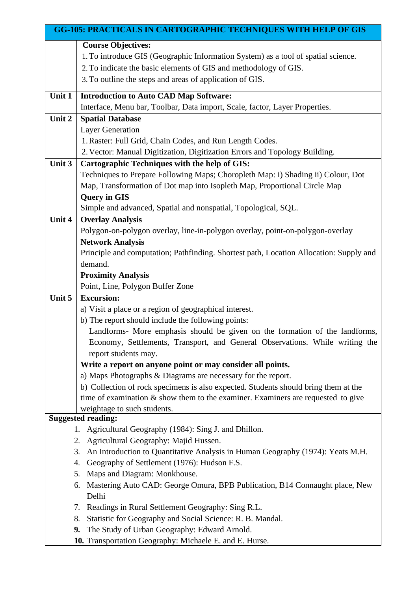| <b>GG-105: PRACTICALS IN CARTOGRAPHIC TECHNIQUES WITH HELP OF GIS</b> |                                                                                                                                                                            |  |
|-----------------------------------------------------------------------|----------------------------------------------------------------------------------------------------------------------------------------------------------------------------|--|
|                                                                       | <b>Course Objectives:</b><br>1. To introduce GIS (Geographic Information System) as a tool of spatial science.                                                             |  |
|                                                                       | 2. To indicate the basic elements of GIS and methodology of GIS.                                                                                                           |  |
|                                                                       | 3. To outline the steps and areas of application of GIS.                                                                                                                   |  |
|                                                                       |                                                                                                                                                                            |  |
| Unit 1                                                                | <b>Introduction to Auto CAD Map Software:</b>                                                                                                                              |  |
|                                                                       | Interface, Menu bar, Toolbar, Data import, Scale, factor, Layer Properties.                                                                                                |  |
| Unit 2                                                                | <b>Spatial Database</b>                                                                                                                                                    |  |
|                                                                       | <b>Layer Generation</b>                                                                                                                                                    |  |
|                                                                       | 1. Raster: Full Grid, Chain Codes, and Run Length Codes.                                                                                                                   |  |
| Unit 3                                                                | 2. Vector: Manual Digitization, Digitization Errors and Topology Building.<br><b>Cartographic Techniques with the help of GIS:</b>                                         |  |
|                                                                       | Techniques to Prepare Following Maps; Choropleth Map: i) Shading ii) Colour, Dot                                                                                           |  |
|                                                                       | Map, Transformation of Dot map into Isopleth Map, Proportional Circle Map                                                                                                  |  |
|                                                                       | <b>Query in GIS</b>                                                                                                                                                        |  |
|                                                                       | Simple and advanced, Spatial and nonspatial, Topological, SQL.                                                                                                             |  |
| Unit 4                                                                | <b>Overlay Analysis</b>                                                                                                                                                    |  |
|                                                                       | Polygon-on-polygon overlay, line-in-polygon overlay, point-on-polygon-overlay                                                                                              |  |
|                                                                       | <b>Network Analysis</b>                                                                                                                                                    |  |
|                                                                       | Principle and computation; Pathfinding. Shortest path, Location Allocation: Supply and                                                                                     |  |
|                                                                       | demand.                                                                                                                                                                    |  |
|                                                                       | <b>Proximity Analysis</b>                                                                                                                                                  |  |
|                                                                       | Point, Line, Polygon Buffer Zone                                                                                                                                           |  |
| Unit 5                                                                | <b>Excursion:</b>                                                                                                                                                          |  |
|                                                                       | a) Visit a place or a region of geographical interest.                                                                                                                     |  |
|                                                                       | b) The report should include the following points:                                                                                                                         |  |
|                                                                       | Landforms- More emphasis should be given on the formation of the landforms,                                                                                                |  |
|                                                                       | Economy, Settlements, Transport, and General Observations. While writing the                                                                                               |  |
|                                                                       | report students may.                                                                                                                                                       |  |
|                                                                       | Write a report on anyone point or may consider all points.                                                                                                                 |  |
|                                                                       | a) Maps Photographs & Diagrams are necessary for the report.                                                                                                               |  |
|                                                                       | b) Collection of rock specimens is also expected. Students should bring them at the<br>time of examination $\&$ show them to the examiner. Examiners are requested to give |  |
|                                                                       | weightage to such students.                                                                                                                                                |  |
|                                                                       | <b>Suggested reading:</b>                                                                                                                                                  |  |
|                                                                       | 1. Agricultural Geography (1984): Sing J. and Dhillon.                                                                                                                     |  |
|                                                                       | 2. Agricultural Geography: Majid Hussen.                                                                                                                                   |  |
|                                                                       | An Introduction to Quantitative Analysis in Human Geography (1974): Yeats M.H.<br>3.                                                                                       |  |
|                                                                       | Geography of Settlement (1976): Hudson F.S.<br>4.                                                                                                                          |  |
|                                                                       | Maps and Diagram: Monkhouse.<br>5.                                                                                                                                         |  |
|                                                                       | Mastering Auto CAD: George Omura, BPB Publication, B14 Connaught place, New<br>6.                                                                                          |  |
|                                                                       | Delhi                                                                                                                                                                      |  |
|                                                                       | 7. Readings in Rural Settlement Geography: Sing R.L.                                                                                                                       |  |
|                                                                       | Statistic for Geography and Social Science: R. B. Mandal.<br>8.                                                                                                            |  |
|                                                                       | The Study of Urban Geography: Edward Arnold.<br>9.                                                                                                                         |  |
|                                                                       | 10. Transportation Geography: Michaele E. and E. Hurse.                                                                                                                    |  |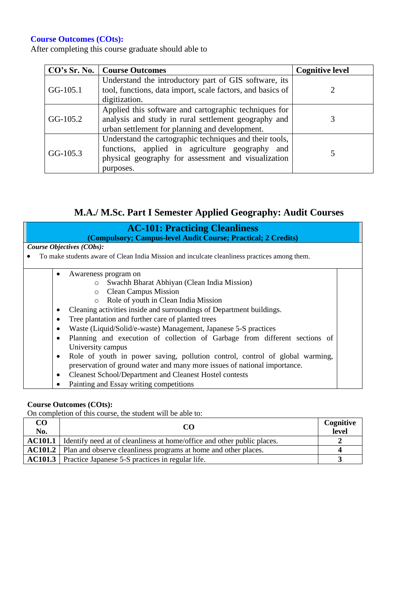After completing this course graduate should able to

|            | CO's Sr. No.   Course Outcomes                                                                                                                                                    | <b>Cognitive level</b> |
|------------|-----------------------------------------------------------------------------------------------------------------------------------------------------------------------------------|------------------------|
| GG-105.1   | Understand the introductory part of GIS software, its<br>tool, functions, data import, scale factors, and basics of<br>digitization.                                              |                        |
| $GG-105.2$ | Applied this software and cartographic techniques for<br>analysis and study in rural settlement geography and<br>urban settlement for planning and development.                   |                        |
| $GG-105.3$ | Understand the cartographic techniques and their tools,<br>functions, applied in agriculture geography<br>and<br>physical geography for assessment and visualization<br>purposes. |                        |

# **M.A./ M.Sc. Part I Semester Applied Geography: Audit Courses**

| <b>AC-101: Practicing Cleanliness</b><br>(Compulsory; Campus-level Audit Course; Practical; 2 Credits)       |  |
|--------------------------------------------------------------------------------------------------------------|--|
| Course Objectives (CObs):                                                                                    |  |
| To make students aware of Clean India Mission and inculcate cleanliness practices among them.                |  |
| Awareness program on                                                                                         |  |
| Swachh Bharat Abhiyan (Clean India Mission)<br>$\circ$                                                       |  |
| <b>Clean Campus Mission</b><br>$\circ$                                                                       |  |
| Role of youth in Clean India Mission<br>$\circ$                                                              |  |
| Cleaning activities inside and surroundings of Department buildings.<br>٠                                    |  |
| Tree plantation and further care of planted trees<br>٠                                                       |  |
| Waste (Liquid/Solid/e-waste) Management, Japanese 5-S practices<br>$\bullet$                                 |  |
| Planning and execution of collection of Garbage from different sections of<br>$\bullet$<br>University campus |  |
| Role of youth in power saving, pollution control, control of global warming,<br>٠                            |  |
| preservation of ground water and many more issues of national importance.                                    |  |
| <b>Cleanest School/Department and Cleanest Hostel contests</b><br>٠                                          |  |
| Painting and Essay writing competitions                                                                      |  |

#### **Course Outcomes (COts):**

| CO<br>No. | CO                                                                                     | Cognitive<br>level |
|-----------|----------------------------------------------------------------------------------------|--------------------|
|           | <b>AC101.1</b> Identify need at of cleanliness at home/office and other public places. |                    |
|           | AC101.2   Plan and observe cleanliness programs at home and other places.              |                    |
|           | <b>AC101.3</b> Practice Japanese 5-S practices in regular life.                        |                    |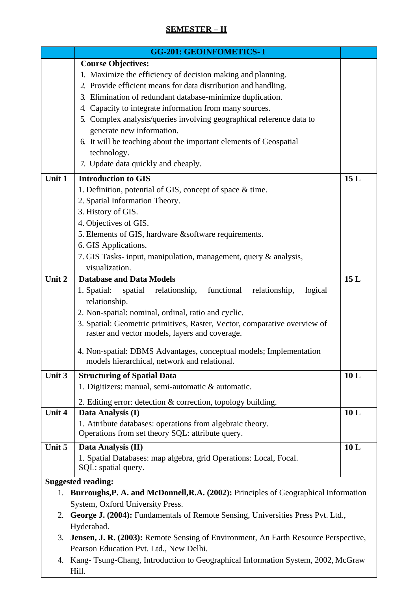# **SEMESTER – II**

|        | <b>GG-201: GEOINFOMETICS-I</b>                                                         |     |
|--------|----------------------------------------------------------------------------------------|-----|
|        | <b>Course Objectives:</b>                                                              |     |
|        | 1. Maximize the efficiency of decision making and planning.                            |     |
|        | 2. Provide efficient means for data distribution and handling.                         |     |
|        | 3. Elimination of redundant database-minimize duplication.                             |     |
|        | 4. Capacity to integrate information from many sources.                                |     |
|        | 5. Complex analysis/queries involving geographical reference data to                   |     |
|        | generate new information.                                                              |     |
|        | 6. It will be teaching about the important elements of Geospatial                      |     |
|        | technology.                                                                            |     |
|        |                                                                                        |     |
|        | 7. Update data quickly and cheaply.                                                    |     |
| Unit 1 | <b>Introduction to GIS</b>                                                             | 15L |
|        | 1. Definition, potential of GIS, concept of space & time.                              |     |
|        | 2. Spatial Information Theory.                                                         |     |
|        | 3. History of GIS.                                                                     |     |
|        | 4. Objectives of GIS.                                                                  |     |
|        | 5. Elements of GIS, hardware & software requirements.                                  |     |
|        | 6. GIS Applications.                                                                   |     |
|        | 7. GIS Tasks- input, manipulation, management, query & analysis,                       |     |
|        | visualization.                                                                         |     |
| Unit 2 | <b>Database and Data Models</b>                                                        | 15L |
|        | 1. Spatial: spatial relationship, functional<br>relationship,<br>logical               |     |
|        | relationship.                                                                          |     |
|        | 2. Non-spatial: nominal, ordinal, ratio and cyclic.                                    |     |
|        | 3. Spatial: Geometric primitives, Raster, Vector, comparative overview of              |     |
|        | raster and vector models, layers and coverage.                                         |     |
|        |                                                                                        |     |
|        | 4. Non-spatial: DBMS Advantages, conceptual models; Implementation                     |     |
|        | models hierarchical, network and relational.                                           |     |
| Unit 3 | <b>Structuring of Spatial Data</b>                                                     | 10L |
|        | 1. Digitizers: manual, semi-automatic & automatic.                                     |     |
|        | 2. Editing error: detection & correction, topology building.                           |     |
| Unit 4 | Data Analysis (I)                                                                      | 10L |
|        | 1. Attribute databases: operations from algebraic theory.                              |     |
|        | Operations from set theory SQL: attribute query.                                       |     |
| Unit 5 | Data Analysis (II)                                                                     | 10L |
|        | 1. Spatial Databases: map algebra, grid Operations: Local, Focal.                      |     |
|        | SQL: spatial query.                                                                    |     |
|        | <b>Suggested reading:</b>                                                              |     |
| 1.     | Burroughs, P. A. and McDonnell, R.A. (2002): Principles of Geographical Information    |     |
|        | System, Oxford University Press.                                                       |     |
|        |                                                                                        |     |
| 2.     | George J. (2004): Fundamentals of Remote Sensing, Universities Press Pvt. Ltd.,        |     |
|        | Hyderabad.                                                                             |     |
|        | 3. Jensen, J. R. (2003): Remote Sensing of Environment, An Earth Resource Perspective, |     |
|        | Pearson Education Pvt. Ltd., New Delhi.                                                |     |
| 4.     | Kang-Tsung-Chang, Introduction to Geographical Information System, 2002, McGraw        |     |
|        | Hill.                                                                                  |     |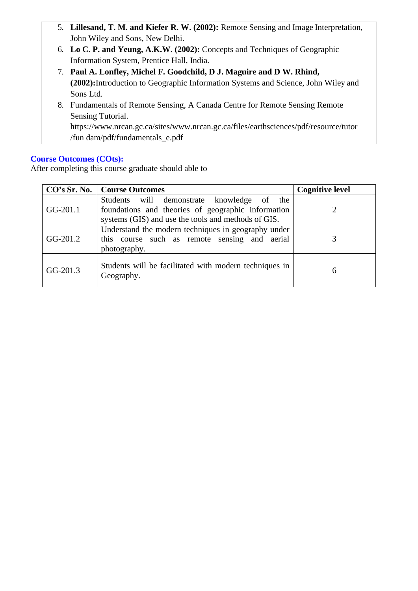- 5. **Lillesand, T. M. and Kiefer R. W. (2002):** Remote Sensing and Image Interpretation, John Wiley and Sons, New Delhi.
- 6. **Lo C. P. and Yeung, A.K.W. (2002):** Concepts and Techniques of Geographic Information System, Prentice Hall, India.
- 7. **Paul A. Lonfley, Michel F. Goodchild, D J. Maguire and D W. Rhind, (2002):**Introduction to Geographic Information Systems and Science, John Wiley and Sons Ltd.
- 8. Fundamentals of Remote Sensing, A Canada Centre for Remote Sensing Remote Sensing Tutorial. ht[tps://www.nrcan.gc.ca/sites/www.nrcan.gc.ca/files/earthsciences/pdf/resource/tutor](http://www.nrcan.gc.ca/sites/www.nrcan.gc.ca/files/earthsciences/pdf/resource/tutor/fun)

[/fun](http://www.nrcan.gc.ca/sites/www.nrcan.gc.ca/files/earthsciences/pdf/resource/tutor/fun) dam/pdf/fundamentals\_e.pdf

# **Course Outcomes (COts):**

|            | <b>CO's Sr. No.</b>   Course Outcomes                                                                                                                      | <b>Cognitive level</b> |
|------------|------------------------------------------------------------------------------------------------------------------------------------------------------------|------------------------|
| GG-201.1   | Students will demonstrate<br>knowledge of the<br>foundations and theories of geographic information<br>systems (GIS) and use the tools and methods of GIS. |                        |
| GG-201.2   | Understand the modern techniques in geography under<br>this course such as remote sensing and aerial<br>photography.                                       |                        |
| $GG-201.3$ | Students will be facilitated with modern techniques in<br>Geography.                                                                                       | 6                      |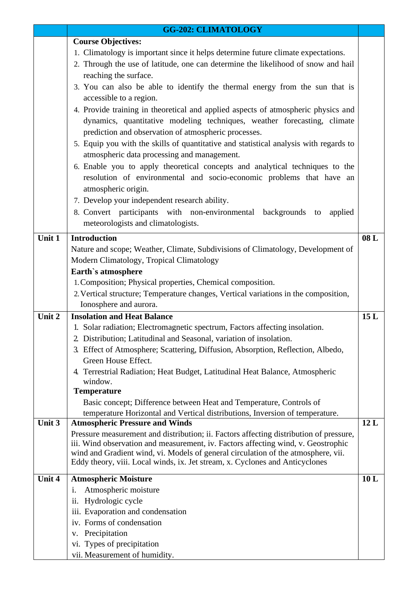|        | <b>GG-202: CLIMATOLOGY</b>                                                             |     |
|--------|----------------------------------------------------------------------------------------|-----|
|        | <b>Course Objectives:</b>                                                              |     |
|        | 1. Climatology is important since it helps determine future climate expectations.      |     |
|        | 2. Through the use of latitude, one can determine the likelihood of snow and hail      |     |
|        | reaching the surface.                                                                  |     |
|        | 3. You can also be able to identify the thermal energy from the sun that is            |     |
|        | accessible to a region.                                                                |     |
|        | 4. Provide training in theoretical and applied aspects of atmospheric physics and      |     |
|        | dynamics, quantitative modeling techniques, weather forecasting, climate               |     |
|        | prediction and observation of atmospheric processes.                                   |     |
|        | 5. Equip you with the skills of quantitative and statistical analysis with regards to  |     |
|        | atmospheric data processing and management.                                            |     |
|        | 6. Enable you to apply theoretical concepts and analytical techniques to the           |     |
|        | resolution of environmental and socio-economic problems that have an                   |     |
|        | atmospheric origin.                                                                    |     |
|        | 7. Develop your independent research ability.                                          |     |
|        | 8. Convert participants with non-environmental<br>backgrounds to<br>applied            |     |
|        | meteorologists and climatologists.                                                     |     |
| Unit 1 | <b>Introduction</b>                                                                    | 08L |
|        | Nature and scope; Weather, Climate, Subdivisions of Climatology, Development of        |     |
|        | Modern Climatology, Tropical Climatology                                               |     |
|        | Earth's atmosphere                                                                     |     |
|        | 1. Composition; Physical properties, Chemical composition.                             |     |
|        | 2. Vertical structure; Temperature changes, Vertical variations in the composition,    |     |
|        | Ionosphere and aurora.                                                                 |     |
| Unit 2 | <b>Insolation and Heat Balance</b>                                                     | 15L |
|        | 1. Solar radiation; Electromagnetic spectrum, Factors affecting insolation.            |     |
|        | 2. Distribution; Latitudinal and Seasonal, variation of insolation.                    |     |
|        | 3. Effect of Atmosphere; Scattering, Diffusion, Absorption, Reflection, Albedo,        |     |
|        | Green House Effect.                                                                    |     |
|        | 4. Terrestrial Radiation; Heat Budget, Latitudinal Heat Balance, Atmospheric           |     |
|        | window.<br><b>Temperature</b>                                                          |     |
|        | Basic concept; Difference between Heat and Temperature, Controls of                    |     |
|        | temperature Horizontal and Vertical distributions, Inversion of temperature.           |     |
| Unit 3 | <b>Atmospheric Pressure and Winds</b>                                                  | 12L |
|        | Pressure measurement and distribution; ii. Factors affecting distribution of pressure, |     |
|        | iii. Wind observation and measurement, iv. Factors affecting wind, v. Geostrophic      |     |
|        | wind and Gradient wind, vi. Models of general circulation of the atmosphere, vii.      |     |
|        | Eddy theory, viii. Local winds, ix. Jet stream, x. Cyclones and Anticyclones           |     |
| Unit 4 | <b>Atmospheric Moisture</b>                                                            | 10L |
|        | Atmospheric moisture<br>i.                                                             |     |
|        | Hydrologic cycle<br>11.                                                                |     |
|        | iii. Evaporation and condensation                                                      |     |
|        | iv. Forms of condensation                                                              |     |
|        | Precipitation<br>V.                                                                    |     |
|        | vi. Types of precipitation                                                             |     |
|        | vii. Measurement of humidity.                                                          |     |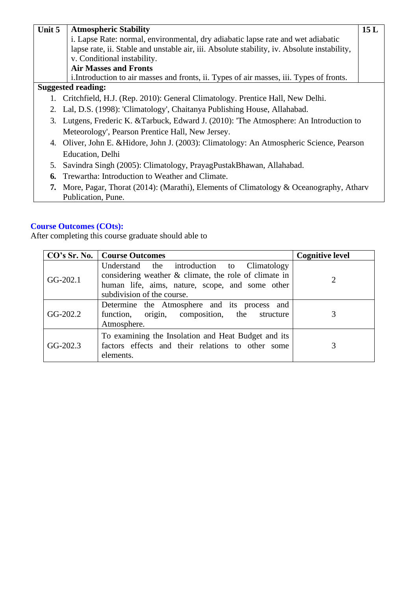| Unit 5 | <b>Atmospheric Stability</b>                                                                                   | 15L |
|--------|----------------------------------------------------------------------------------------------------------------|-----|
|        | i. Lapse Rate: normal, environmental, dry adiabatic lapse rate and wet adiabatic                               |     |
|        | lapse rate, ii. Stable and unstable air, iii. Absolute stability, iv. Absolute instability,                    |     |
|        | v. Conditional instability.                                                                                    |     |
|        | <b>Air Masses and Fronts</b>                                                                                   |     |
|        | i. Introduction to air masses and fronts, ii. Types of air masses, iii. Types of fronts.                       |     |
|        | <b>Suggested reading:</b>                                                                                      |     |
|        | Critchfield, H.J. (Rep. 2010): General Climatology. Prentice Hall, New Delhi.                                  |     |
|        | 2. Lal, D.S. (1998): 'Climatology', Chaitanya Publishing House, Allahabad.                                     |     |
|        | 3. Lutgens, Frederic K. & Tarbuck, Edward J. (2010): 'The Atmosphere: An Introduction to                       |     |
|        | Meteorology', Pearson Prentice Hall, New Jersey.                                                               |     |
|        | 4. Oliver, John E. & Hidore, John J. (2003): Climatology: An Atmospheric Science, Pearson                      |     |
|        | Education, Delhi                                                                                               |     |
| 5.     | Savindra Singh (2005): Climatology, PrayagPustakBhawan, Allahabad.                                             |     |
| 6.     | Trewartha: Introduction to Weather and Climate.                                                                |     |
|        | 7. More, Pagar, Thorat (2014): (Marathi), Elements of Climatology & Oceanography, Atharv<br>Publication, Pune. |     |

|            | <b>CO's Sr. No.   Course Outcomes</b>                                                                                                                                                      | <b>Cognitive level</b> |
|------------|--------------------------------------------------------------------------------------------------------------------------------------------------------------------------------------------|------------------------|
| $GG-202.1$ | Understand the introduction to<br>Climatology<br>considering weather $\&$ climate, the role of climate in<br>human life, aims, nature, scope, and some other<br>subdivision of the course. | 2                      |
| $GG-202.2$ | Determine the Atmosphere and its process and<br>function, origin, composition, the structure<br>Atmosphere.                                                                                | 3                      |
| $GG-202.3$ | To examining the Insolation and Heat Budget and its<br>factors effects and their relations to other some<br>elements.                                                                      | 3                      |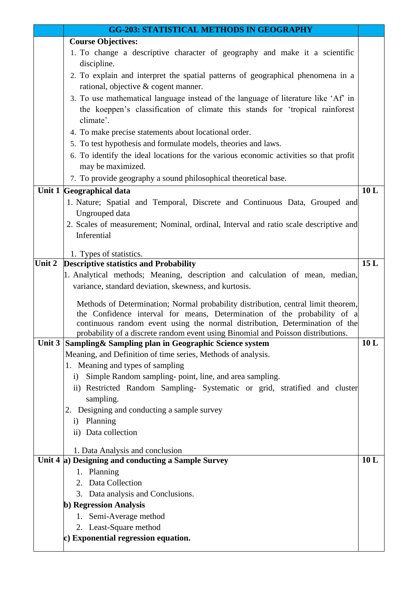|        | <b>GG-203: STATISTICAL METHODS IN GEOGRAPHY</b>                                                                                                                                                                                                                                                                                  |     |
|--------|----------------------------------------------------------------------------------------------------------------------------------------------------------------------------------------------------------------------------------------------------------------------------------------------------------------------------------|-----|
|        | <b>Course Objectives:</b>                                                                                                                                                                                                                                                                                                        |     |
|        | 1. To change a descriptive character of geography and make it a scientific<br>discipline.                                                                                                                                                                                                                                        |     |
|        | 2. To explain and interpret the spatial patterns of geographical phenomena in a                                                                                                                                                                                                                                                  |     |
|        | rational, objective & cogent manner.                                                                                                                                                                                                                                                                                             |     |
|        | 3. To use mathematical language instead of the language of literature like 'Af' in                                                                                                                                                                                                                                               |     |
|        | the koeppen's classification of climate this stands for 'tropical rainforest<br>climate'.                                                                                                                                                                                                                                        |     |
|        | 4. To make precise statements about locational order.                                                                                                                                                                                                                                                                            |     |
|        | 5. To test hypothesis and formulate models, theories and laws.                                                                                                                                                                                                                                                                   |     |
|        | 6. To identify the ideal locations for the various economic activities so that profit                                                                                                                                                                                                                                            |     |
|        | may be maximized.                                                                                                                                                                                                                                                                                                                |     |
|        | 7. To provide geography a sound philosophical theoretical base.                                                                                                                                                                                                                                                                  |     |
|        | Unit 1 Geographical data                                                                                                                                                                                                                                                                                                         | 10L |
|        | 1. Nature; Spatial and Temporal, Discrete and Continuous Data, Grouped and                                                                                                                                                                                                                                                       |     |
|        | Ungrouped data                                                                                                                                                                                                                                                                                                                   |     |
|        | 2. Scales of measurement; Nominal, ordinal, Interval and ratio scale descriptive and                                                                                                                                                                                                                                             |     |
|        | Inferential                                                                                                                                                                                                                                                                                                                      |     |
|        | 1. Types of statistics.                                                                                                                                                                                                                                                                                                          |     |
| Unit 2 | <b>Descriptive statistics and Probability</b>                                                                                                                                                                                                                                                                                    | 15L |
|        | 1. Analytical methods; Meaning, description and calculation of mean, median,                                                                                                                                                                                                                                                     |     |
|        | variance, standard deviation, skewness, and kurtosis.                                                                                                                                                                                                                                                                            |     |
|        | Methods of Determination; Normal probability distribution, central limit theorem,<br>the Confidence interval for means, Determination of the probability of a<br>continuous random event using the normal distribution, Determination of the<br>probability of a discrete random event using Binomial and Poisson distributions. |     |
|        | Unit 3 Sampling & Sampling plan in Geographic Science system                                                                                                                                                                                                                                                                     | 10L |
|        | Meaning, and Definition of time series, Methods of analysis.                                                                                                                                                                                                                                                                     |     |
|        | 1. Meaning and types of sampling                                                                                                                                                                                                                                                                                                 |     |
|        | Simple Random sampling-point, line, and area sampling.<br>i)                                                                                                                                                                                                                                                                     |     |
|        | ii) Restricted Random Sampling- Systematic or grid, stratified and cluster<br>sampling.                                                                                                                                                                                                                                          |     |
|        | 2. Designing and conducting a sample survey                                                                                                                                                                                                                                                                                      |     |
|        | i) Planning                                                                                                                                                                                                                                                                                                                      |     |
|        | ii) Data collection                                                                                                                                                                                                                                                                                                              |     |
|        |                                                                                                                                                                                                                                                                                                                                  |     |
|        | 1. Data Analysis and conclusion<br>Unit $4 a)$ Designing and conducting a Sample Survey                                                                                                                                                                                                                                          | 10L |
|        | 1. Planning                                                                                                                                                                                                                                                                                                                      |     |
|        | 2. Data Collection                                                                                                                                                                                                                                                                                                               |     |
|        | 3. Data analysis and Conclusions.                                                                                                                                                                                                                                                                                                |     |
|        | b) Regression Analysis                                                                                                                                                                                                                                                                                                           |     |
|        | 1. Semi-Average method                                                                                                                                                                                                                                                                                                           |     |
|        | 2. Least-Square method                                                                                                                                                                                                                                                                                                           |     |
|        | c) Exponential regression equation.                                                                                                                                                                                                                                                                                              |     |
|        |                                                                                                                                                                                                                                                                                                                                  |     |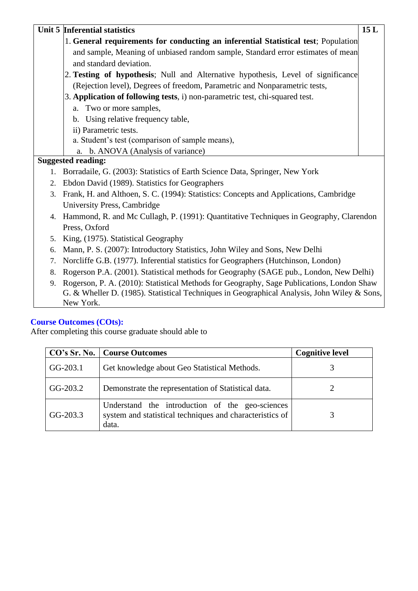|    | Unit 5 Inferential statistics                                                               | 15L |
|----|---------------------------------------------------------------------------------------------|-----|
|    | 1. General requirements for conducting an inferential Statistical test; Population          |     |
|    | and sample, Meaning of unbiased random sample, Standard error estimates of mean             |     |
|    | and standard deviation.                                                                     |     |
|    | 2. Testing of hypothesis; Null and Alternative hypothesis, Level of significance            |     |
|    | (Rejection level), Degrees of freedom, Parametric and Nonparametric tests,                  |     |
|    | 3. Application of following tests, i) non-parametric test, chi-squared test.                |     |
|    | a. Two or more samples,                                                                     |     |
|    | b. Using relative frequency table,                                                          |     |
|    | ii) Parametric tests.                                                                       |     |
|    | a. Student's test (comparison of sample means),                                             |     |
|    | b. ANOVA (Analysis of variance)<br>a.                                                       |     |
|    | <b>Suggested reading:</b>                                                                   |     |
| 1. | Borradaile, G. (2003): Statistics of Earth Science Data, Springer, New York                 |     |
| 2. | Ebdon David (1989). Statistics for Geographers                                              |     |
| 3. | Frank, H. and Althoen, S. C. (1994): Statistics: Concepts and Applications, Cambridge       |     |
|    | University Press, Cambridge                                                                 |     |
| 4. | Hammond, R. and Mc Cullagh, P. (1991): Quantitative Techniques in Geography, Clarendon      |     |
|    | Press, Oxford                                                                               |     |
| 5. | King, (1975). Statistical Geography                                                         |     |
| 6. | Mann, P. S. (2007): Introductory Statistics, John Wiley and Sons, New Delhi                 |     |
| 7. | Norcliffe G.B. (1977). Inferential statistics for Geographers (Hutchinson, London)          |     |
| 8. | Rogerson P.A. (2001). Statistical methods for Geography (SAGE pub., London, New Delhi)      |     |
| 9. | Rogerson, P. A. (2010): Statistical Methods for Geography, Sage Publications, London Shaw   |     |
|    | G. & Wheller D. (1985). Statistical Techniques in Geographical Analysis, John Wiley & Sons, |     |
|    | New York.                                                                                   |     |

|          | <b>CO's Sr. No.   Course Outcomes</b>                                                                                | <b>Cognitive level</b> |
|----------|----------------------------------------------------------------------------------------------------------------------|------------------------|
| GG-203.1 | Get knowledge about Geo Statistical Methods.                                                                         |                        |
| GG-203.2 | Demonstrate the representation of Statistical data.                                                                  |                        |
| GG-203.3 | Understand the introduction of the geo-sciences<br>system and statistical techniques and characteristics of<br>data. |                        |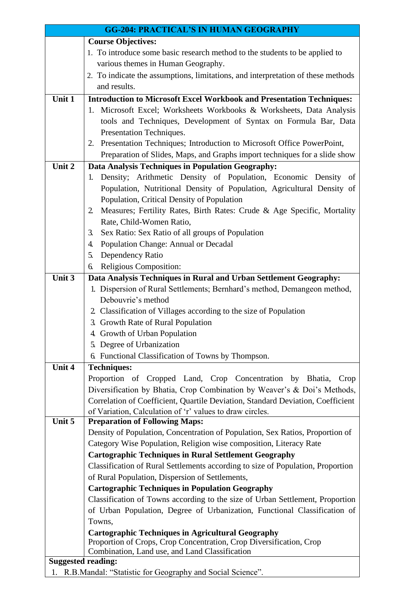| <b>GG-204: PRACTICAL'S IN HUMAN GEOGRAPHY</b> |                                                                                           |  |
|-----------------------------------------------|-------------------------------------------------------------------------------------------|--|
|                                               | <b>Course Objectives:</b>                                                                 |  |
|                                               | 1. To introduce some basic research method to the students to be applied to               |  |
|                                               | various themes in Human Geography.                                                        |  |
|                                               | 2. To indicate the assumptions, limitations, and interpretation of these methods          |  |
|                                               | and results.                                                                              |  |
| Unit 1                                        | <b>Introduction to Microsoft Excel Workbook and Presentation Techniques:</b>              |  |
|                                               | 1. Microsoft Excel; Worksheets Workbooks & Worksheets, Data Analysis                      |  |
|                                               | tools and Techniques, Development of Syntax on Formula Bar, Data                          |  |
|                                               | Presentation Techniques.                                                                  |  |
|                                               | 2. Presentation Techniques; Introduction to Microsoft Office PowerPoint,                  |  |
|                                               | Preparation of Slides, Maps, and Graphs import techniques for a slide show                |  |
| Unit 2                                        |                                                                                           |  |
|                                               | Data Analysis Techniques in Population Geography:                                         |  |
|                                               | 1. Density; Arithmetic Density of Population, Economic Density of                         |  |
|                                               | Population, Nutritional Density of Population, Agricultural Density of                    |  |
|                                               | Population, Critical Density of Population                                                |  |
|                                               | Measures; Fertility Rates, Birth Rates: Crude & Age Specific, Mortality<br>$\overline{2}$ |  |
|                                               | Rate, Child-Women Ratio,                                                                  |  |
|                                               | Sex Ratio: Sex Ratio of all groups of Population<br>3.                                    |  |
|                                               | Population Change: Annual or Decadal<br>4.                                                |  |
|                                               | Dependency Ratio<br>5.                                                                    |  |
|                                               | Religious Composition:<br>6.                                                              |  |
| Unit 3                                        | Data Analysis Techniques in Rural and Urban Settlement Geography:                         |  |
|                                               | 1. Dispersion of Rural Settlements; Bernhard's method, Demangeon method,                  |  |
|                                               | Debouvrie's method                                                                        |  |
|                                               | 2. Classification of Villages according to the size of Population                         |  |
|                                               | 3. Growth Rate of Rural Population                                                        |  |
|                                               | 4. Growth of Urban Population                                                             |  |
|                                               | 5. Degree of Urbanization                                                                 |  |
|                                               | 6. Functional Classification of Towns by Thompson.                                        |  |
| Unit 4                                        | <b>Techniques:</b>                                                                        |  |
|                                               | Proportion of Cropped Land, Crop Concentration by Bhatia,<br>Crop                         |  |
|                                               | Diversification by Bhatia, Crop Combination by Weaver's & Doi's Methods,                  |  |
|                                               | Correlation of Coefficient, Quartile Deviation, Standard Deviation, Coefficient           |  |
|                                               | of Variation, Calculation of 'r' values to draw circles.                                  |  |
| Unit 5                                        | <b>Preparation of Following Maps:</b>                                                     |  |
|                                               | Density of Population, Concentration of Population, Sex Ratios, Proportion of             |  |
|                                               | Category Wise Population, Religion wise composition, Literacy Rate                        |  |
|                                               | <b>Cartographic Techniques in Rural Settlement Geography</b>                              |  |
|                                               | Classification of Rural Settlements according to size of Population, Proportion           |  |
|                                               | of Rural Population, Dispersion of Settlements,                                           |  |
|                                               | <b>Cartographic Techniques in Population Geography</b>                                    |  |
|                                               | Classification of Towns according to the size of Urban Settlement, Proportion             |  |
|                                               | of Urban Population, Degree of Urbanization, Functional Classification of                 |  |
|                                               | Towns,                                                                                    |  |
|                                               | <b>Cartographic Techniques in Agricultural Geography</b>                                  |  |
|                                               | Proportion of Crops, Crop Concentration, Crop Diversification, Crop                       |  |
|                                               | Combination, Land use, and Land Classification                                            |  |
|                                               | <b>Suggested reading:</b>                                                                 |  |
| 1.                                            | R.B.Mandal: "Statistic for Geography and Social Science".                                 |  |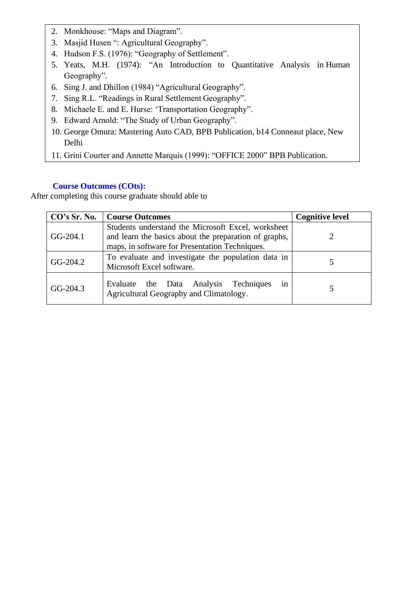- 2. Monkhouse: "Maps and Diagram".
- 3. Masjid Husen ": Agricultural Geography".
- 4. Hudson F.S. (1976): "Geography of Settlement".
- 5. Yeats, M.H. (1974): "An Introduction to Quantitative Analysis in Human Geography".
- 6. Sing J. and Dhillon (1984) "Agricultural Geography".
- 7. Sing R.L. "Readings in Rural Settlement Geography".
- 8. Michaele E. and E. Hurse: 'Transportation Geography".
- 9. Edward Arnold: "The Study of Urban Geography".
- 10. George Omura: Mastering Auto CAD, BPB Publication, b14 Conneaut place, New Delhi
- 11. Grini Courter and Annette Marquis (1999): "OFFICE 2000" BPB Publication.

| CO's Sr. No. | <b>Course Outcomes</b>                                                                                                                                        | <b>Cognitive level</b> |
|--------------|---------------------------------------------------------------------------------------------------------------------------------------------------------------|------------------------|
| $GG-204.1$   | Students understand the Microsoft Excel, worksheet<br>and learn the basics about the preparation of graphs,<br>maps, in software for Presentation Techniques. |                        |
| $GG-204.2$   | To evaluate and investigate the population data in<br>Microsoft Excel software.                                                                               |                        |
| $GG-204.3$   | in<br>Evaluate the Data Analysis Techniques<br>Agricultural Geography and Climatology.                                                                        |                        |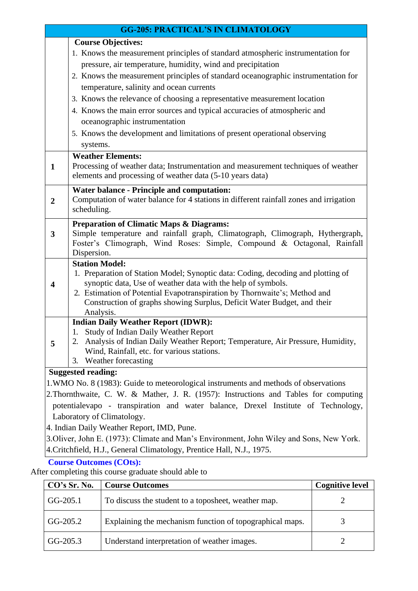|                | <b>GG-205: PRACTICAL'S IN CLIMATOLOGY</b>                                                                                      |  |  |
|----------------|--------------------------------------------------------------------------------------------------------------------------------|--|--|
|                | <b>Course Objectives:</b>                                                                                                      |  |  |
|                | 1. Knows the measurement principles of standard atmospheric instrumentation for                                                |  |  |
|                | pressure, air temperature, humidity, wind and precipitation                                                                    |  |  |
|                | 2. Knows the measurement principles of standard oceanographic instrumentation for                                              |  |  |
|                | temperature, salinity and ocean currents                                                                                       |  |  |
|                | 3. Knows the relevance of choosing a representative measurement location                                                       |  |  |
|                | 4. Knows the main error sources and typical accuracies of atmospheric and                                                      |  |  |
|                | oceanographic instrumentation                                                                                                  |  |  |
|                | 5. Knows the development and limitations of present operational observing                                                      |  |  |
|                | systems.                                                                                                                       |  |  |
|                | <b>Weather Elements:</b>                                                                                                       |  |  |
| $\mathbf{1}$   | Processing of weather data; Instrumentation and measurement techniques of weather                                              |  |  |
|                | elements and processing of weather data (5-10 years data)                                                                      |  |  |
|                | <b>Water balance - Principle and computation:</b>                                                                              |  |  |
| $\overline{2}$ | Computation of water balance for 4 stations in different rainfall zones and irrigation                                         |  |  |
|                | scheduling.                                                                                                                    |  |  |
|                | <b>Preparation of Climatic Maps &amp; Diagrams:</b>                                                                            |  |  |
| $\mathbf{3}$   | Simple temperature and rainfall graph, Climatograph, Climograph, Hythergraph,                                                  |  |  |
|                | Foster's Climograph, Wind Roses: Simple, Compound & Octagonal, Rainfall                                                        |  |  |
|                | Dispersion.<br><b>Station Model:</b>                                                                                           |  |  |
|                | 1. Preparation of Station Model; Synoptic data: Coding, decoding and plotting of                                               |  |  |
| 4              | synoptic data, Use of weather data with the help of symbols.                                                                   |  |  |
|                | 2. Estimation of Potential Evapotranspiration by Thornwaite's; Method and                                                      |  |  |
|                | Construction of graphs showing Surplus, Deficit Water Budget, and their                                                        |  |  |
|                | Analysis.                                                                                                                      |  |  |
|                | <b>Indian Daily Weather Report (IDWR):</b>                                                                                     |  |  |
|                | 1. Study of Indian Daily Weather Report                                                                                        |  |  |
| 5              | 2. Analysis of Indian Daily Weather Report; Temperature, Air Pressure, Humidity,<br>Wind, Rainfall, etc. for various stations. |  |  |
|                | Weather forecasting<br>3.                                                                                                      |  |  |
|                | <b>Suggested reading:</b>                                                                                                      |  |  |
|                | 1. WMO No. 8 (1983): Guide to meteorological instruments and methods of observations                                           |  |  |
|                | 2. Thornthwaite, C. W. & Mather, J. R. (1957): Instructions and Tables for computing                                           |  |  |

potentialevapo - transpiration and water balance, Drexel Institute of Technology, Laboratory of Climatology.

4. Indian Daily Weather Report, IMD, Pune.

3.Oliver, John E. (1973): Climate and Man's Environment, John Wiley and Sons, New York. 4.Critchfield, H.J., General Climatology, Prentice Hall, N.J., 1975.

# **Course Outcomes (COts):**

| CO's Sr. No. | <b>Course Outcomes</b>                                   | <b>Cognitive level</b> |
|--------------|----------------------------------------------------------|------------------------|
| $GG-205.1$   | To discuss the student to a toposheet, weather map.      |                        |
| $GG-205.2$   | Explaining the mechanism function of topographical maps. |                        |
| $GG-205.3$   | Understand interpretation of weather images.             |                        |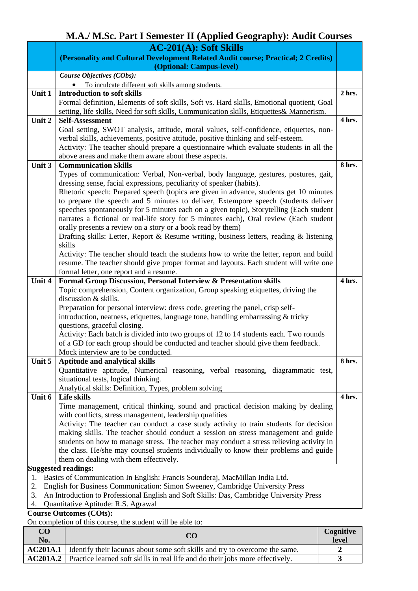# **M.A./ M.Sc. Part I Semester II (Applied Geography): Audit Courses**

|          | <b>AC-201(A): Soft Skills</b>                                                                                                                                |          |
|----------|--------------------------------------------------------------------------------------------------------------------------------------------------------------|----------|
|          | (Personality and Cultural Development Related Audit course; Practical; 2 Credits)                                                                            |          |
|          | (Optional: Campus-level)                                                                                                                                     |          |
|          | Course Objectives (CObs):                                                                                                                                    |          |
|          | To inculcate different soft skills among students.                                                                                                           |          |
| Unit 1   | <b>Introduction to soft skills</b>                                                                                                                           | $2$ hrs. |
|          | Formal definition, Elements of soft skills, Soft vs. Hard skills, Emotional quotient, Goal                                                                   |          |
|          | setting, life skills, Need for soft skills, Communication skills, Etiquettes& Mannerism.                                                                     |          |
| Unit 2   | <b>Self-Assessment</b>                                                                                                                                       | 4 hrs.   |
|          | Goal setting, SWOT analysis, attitude, moral values, self-confidence, etiquettes, non-                                                                       |          |
|          | verbal skills, achievements, positive attitude, positive thinking and self-esteem.                                                                           |          |
|          | Activity: The teacher should prepare a questionnaire which evaluate students in all the                                                                      |          |
|          | above areas and make them aware about these aspects.                                                                                                         |          |
| Unit 3   | <b>Communication Skills</b>                                                                                                                                  | 8 hrs.   |
|          | Types of communication: Verbal, Non-verbal, body language, gestures, postures, gait,                                                                         |          |
|          | dressing sense, facial expressions, peculiarity of speaker (habits).                                                                                         |          |
|          | Rhetoric speech: Prepared speech (topics are given in advance, students get 10 minutes                                                                       |          |
|          | to prepare the speech and 5 minutes to deliver, Extempore speech (students deliver                                                                           |          |
|          | speeches spontaneously for 5 minutes each on a given topic), Storytelling (Each student                                                                      |          |
|          | narrates a fictional or real-life story for 5 minutes each), Oral review (Each student<br>orally presents a review on a story or a book read by them)        |          |
|          | Drafting skills: Letter, Report & Resume writing, business letters, reading & listening                                                                      |          |
|          | skills                                                                                                                                                       |          |
|          | Activity: The teacher should teach the students how to write the letter, report and build                                                                    |          |
|          | resume. The teacher should give proper format and layouts. Each student will write one                                                                       |          |
|          | formal letter, one report and a resume.                                                                                                                      |          |
| Unit 4   | Formal Group Discussion, Personal Interview & Presentation skills                                                                                            | 4 hrs.   |
|          | Topic comprehension, Content organization, Group speaking etiquettes, driving the                                                                            |          |
|          | discussion & skills.                                                                                                                                         |          |
|          | Preparation for personal interview: dress code, greeting the panel, crisp self-                                                                              |          |
|          | introduction, neatness, etiquettes, language tone, handling embarrassing & tricky                                                                            |          |
|          | questions, graceful closing.                                                                                                                                 |          |
|          | Activity: Each batch is divided into two groups of 12 to 14 students each. Two rounds                                                                        |          |
|          | of a GD for each group should be conducted and teacher should give them feedback.                                                                            |          |
|          | Mock interview are to be conducted.                                                                                                                          |          |
| Unit 5   | <b>Aptitude and analytical skills</b>                                                                                                                        | 8 hrs.   |
|          | Quantitative aptitude, Numerical reasoning, verbal reasoning, diagrammatic test,                                                                             |          |
|          | situational tests, logical thinking.                                                                                                                         |          |
|          | Analytical skills: Definition, Types, problem solving                                                                                                        |          |
| Unit 6   | Life skills                                                                                                                                                  | 4 hrs.   |
|          | Time management, critical thinking, sound and practical decision making by dealing                                                                           |          |
|          | with conflicts, stress management, leadership qualities                                                                                                      |          |
|          | Activity: The teacher can conduct a case study activity to train students for decision                                                                       |          |
|          | making skills. The teacher should conduct a session on stress management and guide                                                                           |          |
|          | students on how to manage stress. The teacher may conduct a stress relieving activity in                                                                     |          |
|          | the class. He/she may counsel students individually to know their problems and guide                                                                         |          |
|          | them on dealing with them effectively.                                                                                                                       |          |
|          | <b>Suggested readings:</b>                                                                                                                                   |          |
| 1.<br>2. | Basics of Communication In English: Francis Sounderaj, MacMillan India Ltd.<br>English for Business Communication: Simon Sweeney, Cambridge University Press |          |
| 3.       | An Introduction to Professional English and Soft Skills: Das, Cambridge University Press                                                                     |          |
|          |                                                                                                                                                              |          |

4. Quantitative Aptitude: R.S. Agrawal

**Course Outcomes (COts):** 

| CO<br>No. | CO                                                                                            |  |
|-----------|-----------------------------------------------------------------------------------------------|--|
|           | <b>AC201A.1</b> I Identify their lacunas about some soft skills and try to overcome the same. |  |
|           | <b>AC201A.2</b> Practice learned soft skills in real life and do their jobs more effectively. |  |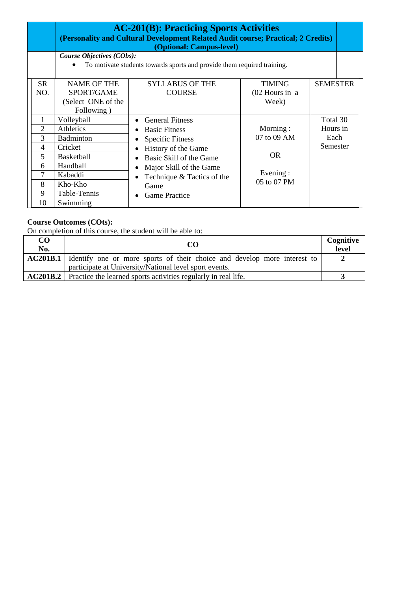|                                                              | <b>AC-201(B): Practicing Sports Activities</b><br>(Personality and Cultural Development Related Audit course; Practical; 2 Credits)<br>(Optional: Campus-level) |                                                                                                                                                                                                                                                |                                                           |                                          |  |
|--------------------------------------------------------------|-----------------------------------------------------------------------------------------------------------------------------------------------------------------|------------------------------------------------------------------------------------------------------------------------------------------------------------------------------------------------------------------------------------------------|-----------------------------------------------------------|------------------------------------------|--|
|                                                              | Course Objectives (CObs):<br>To motivate students towards sports and provide them required training.<br>$\bullet$                                               |                                                                                                                                                                                                                                                |                                                           |                                          |  |
| <b>SR</b><br>NO.                                             | <b>NAME OF THE</b><br>SPORT/GAME<br>(Select ONE of the<br>Following)                                                                                            | SYLLABUS OF THE<br><b>COURSE</b>                                                                                                                                                                                                               | <b>TIMING</b><br>(02 Hours in a<br>Week)                  | <b>SEMESTER</b>                          |  |
| 1<br>$\overline{2}$<br>3<br>4<br>5<br>6<br>7<br>8<br>9<br>10 | Volleyball<br>Athletics<br>Badminton<br>Cricket<br><b>Basketball</b><br>Handball<br>Kabaddi<br>Kho-Kho<br>Table-Tennis<br>Swimming                              | <b>General Fitness</b><br><b>Basic Fitness</b><br>$\bullet$<br><b>Specific Fitness</b><br>History of the Game<br>Basic Skill of the Game<br>Major Skill of the Game<br>Technique & Tactics of the<br>$\bullet$<br>Game<br><b>Game Practice</b> | Morning:<br>07 to 09 AM<br>OR.<br>Evening:<br>05 to 07 PM | Total 30<br>Hours in<br>Each<br>Semester |  |

| CO<br>No. | CO.                                                                                      | Cognitive<br>level |
|-----------|------------------------------------------------------------------------------------------|--------------------|
|           | <b>AC201B.1</b> Identify one or more sports of their choice and develop more interest to |                    |
|           | participate at University/National level sport events.                                   |                    |
|           | <b>AC201B.2</b> Practice the learned sports activities regularly in real life.           |                    |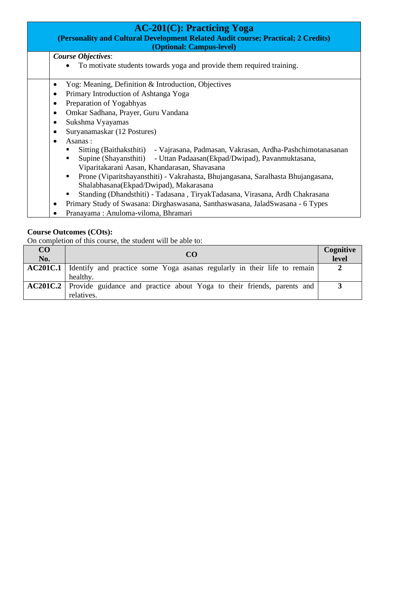| $AC-201(C)$ : Practicing Yoga<br>(Personality and Cultural Development Related Audit course; Practical; 2 Credits)<br>(Optional: Campus-level) |  |  |
|------------------------------------------------------------------------------------------------------------------------------------------------|--|--|
| <b>Course Objectives:</b>                                                                                                                      |  |  |
| To motivate students towards yoga and provide them required training.                                                                          |  |  |
| Yog: Meaning, Definition & Introduction, Objectives<br>٠                                                                                       |  |  |
| Primary Introduction of Ashtanga Yoga<br>٠                                                                                                     |  |  |
| Preparation of Yogabhyas<br>$\bullet$                                                                                                          |  |  |
| Omkar Sadhana, Prayer, Guru Vandana<br>٠                                                                                                       |  |  |
| Sukshma Vyayamas<br>٠                                                                                                                          |  |  |
| Suryanamaskar (12 Postures)<br>٠                                                                                                               |  |  |
| Asanas:<br>$\bullet$                                                                                                                           |  |  |
| Sitting (Baithaksthiti) - Vajrasana, Padmasan, Vakrasan, Ardha-Pashchimotanasanan                                                              |  |  |
| Supine (Shayansthiti) - Uttan Padaasan (Ekpad/Dwipad), Pavanmuktasana,                                                                         |  |  |
| Viparitakarani Aasan, Khandarasan, Shavasana                                                                                                   |  |  |
| Prone (Viparitshayansthiti) - Vakrahasta, Bhujangasana, Saralhasta Bhujangasana,<br>٠                                                          |  |  |
| Shalabhasana(Ekpad/Dwipad), Makarasana                                                                                                         |  |  |
| Standing (Dhandsthiti) - Tadasana, TiryakTadasana, Virasana, Ardh Chakrasana                                                                   |  |  |
| Primary Study of Swasana: Dirghaswasana, Santhaswasana, JaladSwasana - 6 Types                                                                 |  |  |
| Pranayama: Anuloma-viloma, Bhramari                                                                                                            |  |  |

| CO<br>No. | CO                                                                                                   | Cognitive<br>level |
|-----------|------------------------------------------------------------------------------------------------------|--------------------|
|           | <b>AC201C.1</b> Identify and practice some Yoga asanas regularly in their life to remain<br>healthy. |                    |
|           | <b>AC201C.2</b> Provide guidance and practice about Yoga to their friends, parents and<br>relatives. |                    |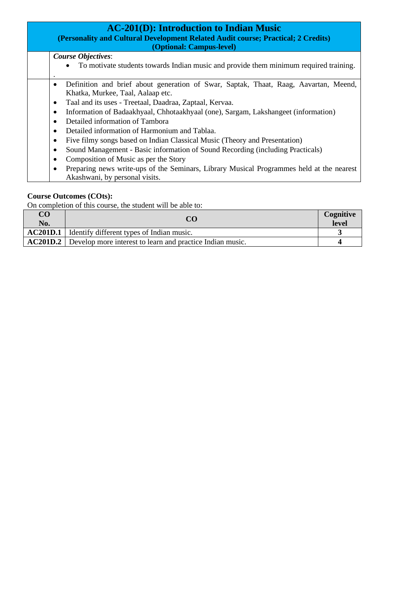| <b>AC-201(D): Introduction to Indian Music</b><br>(Personality and Cultural Development Related Audit course; Practical; 2 Credits)<br>(Optional: Campus-level) |  |
|-----------------------------------------------------------------------------------------------------------------------------------------------------------------|--|
| <b>Course Objectives:</b>                                                                                                                                       |  |
| To motivate students towards Indian music and provide them minimum required training.                                                                           |  |
| Definition and brief about generation of Swar, Saptak, Thaat, Raag, Aavartan, Meend,<br>٠                                                                       |  |
| Khatka, Murkee, Taal, Aalaap etc.                                                                                                                               |  |
| Taal and its uses - Treetaal, Daadraa, Zaptaal, Kervaa.<br>٠                                                                                                    |  |
| Information of Badaakhyaal, Chhotaakhyaal (one), Sargam, Lakshangeet (information)<br>٠                                                                         |  |
| Detailed information of Tambora                                                                                                                                 |  |
| Detailed information of Harmonium and Tablaa.                                                                                                                   |  |
| Five filmy songs based on Indian Classical Music (Theory and Presentation)                                                                                      |  |
| Sound Management - Basic information of Sound Recording (including Practicals)                                                                                  |  |
| Composition of Music as per the Story                                                                                                                           |  |
| Preparing news write-ups of the Seminars, Library Musical Programmes held at the nearest<br>Akashwani, by personal visits.                                      |  |

| $\overline{C}$<br>No. | CO                                                                        | Cognitive<br>level |
|-----------------------|---------------------------------------------------------------------------|--------------------|
| <b>AC201D.1</b>       | I Identify different types of Indian music.                               |                    |
|                       | <b>AC201D.2</b> Develop more interest to learn and practice Indian music. |                    |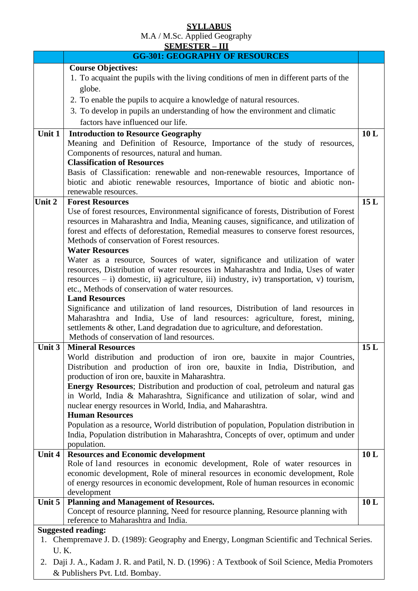# **SYLLABUS**

M.A / M.Sc. Applied Geography

|             | <b>SEMESTER - III</b>                                                                                                                                              |     |
|-------------|--------------------------------------------------------------------------------------------------------------------------------------------------------------------|-----|
|             | <b>GG-301: GEOGRAPHY OF RESOURCES</b>                                                                                                                              |     |
|             | <b>Course Objectives:</b>                                                                                                                                          |     |
|             | 1. To acquaint the pupils with the living conditions of men in different parts of the                                                                              |     |
|             | globe.                                                                                                                                                             |     |
|             | 2. To enable the pupils to acquire a knowledge of natural resources.                                                                                               |     |
|             | 3. To develop in pupils an understanding of how the environment and climatic                                                                                       |     |
|             | factors have influenced our life.                                                                                                                                  |     |
| Unit 1      |                                                                                                                                                                    | 10L |
|             | <b>Introduction to Resource Geography</b><br>Meaning and Definition of Resource, Importance of the study of resources,                                             |     |
|             | Components of resources, natural and human.                                                                                                                        |     |
|             | <b>Classification of Resources</b>                                                                                                                                 |     |
|             | Basis of Classification: renewable and non-renewable resources, Importance of                                                                                      |     |
|             | biotic and abiotic renewable resources, Importance of biotic and abiotic non-                                                                                      |     |
|             | renewable resources.                                                                                                                                               |     |
| Unit 2      | <b>Forest Resources</b>                                                                                                                                            | 15L |
|             | Use of forest resources, Environmental significance of forests, Distribution of Forest                                                                             |     |
|             | resources in Maharashtra and India, Meaning causes, significance, and utilization of                                                                               |     |
|             | forest and effects of deforestation, Remedial measures to conserve forest resources,                                                                               |     |
|             | Methods of conservation of Forest resources.                                                                                                                       |     |
|             | <b>Water Resources</b>                                                                                                                                             |     |
|             | Water as a resource, Sources of water, significance and utilization of water                                                                                       |     |
|             | resources, Distribution of water resources in Maharashtra and India, Uses of water                                                                                 |     |
|             | resources $- i$ ) domestic, ii) agriculture, iii) industry, iv) transportation, v) tourism,                                                                        |     |
|             | etc., Methods of conservation of water resources.                                                                                                                  |     |
|             | <b>Land Resources</b>                                                                                                                                              |     |
|             | Significance and utilization of land resources, Distribution of land resources in                                                                                  |     |
|             | Maharashtra and India, Use of land resources: agriculture, forest, mining,                                                                                         |     |
|             | settlements & other, Land degradation due to agriculture, and deforestation.                                                                                       |     |
|             | Methods of conservation of land resources.                                                                                                                         |     |
| Unit 3      | <b>Mineral Resources</b>                                                                                                                                           | 15L |
|             | World distribution and production of iron ore, bauxite in major Countries,                                                                                         |     |
|             | Distribution and production of iron ore, bauxite in India, Distribution, and                                                                                       |     |
|             | production of iron ore, bauxite in Maharashtra.                                                                                                                    |     |
|             | Energy Resources; Distribution and production of coal, petroleum and natural gas<br>in World, India & Maharashtra, Significance and utilization of solar, wind and |     |
|             | nuclear energy resources in World, India, and Maharashtra.                                                                                                         |     |
|             | <b>Human Resources</b>                                                                                                                                             |     |
|             | Population as a resource, World distribution of population, Population distribution in                                                                             |     |
|             | India, Population distribution in Maharashtra, Concepts of over, optimum and under                                                                                 |     |
|             | population.                                                                                                                                                        |     |
| Unit $4$    | <b>Resources and Economic development</b>                                                                                                                          | 10L |
|             | Role of land resources in economic development, Role of water resources in                                                                                         |     |
|             | economic development, Role of mineral resources in economic development, Role                                                                                      |     |
|             | of energy resources in economic development, Role of human resources in economic                                                                                   |     |
|             | development                                                                                                                                                        |     |
| Unit 5      | <b>Planning and Management of Resources.</b>                                                                                                                       | 10L |
|             | Concept of resource planning, Need for resource planning, Resource planning with                                                                                   |     |
|             | reference to Maharashtra and India.                                                                                                                                |     |
|             | <b>Suggested reading:</b>                                                                                                                                          |     |
| 1.          | Chempremave J. D. (1989): Geography and Energy, Longman Scientific and Technical Series.                                                                           |     |
| <b>U.K.</b> |                                                                                                                                                                    |     |
| 2.          | Daji J. A., Kadam J. R. and Patil, N. D. (1996): A Textbook of Soil Science, Media Promoters                                                                       |     |

& Publishers Pvt. Ltd. Bombay.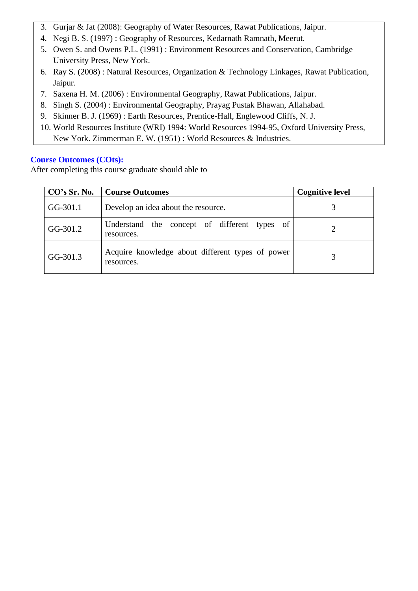- 3. Gurjar & Jat (2008): Geography of Water Resources, Rawat Publications, Jaipur.
- 4. Negi B. S. (1997) : Geography of Resources, Kedarnath Ramnath, Meerut.
- 5. Owen S. and Owens P.L. (1991) : Environment Resources and Conservation, Cambridge University Press, New York.
- 6. Ray S. (2008) : Natural Resources, Organization & Technology Linkages, Rawat Publication, Jaipur.
- 7. Saxena H. M. (2006) : Environmental Geography, Rawat Publications, Jaipur.
- 8. Singh S. (2004) : Environmental Geography, Prayag Pustak Bhawan, Allahabad.
- 9. Skinner B. J. (1969) : Earth Resources, Prentice-Hall, Englewood Cliffs, N. J.
- 10. World Resources Institute (WRI) 1994: World Resources 1994-95, Oxford University Press, New York. Zimmerman E. W. (1951) : World Resources & Industries.

| CO's Sr. No. | <b>Course Outcomes</b>                                         | <b>Cognitive level</b> |
|--------------|----------------------------------------------------------------|------------------------|
| GG-301.1     | Develop an idea about the resource.                            |                        |
| GG-301.2     | Understand the concept of different types of<br>resources.     |                        |
| GG-301.3     | Acquire knowledge about different types of power<br>resources. |                        |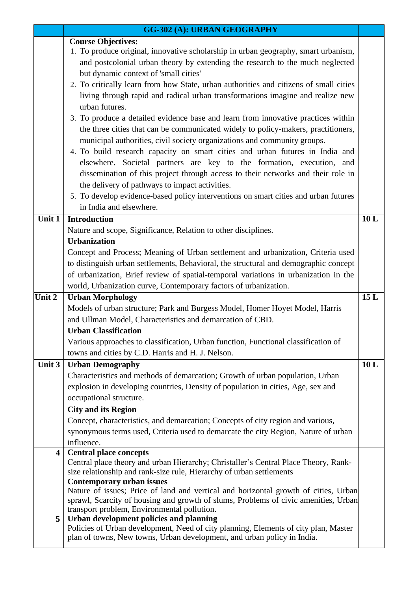|        | <b>GG-302 (A): URBAN GEOGRAPHY</b>                                                                                                                       |     |  |  |
|--------|----------------------------------------------------------------------------------------------------------------------------------------------------------|-----|--|--|
|        | <b>Course Objectives:</b>                                                                                                                                |     |  |  |
|        | 1. To produce original, innovative scholarship in urban geography, smart urbanism,                                                                       |     |  |  |
|        | and postcolonial urban theory by extending the research to the much neglected                                                                            |     |  |  |
|        | but dynamic context of 'small cities'                                                                                                                    |     |  |  |
|        | 2. To critically learn from how State, urban authorities and citizens of small cities                                                                    |     |  |  |
|        | living through rapid and radical urban transformations imagine and realize new                                                                           |     |  |  |
|        | urban futures.                                                                                                                                           |     |  |  |
|        | 3. To produce a detailed evidence base and learn from innovative practices within                                                                        |     |  |  |
|        | the three cities that can be communicated widely to policy-makers, practitioners,                                                                        |     |  |  |
|        | municipal authorities, civil society organizations and community groups.<br>4. To build research capacity on smart cities and urban futures in India and |     |  |  |
|        | elsewhere. Societal partners are key to the formation, execution, and                                                                                    |     |  |  |
|        | dissemination of this project through access to their networks and their role in                                                                         |     |  |  |
|        | the delivery of pathways to impact activities.                                                                                                           |     |  |  |
|        |                                                                                                                                                          |     |  |  |
|        | 5. To develop evidence-based policy interventions on smart cities and urban futures<br>in India and elsewhere.                                           |     |  |  |
| Unit 1 | <b>Introduction</b>                                                                                                                                      |     |  |  |
|        |                                                                                                                                                          | 10L |  |  |
|        | Nature and scope, Significance, Relation to other disciplines.<br><b>Urbanization</b>                                                                    |     |  |  |
|        | Concept and Process; Meaning of Urban settlement and urbanization, Criteria used                                                                         |     |  |  |
|        | to distinguish urban settlements, Behavioral, the structural and demographic concept                                                                     |     |  |  |
|        | of urbanization, Brief review of spatial-temporal variations in urbanization in the                                                                      |     |  |  |
|        | world, Urbanization curve, Contemporary factors of urbanization.                                                                                         |     |  |  |
| Unit 2 | <b>Urban Morphology</b>                                                                                                                                  | 15L |  |  |
|        | Models of urban structure; Park and Burgess Model, Homer Hoyet Model, Harris                                                                             |     |  |  |
|        | and Ullman Model, Characteristics and demarcation of CBD.                                                                                                |     |  |  |
|        | <b>Urban Classification</b>                                                                                                                              |     |  |  |
|        | Various approaches to classification, Urban function, Functional classification of                                                                       |     |  |  |
|        | towns and cities by C.D. Harris and H. J. Nelson.                                                                                                        |     |  |  |
| Unit 3 | <b>Urban Demography</b>                                                                                                                                  | 10L |  |  |
|        | Characteristics and methods of demarcation; Growth of urban population, Urban                                                                            |     |  |  |
|        | explosion in developing countries, Density of population in cities, Age, sex and                                                                         |     |  |  |
|        | occupational structure.                                                                                                                                  |     |  |  |
|        | <b>City and its Region</b>                                                                                                                               |     |  |  |
|        | Concept, characteristics, and demarcation; Concepts of city region and various,                                                                          |     |  |  |
|        | synonymous terms used, Criteria used to demarcate the city Region, Nature of urban                                                                       |     |  |  |
|        | influence.                                                                                                                                               |     |  |  |
| 4      | <b>Central place concepts</b><br>Central place theory and urban Hierarchy; Christaller's Central Place Theory, Rank-                                     |     |  |  |
|        | size relationship and rank-size rule, Hierarchy of urban settlements                                                                                     |     |  |  |
|        | <b>Contemporary urban issues</b>                                                                                                                         |     |  |  |
|        | Nature of issues; Price of land and vertical and horizontal growth of cities, Urban                                                                      |     |  |  |
|        | sprawl, Scarcity of housing and growth of slums, Problems of civic amenities, Urban                                                                      |     |  |  |
| 5      | transport problem, Environmental pollution.<br>Urban development policies and planning                                                                   |     |  |  |
|        | Policies of Urban development, Need of city planning, Elements of city plan, Master                                                                      |     |  |  |
|        | plan of towns, New towns, Urban development, and urban policy in India.                                                                                  |     |  |  |
|        |                                                                                                                                                          |     |  |  |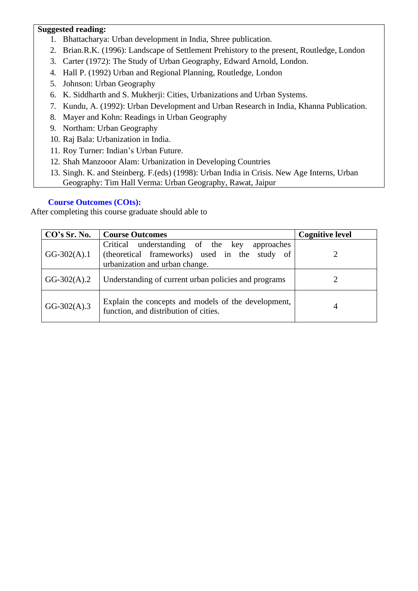## **Suggested reading:**

- 1. Bhattacharya: Urban development in India, Shree publication.
- 2. Brian.R.K. (1996): Landscape of Settlement Prehistory to the present, Routledge, London
- 3. Carter (1972): The Study of Urban Geography, Edward Arnold, London.
- 4. Hall P. (1992) Urban and Regional Planning, Routledge, London
- 5. Johnson: Urban Geography
- 6. K. Siddharth and S. Mukherji: Cities, Urbanizations and Urban Systems.
- 7. Kundu, A. (1992): Urban Development and Urban Research in India, Khanna Publication.
- 8. Mayer and Kohn: Readings in Urban Geography
- 9. Northam: Urban Geography
- 10. Raj Bala: Urbanization in India.
- 11. Roy Turner: Indian's Urban Future.
- 12. Shah Manzooor Alam: Urbanization in Developing Countries
- 13. Singh. K. and Steinberg. F.(eds) (1998): Urban India in Crisis. New Age Interns, Urban Geography: Tim Hall Verma: Urban Geography, Rawat, Jaipur

# **Course Outcomes (COts):**

| CO's Sr. No.  | <b>Course Outcomes</b>                                                                                                             | <b>Cognitive level</b> |
|---------------|------------------------------------------------------------------------------------------------------------------------------------|------------------------|
| $GG-302(A).1$ | Critical understanding of the key<br>approaches<br>(theoretical frameworks) used in the study of<br>urbanization and urban change. | 7                      |
| $GG-302(A).2$ | Understanding of current urban policies and programs                                                                               |                        |
| $GG-302(A).3$ | Explain the concepts and models of the development,<br>function, and distribution of cities.                                       | 4                      |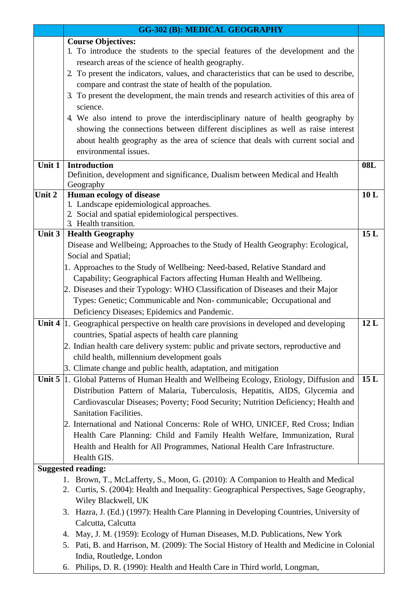|          | <b>GG-302 (B): MEDICAL GEOGRAPHY</b>                                                                                              |            |
|----------|-----------------------------------------------------------------------------------------------------------------------------------|------------|
|          | <b>Course Objectives:</b>                                                                                                         |            |
|          | 1. To introduce the students to the special features of the development and the                                                   |            |
|          | research areas of the science of health geography.                                                                                |            |
|          | 2. To present the indicators, values, and characteristics that can be used to describe,                                           |            |
|          | compare and contrast the state of health of the population.                                                                       |            |
|          | 3. To present the development, the main trends and research activities of this area of                                            |            |
|          | science.                                                                                                                          |            |
|          | 4. We also intend to prove the interdisciplinary nature of health geography by                                                    |            |
|          | showing the connections between different disciplines as well as raise interest                                                   |            |
|          | about health geography as the area of science that deals with current social and                                                  |            |
|          | environmental issues.                                                                                                             |            |
|          |                                                                                                                                   |            |
| Unit 1   | <b>Introduction</b>                                                                                                               | <b>08L</b> |
|          | Definition, development and significance, Dualism between Medical and Health                                                      |            |
| Unit 2   | Geography                                                                                                                         | 10L        |
|          | Human ecology of disease<br>1. Landscape epidemiological approaches.                                                              |            |
|          | 2. Social and spatial epidemiological perspectives.                                                                               |            |
|          | 3. Health transition.                                                                                                             |            |
| Unit $3$ | <b>Health Geography</b>                                                                                                           | 15L        |
|          | Disease and Wellbeing; Approaches to the Study of Health Geography: Ecological,                                                   |            |
|          | Social and Spatial;                                                                                                               |            |
|          | 1. Approaches to the Study of Wellbeing: Need-based, Relative Standard and                                                        |            |
|          | Capability; Geographical Factors affecting Human Health and Wellbeing.                                                            |            |
|          | 2. Diseases and their Typology: WHO Classification of Diseases and their Major                                                    |            |
|          | Types: Genetic; Communicable and Non-communicable; Occupational and                                                               |            |
|          | Deficiency Diseases; Epidemics and Pandemic.                                                                                      |            |
| Unit 4   | 1. Geographical perspective on health care provisions in developed and developing                                                 | 12L        |
|          | countries, Spatial aspects of health care planning                                                                                |            |
|          |                                                                                                                                   |            |
|          | 2. Indian health care delivery system: public and private sectors, reproductive and<br>child health, millennium development goals |            |
|          |                                                                                                                                   |            |
|          | 3. Climate change and public health, adaptation, and mitigation                                                                   |            |
| Unit 5   | 1. Global Patterns of Human Health and Wellbeing Ecology, Etiology, Diffusion and                                                 | 15L        |
|          | Distribution Pattern of Malaria, Tuberculosis, Hepatitis, AIDS, Glycemia and                                                      |            |
|          | Cardiovascular Diseases; Poverty; Food Security; Nutrition Deficiency; Health and                                                 |            |
|          | <b>Sanitation Facilities.</b>                                                                                                     |            |
|          | 2. International and National Concerns: Role of WHO, UNICEF, Red Cross; Indian                                                    |            |
|          | Health Care Planning: Child and Family Health Welfare, Immunization, Rural                                                        |            |
|          | Health and Health for All Programmes, National Health Care Infrastructure.                                                        |            |
|          | Health GIS.                                                                                                                       |            |
|          | <b>Suggested reading:</b>                                                                                                         |            |
|          | 1. Brown, T., McLafferty, S., Moon, G. (2010): A Companion to Health and Medical                                                  |            |
|          | 2. Curtis, S. (2004): Health and Inequality: Geographical Perspectives, Sage Geography,                                           |            |
|          | Wiley Blackwell, UK                                                                                                               |            |
|          | 3. Hazra, J. (Ed.) (1997): Health Care Planning in Developing Countries, University of                                            |            |
|          | Calcutta, Calcutta                                                                                                                |            |
|          | 4. May, J. M. (1959): Ecology of Human Diseases, M.D. Publications, New York                                                      |            |
|          | 5. Pati, B. and Harrison, M. (2009): The Social History of Health and Medicine in Colonial                                        |            |
|          | India, Routledge, London                                                                                                          |            |
|          | 6. Philips, D. R. (1990): Health and Health Care in Third world, Longman,                                                         |            |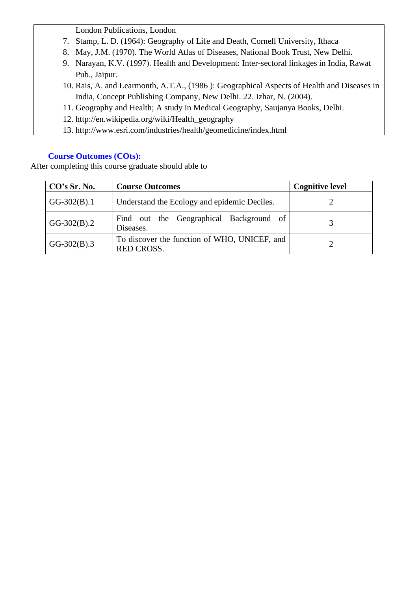London Publications, London

- 7. Stamp, L. D. (1964): Geography of Life and Death, Cornell University, Ithaca
- 8. May, J.M. (1970). The World Atlas of Diseases, National Book Trust, New Delhi.
- 9. Narayan, K.V. (1997). Health and Development: Inter-sectoral linkages in India, Rawat Pub., Jaipur.
- 10. Rais, A. and Learmonth, A.T.A., (1986 ): Geographical Aspects of Health and Diseases in India, Concept Publishing Company, New Delhi. 22. Izhar, N. (2004).
- 11. Geography and Health; A study in Medical Geography, Saujanya Books, Delhi.
- 12. [http://en.wikipedia.org/wiki/Health\\_geography](http://en.wikipedia.org/wiki/Health_geography)
- 13. <http://www.esri.com/industries/health/geomedicine/index.html>

# **Course Outcomes (COts):**

| CO's Sr. No.  | <b>Course Outcomes</b>                                            | <b>Cognitive level</b> |
|---------------|-------------------------------------------------------------------|------------------------|
| $GG-302(B).1$ | Understand the Ecology and epidemic Deciles.                      |                        |
| $GG-302(B).2$ | Find out the Geographical Background of<br>Diseases.              |                        |
| $GG-302(B).3$ | To discover the function of WHO, UNICEF, and<br><b>RED CROSS.</b> |                        |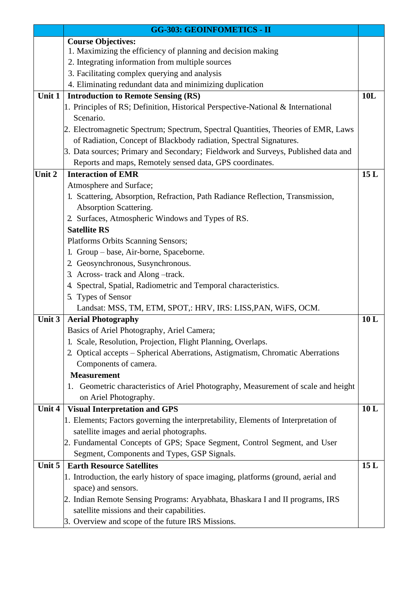|        | <b>GG-303: GEOINFOMETICS - II</b>                                                                       |     |
|--------|---------------------------------------------------------------------------------------------------------|-----|
|        | <b>Course Objectives:</b>                                                                               |     |
|        | 1. Maximizing the efficiency of planning and decision making                                            |     |
|        | 2. Integrating information from multiple sources                                                        |     |
|        | 3. Facilitating complex querying and analysis                                                           |     |
|        | 4. Eliminating redundant data and minimizing duplication                                                |     |
| Unit 1 | <b>Introduction to Remote Sensing (RS)</b>                                                              | 10L |
|        | 1. Principles of RS; Definition, Historical Perspective-National & International                        |     |
|        | Scenario.                                                                                               |     |
|        | 2. Electromagnetic Spectrum; Spectrum, Spectral Quantities, Theories of EMR, Laws                       |     |
|        | of Radiation, Concept of Blackbody radiation, Spectral Signatures.                                      |     |
|        | 3. Data sources; Primary and Secondary; Fieldwork and Surveys, Published data and                       |     |
|        | Reports and maps, Remotely sensed data, GPS coordinates.                                                |     |
| Unit 2 | <b>Interaction of EMR</b>                                                                               | 15L |
|        | Atmosphere and Surface;                                                                                 |     |
|        | 1. Scattering, Absorption, Refraction, Path Radiance Reflection, Transmission,                          |     |
|        | Absorption Scattering.                                                                                  |     |
|        | 2. Surfaces, Atmospheric Windows and Types of RS.                                                       |     |
|        | <b>Satellite RS</b>                                                                                     |     |
|        | Platforms Orbits Scanning Sensors;                                                                      |     |
|        | 1. Group – base, Air-borne, Spaceborne.                                                                 |     |
|        | 2. Geosynchronous, Susynchronous.                                                                       |     |
|        | 3. Across-track and Along-track.                                                                        |     |
|        | 4. Spectral, Spatial, Radiometric and Temporal characteristics.                                         |     |
|        | 5. Types of Sensor                                                                                      |     |
|        | Landsat: MSS, TM, ETM, SPOT,: HRV, IRS: LISS, PAN, WiFS, OCM.                                           |     |
| Unit 3 | <b>Aerial Photography</b>                                                                               | 10L |
|        | Basics of Ariel Photography, Ariel Camera;                                                              |     |
|        | 1. Scale, Resolution, Projection, Flight Planning, Overlaps.                                            |     |
|        | 2. Optical accepts - Spherical Aberrations, Astigmatism, Chromatic Aberrations<br>Components of camera. |     |
|        | <b>Measurement</b>                                                                                      |     |
|        | Geometric characteristics of Ariel Photography, Measurement of scale and height                         |     |
|        | 1.<br>on Ariel Photography.                                                                             |     |
| Unit 4 | <b>Visual Interpretation and GPS</b>                                                                    | 10L |
|        | 1. Elements; Factors governing the interpretability, Elements of Interpretation of                      |     |
|        | satellite images and aerial photographs.                                                                |     |
|        | 2. Fundamental Concepts of GPS; Space Segment, Control Segment, and User                                |     |
|        | Segment, Components and Types, GSP Signals.                                                             |     |
| Unit 5 | <b>Earth Resource Satellites</b>                                                                        | 15L |
|        | 1. Introduction, the early history of space imaging, platforms (ground, aerial and                      |     |
|        | space) and sensors.                                                                                     |     |
|        | 2. Indian Remote Sensing Programs: Aryabhata, Bhaskara I and II programs, IRS                           |     |
|        | satellite missions and their capabilities.                                                              |     |
|        | 3. Overview and scope of the future IRS Missions.                                                       |     |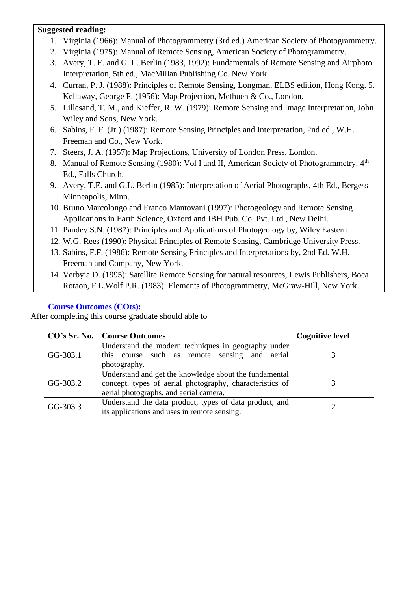# **Suggested reading:**

- 1. Virginia (1966): Manual of Photogrammetry (3rd ed.) American Society of Photogrammetry.
- 2. Virginia (1975): Manual of Remote Sensing, American Society of Photogrammetry.
- 3. Avery, T. E. and G. L. Berlin (1983, 1992): Fundamentals of Remote Sensing and Airphoto Interpretation, 5th ed., MacMillan Publishing Co. New York.
- 4. Curran, P. J. (1988): Principles of Remote Sensing, Longman, ELBS edition, Hong Kong. 5. Kellaway, George P. (1956): Map Projection, Methuen & Co., London.
- 5. Lillesand, T. M., and Kieffer, R. W. (1979): Remote Sensing and Image Interpretation, John Wiley and Sons, New York.
- 6. Sabins, F. F. (Jr.) (1987): Remote Sensing Principles and Interpretation, 2nd ed., W.H. Freeman and Co., New York.
- 7. Steers, J. A. (1957): Map Projections, University of London Press, London.
- 8. Manual of Remote Sensing (1980): Vol I and II, American Society of Photogrammetry. 4<sup>th</sup> Ed., Falls Church.
- 9. Avery, T.E. and G.L. Berlin (1985): Interpretation of Aerial Photographs, 4th Ed., Bergess Minneapolis, Minn.
- 10. Bruno Marcolongo and Franco Mantovani (1997): Photogeology and Remote Sensing Applications in Earth Science, Oxford and IBH Pub. Co. Pvt. Ltd., New Delhi.
- 11. Pandey S.N. (1987): Principles and Applications of Photogeology by, Wiley Eastern.
- 12. W.G. Rees (1990): Physical Principles of Remote Sensing, Cambridge University Press.
- 13. Sabins, F.F. (1986): Remote Sensing Principles and Interpretations by, 2nd Ed. W.H. Freeman and Company, New York.
- 14. Verbyia D. (1995): Satellite Remote Sensing for natural resources, Lewis Publishers, Boca Rotaon, F.L.Wolf P.R. (1983): Elements of Photogrammetry, McGraw-Hill, New York.

# **Course Outcomes (COts):**

|          | CO's Sr. No.   Course Outcomes                                                                                                                               | <b>Cognitive level</b> |
|----------|--------------------------------------------------------------------------------------------------------------------------------------------------------------|------------------------|
| GG-303.1 | Understand the modern techniques in geography under<br>this course such as remote sensing and aerial<br>photography.                                         |                        |
| GG-303.2 | Understand and get the knowledge about the fundamental<br>concept, types of aerial photography, characteristics of<br>aerial photographs, and aerial camera. |                        |
| GG-303.3 | Understand the data product, types of data product, and<br>its applications and uses in remote sensing.                                                      |                        |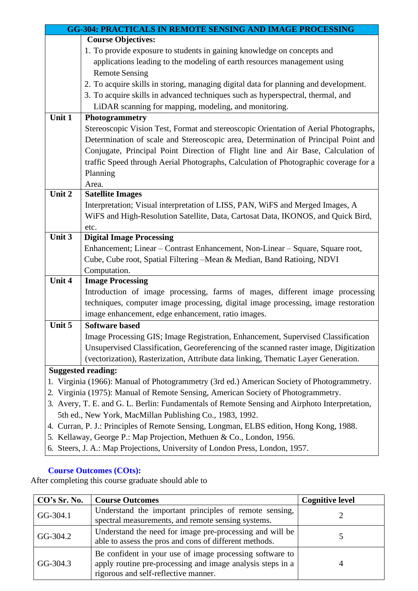|          | <b>GG-304: PRACTICALS IN REMOTE SENSING AND IMAGE PROCESSING</b>                              |
|----------|-----------------------------------------------------------------------------------------------|
|          | <b>Course Objectives:</b>                                                                     |
|          | 1. To provide exposure to students in gaining knowledge on concepts and                       |
|          | applications leading to the modeling of earth resources management using                      |
|          | <b>Remote Sensing</b>                                                                         |
|          | 2. To acquire skills in storing, managing digital data for planning and development.          |
|          | 3. To acquire skills in advanced techniques such as hyperspectral, thermal, and               |
|          | LiDAR scanning for mapping, modeling, and monitoring.                                         |
| Unit 1   | Photogrammetry                                                                                |
|          | Stereoscopic Vision Test, Format and stereoscopic Orientation of Aerial Photographs,          |
|          | Determination of scale and Stereoscopic area, Determination of Principal Point and            |
|          | Conjugate, Principal Point Direction of Flight line and Air Base, Calculation of              |
|          | traffic Speed through Aerial Photographs, Calculation of Photographic coverage for a          |
|          | Planning                                                                                      |
|          | Area.                                                                                         |
| Unit 2   | <b>Satellite Images</b>                                                                       |
|          | Interpretation; Visual interpretation of LISS, PAN, WiFS and Merged Images, A                 |
|          | WiFS and High-Resolution Satellite, Data, Cartosat Data, IKONOS, and Quick Bird,              |
|          | etc.                                                                                          |
| Unit $3$ | <b>Digital Image Processing</b>                                                               |
|          | Enhancement; Linear – Contrast Enhancement, Non-Linear – Square, Square root,                 |
|          | Cube, Cube root, Spatial Filtering -Mean & Median, Band Ratioing, NDVI                        |
|          | Computation.                                                                                  |
| Unit 4   | <b>Image Processing</b>                                                                       |
|          | Introduction of image processing, farms of mages, different image processing                  |
|          | techniques, computer image processing, digital image processing, image restoration            |
|          | image enhancement, edge enhancement, ratio images.                                            |
| Unit 5   | <b>Software based</b>                                                                         |
|          | Image Processing GIS; Image Registration, Enhancement, Supervised Classification              |
|          | Unsupervised Classification, Georeferencing of the scanned raster image, Digitization         |
|          | (vectorization), Rasterization, Attribute data linking, Thematic Layer Generation.            |
|          | <b>Suggested reading:</b>                                                                     |
|          | Virginia (1966): Manual of Photogrammetry (3rd ed.) American Society of Photogrammetry.       |
|          | 2. Virginia (1975): Manual of Remote Sensing, American Society of Photogrammetry.             |
|          | 3. Avery, T. E. and G. L. Berlin: Fundamentals of Remote Sensing and Airphoto Interpretation, |
|          | 5th ed., New York, MacMillan Publishing Co., 1983, 1992.                                      |
|          | 4. Curran, P. J.: Principles of Remote Sensing, Longman, ELBS edition, Hong Kong, 1988.       |

- 5. Kellaway, George P.: Map Projection, Methuen & Co., London, 1956.
- 6. Steers, J. A.: Map Projections, University of London Press, London, 1957.

| CO's Sr. No. | <b>Course Outcomes</b>                                                                                                                                         | <b>Cognitive level</b> |
|--------------|----------------------------------------------------------------------------------------------------------------------------------------------------------------|------------------------|
| GG-304.1     | Understand the important principles of remote sensing,<br>spectral measurements, and remote sensing systems.                                                   |                        |
| GG-304.2     | Understand the need for image pre-processing and will be<br>able to assess the pros and cons of different methods.                                             |                        |
| $GG-304.3$   | Be confident in your use of image processing software to<br>apply routine pre-processing and image analysis steps in a<br>rigorous and self-reflective manner. |                        |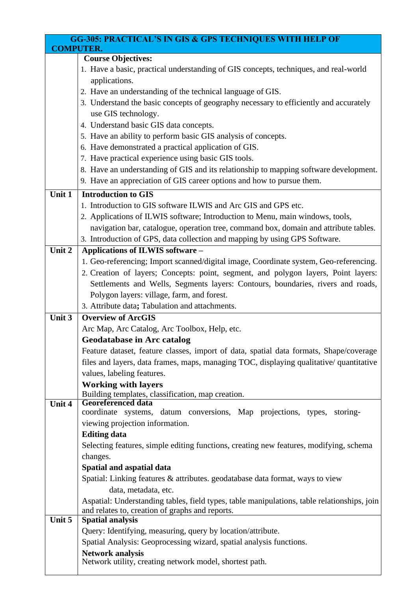|                  | <b>GG-305: PRACTICAL'S IN GIS &amp; GPS TECHNIQUES WITH HELP OF</b>                         |
|------------------|---------------------------------------------------------------------------------------------|
| <b>COMPUTER.</b> |                                                                                             |
|                  | <b>Course Objectives:</b>                                                                   |
|                  | 1. Have a basic, practical understanding of GIS concepts, techniques, and real-world        |
|                  | applications.                                                                               |
|                  | 2. Have an understanding of the technical language of GIS.                                  |
|                  | 3. Understand the basic concepts of geography necessary to efficiently and accurately       |
|                  | use GIS technology.                                                                         |
|                  | 4. Understand basic GIS data concepts.                                                      |
|                  | 5. Have an ability to perform basic GIS analysis of concepts.                               |
|                  | 6. Have demonstrated a practical application of GIS.                                        |
|                  | 7. Have practical experience using basic GIS tools.                                         |
|                  | 8. Have an understanding of GIS and its relationship to mapping software development.       |
|                  | 9. Have an appreciation of GIS career options and how to pursue them.                       |
| Unit $1$         | <b>Introduction to GIS</b>                                                                  |
|                  | 1. Introduction to GIS software ILWIS and Arc GIS and GPS etc.                              |
|                  | 2. Applications of ILWIS software; Introduction to Menu, main windows, tools,               |
|                  | navigation bar, catalogue, operation tree, command box, domain and attribute tables.        |
|                  | 3. Introduction of GPS, data collection and mapping by using GPS Software.                  |
| Unit 2           | Applications of ILWIS software -                                                            |
|                  | 1. Geo-referencing; Import scanned/digital image, Coordinate system, Geo-referencing.       |
|                  | 2. Creation of layers; Concepts: point, segment, and polygon layers, Point layers:          |
|                  | Settlements and Wells, Segments layers: Contours, boundaries, rivers and roads,             |
|                  | Polygon layers: village, farm, and forest.                                                  |
|                  | 3. Attribute data; Tabulation and attachments.                                              |
| Unit 3           | <b>Overview of ArcGIS</b>                                                                   |
|                  | Arc Map, Arc Catalog, Arc Toolbox, Help, etc.                                               |
|                  | <b>Geodatabase in Arc catalog</b>                                                           |
|                  | Feature dataset, feature classes, import of data, spatial data formats, Shape/coverage      |
|                  | files and layers, data frames, maps, managing TOC, displaying qualitative/ quantitative     |
|                  | values, labeling features.                                                                  |
|                  | <b>Working with layers</b><br>Building templates, classification, map creation.             |
| Unit 4           | <b>Georeferenced data</b>                                                                   |
|                  | coordinate systems, datum conversions, Map projections, types,<br>storing-                  |
|                  | viewing projection information.                                                             |
|                  | <b>Editing data</b>                                                                         |
|                  | Selecting features, simple editing functions, creating new features, modifying, schema      |
|                  | changes.                                                                                    |
|                  | Spatial and aspatial data                                                                   |
|                  | Spatial: Linking features & attributes. geodatabase data format, ways to view               |
|                  | data, metadata, etc.                                                                        |
|                  | Aspatial: Understanding tables, field types, table manipulations, table relationships, join |
| Unit 5           | and relates to, creation of graphs and reports.<br><b>Spatial analysis</b>                  |
|                  | Query: Identifying, measuring, query by location/attribute.                                 |
|                  | Spatial Analysis: Geoprocessing wizard, spatial analysis functions.                         |
|                  | <b>Network analysis</b>                                                                     |
|                  | Network utility, creating network model, shortest path.                                     |

 $\mathsf{l}$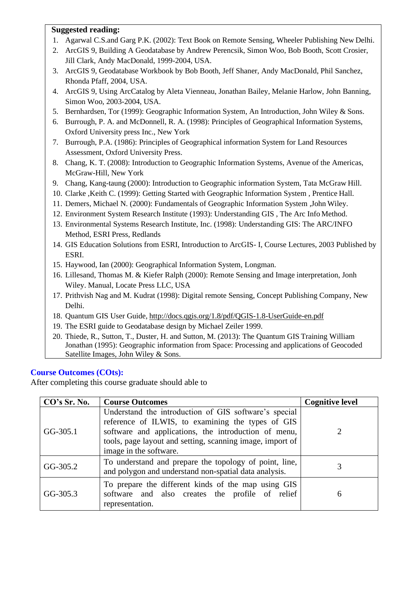#### **Suggested reading:**

- 1. Agarwal C.S.and Garg P.K. (2002): Text Book on Remote Sensing, Wheeler Publishing New Delhi.
- 2. ArcGIS 9, Building A Geodatabase by Andrew Perencsik, Simon Woo, Bob Booth, Scott Crosier, Jill Clark, Andy MacDonald, 1999-2004, USA.
- 3. ArcGIS 9, Geodatabase Workbook by Bob Booth, Jeff Shaner, Andy MacDonald, Phil Sanchez, Rhonda Pfaff, 2004, USA.
- 4. ArcGIS 9, Using ArcCatalog by Aleta Vienneau, Jonathan Bailey, Melanie Harlow, John Banning, Simon Woo, 2003-2004, USA.
- 5. Bernhardsen, Tor (1999): Geographic Information System, An Introduction, John Wiley & Sons.
- 6. Burrough, P. A. and McDonnell, R. A. (1998): Principles of Geographical Information Systems, Oxford University press Inc., New York
- 7. Burrough, P.A. (1986): Principles of Geographical information System for Land Resources Assessment, Oxford University Press.
- 8. Chang, K. T. (2008): Introduction to Geographic Information Systems, Avenue of the Americas, McGraw-Hill, New York
- 9. Chang, Kang-taung (2000): Introduction to Geographic information System, Tata McGraw Hill.
- 10. Clarke ,Keith C. (1999): Getting Started with Geographic Information System , Prentice Hall.
- 11. Demers, Michael N. (2000): Fundamentals of Geographic Information System ,John Wiley.
- 12. Environment System Research Institute (1993): Understanding GIS , The Arc Info Method.
- 13. Environmental Systems Research Institute, Inc. (1998): Understanding GIS: The ARC/INFO Method, ESRI Press, Redlands
- 14. GIS Education Solutions from ESRI, Introduction to ArcGIS- I, Course Lectures, 2003 Published by ESRI.
- 15. Haywood, Ian (2000): Geographical Information System, Longman.
- 16. Lillesand, Thomas M. & Kiefer Ralph (2000): Remote Sensing and Image interpretation, Jonh Wiley. Manual, Locate Press LLC, USA
- 17. Prithvish Nag and M. Kudrat (1998): Digital remote Sensing, Concept Publishing Company, New Delhi.
- 18. Quantum GIS User Guide, <http://docs.qgis.org/1.8/pdf/QGIS-1.8-UserGuide-en.pdf>
- 19. The ESRI guide to Geodatabase design by Michael Zeiler 1999.
- 20. Thiede, R., Sutton, T., Duster, H. and Sutton, M. (2013): The Quantum GIS Training William Jonathan (1995): Geographic information from Space: Processing and applications of Geocoded Satellite Images, John Wiley & Sons.

# **Course Outcomes (COts):**

| CO's Sr. No. | <b>Course Outcomes</b>                                                                                                                                                                                                                                    | <b>Cognitive level</b> |
|--------------|-----------------------------------------------------------------------------------------------------------------------------------------------------------------------------------------------------------------------------------------------------------|------------------------|
| $GG-305.1$   | Understand the introduction of GIS software's special<br>reference of ILWIS, to examining the types of GIS<br>software and applications, the introduction of menu,<br>tools, page layout and setting, scanning image, import of<br>image in the software. |                        |
| GG-305.2     | To understand and prepare the topology of point, line,<br>and polygon and understand non-spatial data analysis.                                                                                                                                           |                        |
| GG-305.3     | To prepare the different kinds of the map using GIS<br>software and also creates the profile of relief<br>representation.                                                                                                                                 | 6                      |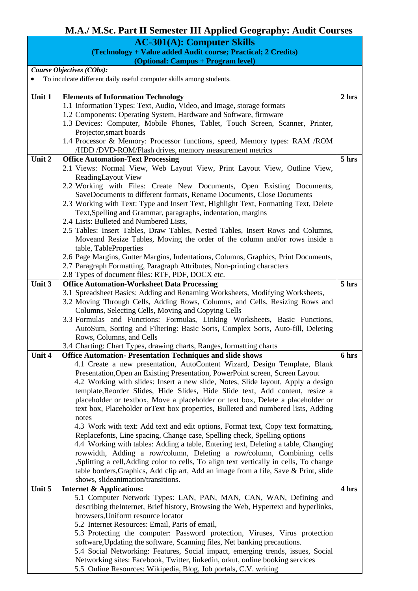# **M.A./ M.Sc. Part II Semester III Applied Geography: Audit Courses**

**AC-301(A): Computer Skills**

**(Technology + Value added Audit course; Practical; 2 Credits) (Optional: Campus + Program level)**

*Course Objectives (CObs):* 

• To inculcate different daily useful computer skills among students.

| Unit 1 | <b>Elements of Information Technology</b>                                                                                                     | 2 hrs |
|--------|-----------------------------------------------------------------------------------------------------------------------------------------------|-------|
|        | 1.1 Information Types: Text, Audio, Video, and Image, storage formats                                                                         |       |
|        | 1.2 Components: Operating System, Hardware and Software, firmware                                                                             |       |
|        | 1.3 Devices: Computer, Mobile Phones, Tablet, Touch Screen, Scanner, Printer,                                                                 |       |
|        | Projector, smart boards                                                                                                                       |       |
|        | 1.4 Processor & Memory: Processor functions, speed, Memory types: RAM /ROM                                                                    |       |
| Unit 2 | /HDD /DVD-ROM/Flash drives, memory measurement metrics<br><b>Office Automation-Text Processing</b>                                            | 5 hrs |
|        | 2.1 Views: Normal View, Web Layout View, Print Layout View, Outline View,                                                                     |       |
|        | ReadingLayout View                                                                                                                            |       |
|        | 2.2 Working with Files: Create New Documents, Open Existing Documents,                                                                        |       |
|        | SaveDocuments to different formats, Rename Documents, Close Documents                                                                         |       |
|        | 2.3 Working with Text: Type and Insert Text, Highlight Text, Formatting Text, Delete                                                          |       |
|        | Text, Spelling and Grammar, paragraphs, indentation, margins                                                                                  |       |
|        | 2.4 Lists: Bulleted and Numbered Lists,                                                                                                       |       |
|        | 2.5 Tables: Insert Tables, Draw Tables, Nested Tables, Insert Rows and Columns,                                                               |       |
|        | Moveand Resize Tables, Moving the order of the column and/or rows inside a                                                                    |       |
|        | table, TableProperties                                                                                                                        |       |
|        | 2.6 Page Margins, Gutter Margins, Indentations, Columns, Graphics, Print Documents,                                                           |       |
|        | 2.7 Paragraph Formatting, Paragraph Attributes, Non-printing characters                                                                       |       |
|        | 2.8 Types of document files: RTF, PDF, DOCX etc.                                                                                              |       |
| Unit 3 | <b>Office Automation-Worksheet Data Processing</b>                                                                                            | 5 hrs |
|        | 3.1 Spreadsheet Basics: Adding and Renaming Worksheets, Modifying Worksheets,                                                                 |       |
|        | 3.2 Moving Through Cells, Adding Rows, Columns, and Cells, Resizing Rows and                                                                  |       |
|        | Columns, Selecting Cells, Moving and Copying Cells                                                                                            |       |
|        | 3.3 Formulas and Functions: Formulas, Linking Worksheets, Basic Functions,                                                                    |       |
|        | AutoSum, Sorting and Filtering: Basic Sorts, Complex Sorts, Auto-fill, Deleting                                                               |       |
|        | Rows, Columns, and Cells                                                                                                                      |       |
|        | 3.4 Charting: Chart Types, drawing charts, Ranges, formatting charts                                                                          |       |
| Unit 4 | <b>Office Automation-Presentation Techniques and slide shows</b><br>4.1 Create a new presentation, AutoContent Wizard, Design Template, Blank | 6 hrs |
|        | Presentation, Open an Existing Presentation, PowerPoint screen, Screen Layout                                                                 |       |
|        | 4.2 Working with slides: Insert a new slide, Notes, Slide layout, Apply a design                                                              |       |
|        | template, Reorder Slides, Hide Slides, Hide Slide text, Add content, resize a                                                                 |       |
|        | placeholder or textbox, Move a placeholder or text box, Delete a placeholder or                                                               |       |
|        | text box, Placeholder orText box properties, Bulleted and numbered lists, Adding                                                              |       |
|        | notes                                                                                                                                         |       |
|        | 4.3 Work with text: Add text and edit options, Format text, Copy text formatting,                                                             |       |
|        | Replacefonts, Line spacing, Change case, Spelling check, Spelling options                                                                     |       |
|        | 4.4 Working with tables: Adding a table, Entering text, Deleting a table, Changing                                                            |       |
|        | rowwidth, Adding a row/column, Deleting a row/column, Combining cells                                                                         |       |
|        | ,Splitting a cell,Adding color to cells, To align text vertically in cells, To change                                                         |       |
|        | table borders, Graphics, Add clip art, Add an image from a file, Save & Print, slide                                                          |       |
|        | shows, slideanimation/transitions.                                                                                                            |       |
| Unit 5 | <b>Internet &amp; Applications:</b>                                                                                                           | 4 hrs |
|        | 5.1 Computer Network Types: LAN, PAN, MAN, CAN, WAN, Defining and                                                                             |       |
|        | describing the Internet, Brief history, Browsing the Web, Hypertext and hyperlinks,                                                           |       |
|        | browsers, Uniform resource locator                                                                                                            |       |
|        | 5.2 Internet Resources: Email, Parts of email,<br>5.3 Protecting the computer: Password protection, Viruses, Virus protection                 |       |
|        | software, Updating the software, Scanning files, Net banking precautions.                                                                     |       |
|        | 5.4 Social Networking: Features, Social impact, emerging trends, issues, Social                                                               |       |
|        | Networking sites: Facebook, Twitter, linkedin, orkut, online booking services                                                                 |       |
|        | 5.5 Online Resources: Wikipedia, Blog, Job portals, C.V. writing                                                                              |       |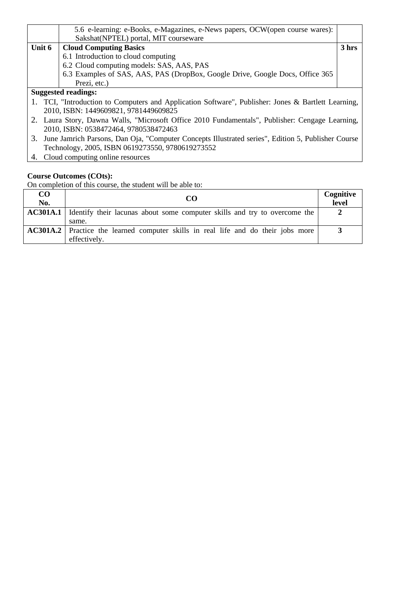|                                                                                                     | 5.6 e-learning: e-Books, e-Magazines, e-News papers, OCW(open course wares):  |       |
|-----------------------------------------------------------------------------------------------------|-------------------------------------------------------------------------------|-------|
|                                                                                                     | Sakshat(NPTEL) portal, MIT courseware                                         |       |
| Unit 6                                                                                              | <b>Cloud Computing Basics</b>                                                 | 3 hrs |
|                                                                                                     | 6.1 Introduction to cloud computing                                           |       |
|                                                                                                     | 6.2 Cloud computing models: SAS, AAS, PAS                                     |       |
|                                                                                                     | 6.3 Examples of SAS, AAS, PAS (DropBox, Google Drive, Google Docs, Office 365 |       |
|                                                                                                     | Prezi, etc.)                                                                  |       |
| <b>Suggested readings:</b>                                                                          |                                                                               |       |
| 1. TCI, "Introduction to Computers and Application Software", Publisher: Jones & Bartlett Learning, |                                                                               |       |
| 2010, ISBN: 1449609821, 9781449609825                                                               |                                                                               |       |

- 2. Laura Story, Dawna Walls, "Microsoft Office 2010 Fundamentals", Publisher: Cengage Learning, 2010, ISBN: 0538472464, 9780538472463
- 3. June Jamrich Parsons, Dan Oja, "Computer Concepts Illustrated series", Edition 5, Publisher Course Technology, 2005, ISBN 0619273550, 9780619273552
- 4. Cloud computing online resources

| $\bf CO$<br>No. | CO                                                                                                       | Cognitive<br>level |
|-----------------|----------------------------------------------------------------------------------------------------------|--------------------|
|                 | <b>AC301A.1</b> Identify their lacunas about some computer skills and try to overcome the<br>same.       |                    |
|                 | <b>AC301A.2</b> Practice the learned computer skills in real life and do their jobs more<br>effectively. |                    |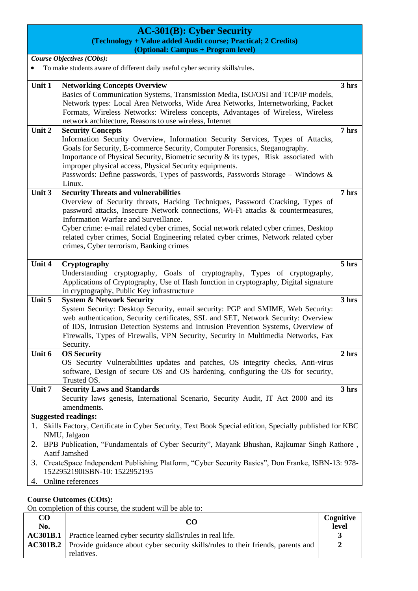| <b>AC-301(B): Cyber Security</b> |                                                                                                                                                                                                                                                                                                                                                                                                                                                                                        |                  |
|----------------------------------|----------------------------------------------------------------------------------------------------------------------------------------------------------------------------------------------------------------------------------------------------------------------------------------------------------------------------------------------------------------------------------------------------------------------------------------------------------------------------------------|------------------|
|                                  | (Technology + Value added Audit course; Practical; 2 Credits)                                                                                                                                                                                                                                                                                                                                                                                                                          |                  |
|                                  | (Optional: Campus + Program level)                                                                                                                                                                                                                                                                                                                                                                                                                                                     |                  |
|                                  | Course Objectives (CObs):<br>To make students aware of different daily useful cyber security skills/rules.                                                                                                                                                                                                                                                                                                                                                                             |                  |
| Unit 1                           | <b>Networking Concepts Overview</b><br>Basics of Communication Systems, Transmission Media, ISO/OSI and TCP/IP models,<br>Network types: Local Area Networks, Wide Area Networks, Internetworking, Packet                                                                                                                                                                                                                                                                              | 3 hrs            |
|                                  | Formats, Wireless Networks: Wireless concepts, Advantages of Wireless, Wireless<br>network architecture, Reasons to use wireless, Internet                                                                                                                                                                                                                                                                                                                                             |                  |
| Unit 2                           | <b>Security Concepts</b><br>Information Security Overview, Information Security Services, Types of Attacks,<br>Goals for Security, E-commerce Security, Computer Forensics, Steganography.<br>Importance of Physical Security, Biometric security $\&$ its types, Risk associated with<br>improper physical access, Physical Security equipments.<br>Passwords: Define passwords, Types of passwords, Passwords Storage – Windows &<br>Linux.                                          | 7 hrs            |
| Unit 3                           | <b>Security Threats and vulnerabilities</b><br>Overview of Security threats, Hacking Techniques, Password Cracking, Types of<br>password attacks, Insecure Network connections, Wi-Fi attacks & countermeasures,<br>Information Warfare and Surveillance.<br>Cyber crime: e-mail related cyber crimes, Social network related cyber crimes, Desktop<br>related cyber crimes, Social Engineering related cyber crimes, Network related cyber<br>crimes, Cyber terrorism, Banking crimes | 7 hrs            |
| Unit 4                           | Cryptography<br>Understanding cryptography, Goals of cryptography, Types of cryptography,<br>Applications of Cryptography, Use of Hash function in cryptography, Digital signature<br>in cryptography, Public Key infrastructure                                                                                                                                                                                                                                                       | 5 hrs            |
| Unit 5                           | <b>System &amp; Network Security</b><br>System Security: Desktop Security, email security: PGP and SMIME, Web Security:<br>web authentication, Security certificates, SSL and SET, Network Security: Overview<br>of IDS, Intrusion Detection Systems and Intrusion Prevention Systems, Overview of<br>Firewalls, Types of Firewalls, VPN Security, Security in Multimedia Networks, Fax<br>Security.                                                                                   | 3 hrs            |
| Unit 6                           | <b>OS Security</b><br>OS Security Vulnerabilities updates and patches, OS integrity checks, Anti-virus<br>software, Design of secure OS and OS hardening, configuring the OS for security,<br>Trusted OS.                                                                                                                                                                                                                                                                              | 2 <sub>hrs</sub> |
| Unit 7                           | <b>Security Laws and Standards</b><br>Security laws genesis, International Scenario, Security Audit, IT Act 2000 and its<br>amendments.                                                                                                                                                                                                                                                                                                                                                | 3 hrs            |
| 1.<br>2.<br>3.<br>4.             | <b>Suggested readings:</b><br>Skills Factory, Certificate in Cyber Security, Text Book Special edition, Specially published for KBC<br>NMU, Jalgaon<br>BPB Publication, "Fundamentals of Cyber Security", Mayank Bhushan, Rajkumar Singh Rathore,<br>Aatif Jamshed<br>CreateSpace Independent Publishing Platform, "Cyber Security Basics", Don Franke, ISBN-13: 978-<br>1522952190ISBN-10: 1522952195<br>Online references                                                            |                  |

| $\bf CO$<br>No. | CΟ                                                                                                             | Cognitive<br>level |
|-----------------|----------------------------------------------------------------------------------------------------------------|--------------------|
|                 | <b>AC301B.1</b> Practice learned cyber security skills/rules in real life.                                     |                    |
|                 | <b>AC301B.2</b> Provide guidance about cyber security skills/rules to their friends, parents and<br>relatives. |                    |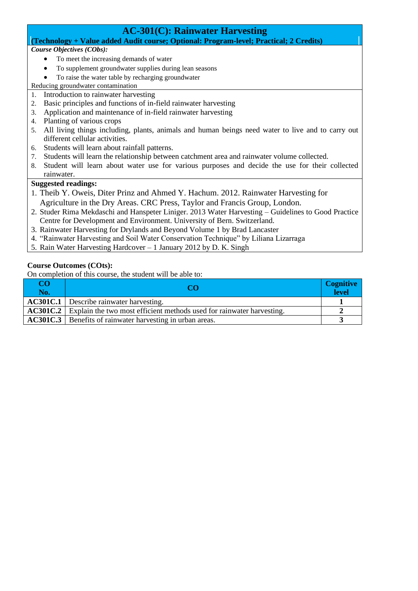# **AC-301(C): Rainwater Harvesting**

#### **(Technology + Value added Audit course; Optional: Program-level; Practical; 2 Credits)**

#### *Course Objectives (CObs):*

- To meet the increasing demands of water
- To supplement groundwater supplies during lean seasons
- To raise the water table by recharging groundwater

Reducing groundwater contamination

- 1. Introduction to rainwater harvesting
- 2. Basic principles and functions of in-field rainwater harvesting
- 3. Application and maintenance of in-field rainwater harvesting
- 4. Planting of various crops
- 5. All living things including, plants, animals and human beings need water to live and to carry out different cellular activities.
- 6. Students will learn about rainfall patterns.
- 7. Students will learn the relationship between catchment area and rainwater volume collected.
- 8. Student will learn about water use for various purposes and decide the use for their collected rainwater.

#### **Suggested readings:**

- 1. Theib Y. Oweis, Diter Prinz and Ahmed Y. Hachum. 2012. Rainwater Harvesting for Agriculture in the Dry Areas. CRC Press, Taylor and Francis Group, London.
- 2. Studer Rima Mekdaschi and Hanspeter Liniger. 2013 Water Harvesting Guidelines to Good Practice Centre for Development and Environment. University of Bern. Switzerland.
- 3. Rainwater Harvesting for Drylands and Beyond Volume 1 by Brad Lancaster
- 4. "Rainwater Harvesting and Soil Water Conservation Technique" by Liliana Lizarraga
- 5. Rain Water Harvesting Hardcover 1 January 2012 by D. K. Singh

#### **Course Outcomes (COts):**

| CΟ<br>No. |                                                                                       | <b>Cognitive</b><br>level |
|-----------|---------------------------------------------------------------------------------------|---------------------------|
|           | <b>AC301C.1</b> Describe rainwater harvesting.                                        |                           |
|           | <b>AC301C.2</b> Explain the two most efficient methods used for rainwater harvesting. |                           |
|           | <b>AC301C.3</b> Benefits of rainwater harvesting in urban areas.                      |                           |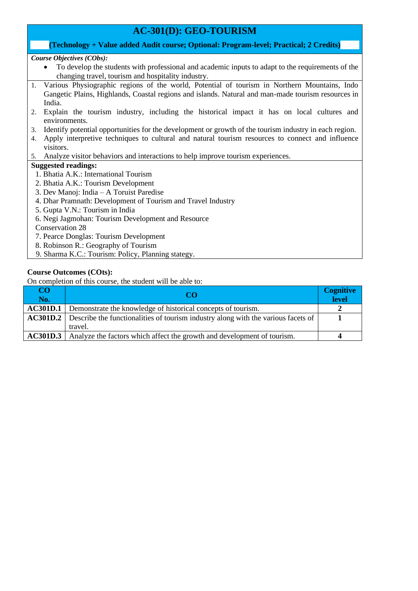# **AC-301(D): GEO-TOURISM**

#### **(Technology + Value added Audit course; Optional: Program-level; Practical; 2 Credits)**

*Course Objectives (CObs):* 

- To develop the students with professional and academic inputs to adapt to the requirements of the changing travel, tourism and hospitality industry.
- 1. Various Physiographic regions of the world, Potential of tourism in Northern Mountains, Indo Gangetic Plains, Highlands, Coastal regions and islands. Natural and man-made tourism resources in India.
- 2. Explain the tourism industry, including the historical impact it has on local cultures and environments.
- 3. Identify potential opportunities for the development or growth of the tourism industry in each region.
- 4. Apply interpretive techniques to cultural and natural tourism resources to connect and influence visitors.
- 5. Analyze visitor behaviors and interactions to help improve tourism experiences.

#### **Suggested readings:**

- 1. Bhatia A.K.: International Tourism
- 2. Bhatia A.K.: Tourism Development
- 3. Dev Manoj: India A Toruist Paredise
- 4. Dhar Pramnath: Development of Tourism and Travel Industry
- 5. Gupta V.N.: Tourism in India
- 6. Negi Jagmohan: Tourism Development and Resource

Conservation 28

- 7. Pearce Donglas: Tourism Development
- 8. Robinson R.: Geography of Tourism
- 9. Sharma K.C.: Tourism: Policy, Planning stategy.

#### **Course Outcomes (COts):**

| CO<br>No. | CΟ                                                                                                | <b>Cognitive</b><br>level |
|-----------|---------------------------------------------------------------------------------------------------|---------------------------|
|           | <b>AC301D.1</b> Demonstrate the knowledge of historical concepts of tourism.                      |                           |
|           | <b>AC301D.2</b> Describe the functionalities of tourism industry along with the various facets of |                           |
|           | travel.                                                                                           |                           |
|           | <b>AC301D.3</b> Analyze the factors which affect the growth and development of tourism.           |                           |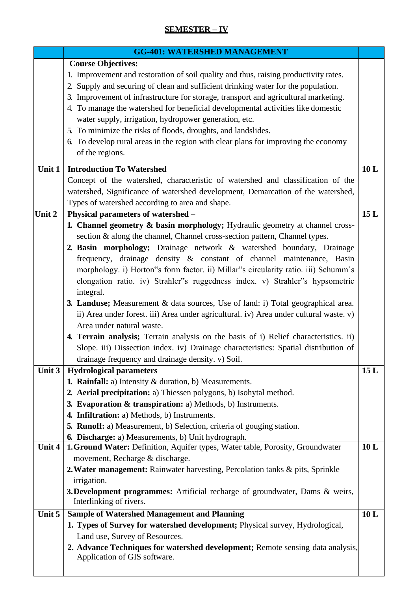# **SEMESTER – IV**

|          | <b>GG-401: WATERSHED MANAGEMENT</b>                                                                                                                                       |     |
|----------|---------------------------------------------------------------------------------------------------------------------------------------------------------------------------|-----|
|          | <b>Course Objectives:</b>                                                                                                                                                 |     |
|          | 1. Improvement and restoration of soil quality and thus, raising productivity rates.<br>2. Supply and securing of clean and sufficient drinking water for the population. |     |
|          | 3. Improvement of infrastructure for storage, transport and agricultural marketing.                                                                                       |     |
|          | 4. To manage the watershed for beneficial developmental activities like domestic                                                                                          |     |
|          | water supply, irrigation, hydropower generation, etc.                                                                                                                     |     |
|          | 5. To minimize the risks of floods, droughts, and landslides.                                                                                                             |     |
|          | 6. To develop rural areas in the region with clear plans for improving the economy                                                                                        |     |
|          | of the regions.                                                                                                                                                           |     |
| Unit $1$ | <b>Introduction To Watershed</b>                                                                                                                                          | 10L |
|          | Concept of the watershed, characteristic of watershed and classification of the                                                                                           |     |
|          | watershed, Significance of watershed development, Demarcation of the watershed,                                                                                           |     |
|          | Types of watershed according to area and shape.                                                                                                                           |     |
| Unit 2   | Physical parameters of watershed -                                                                                                                                        | 15L |
|          | 1. Channel geometry & basin morphology; Hydraulic geometry at channel cross-                                                                                              |     |
|          | section & along the channel, Channel cross-section pattern, Channel types.<br>2. Basin morphology; Drainage network & watershed boundary, Drainage                        |     |
|          | frequency, drainage density & constant of channel maintenance, Basin                                                                                                      |     |
|          | morphology. i) Horton"s form factor. ii) Millar"s circularity ratio. iii) Schumm's                                                                                        |     |
|          | elongation ratio. iv) Strahler"s ruggedness index. v) Strahler"s hypsometric                                                                                              |     |
|          | integral.                                                                                                                                                                 |     |
|          | 3. Landuse; Measurement & data sources, Use of land: i) Total geographical area.                                                                                          |     |
|          | ii) Area under forest. iii) Area under agricultural. iv) Area under cultural waste. v)                                                                                    |     |
|          | Area under natural waste.                                                                                                                                                 |     |
|          | 4. Terrain analysis; Terrain analysis on the basis of i) Relief characteristics. ii)                                                                                      |     |
|          | Slope. iii) Dissection index. iv) Drainage characteristics: Spatial distribution of                                                                                       |     |
|          | drainage frequency and drainage density. v) Soil.                                                                                                                         |     |
| Unit $3$ | <b>Hydrological parameters</b>                                                                                                                                            | 15L |
|          | 1. Rainfall: a) Intensity & duration, b) Measurements.                                                                                                                    |     |
|          | 2. Aerial precipitation: a) Thiessen polygons, b) Isohytal method.                                                                                                        |     |
|          | 3. Evaporation & transpiration: a) Methods, b) Instruments.                                                                                                               |     |
|          | 4. Infiltration: a) Methods, b) Instruments.<br>5. Runoff: a) Measurement, b) Selection, criteria of gouging station.                                                     |     |
|          | <b>6. Discharge:</b> a) Measurements, b) Unit hydrograph.                                                                                                                 |     |
| Unit 4   | 1. Ground Water: Definition, Aquifer types, Water table, Porosity, Groundwater                                                                                            | 10L |
|          | movement, Recharge & discharge.                                                                                                                                           |     |
|          | 2. Water management: Rainwater harvesting, Percolation tanks & pits, Sprinkle                                                                                             |     |
|          | irrigation.                                                                                                                                                               |     |
|          | 3. Development programmes: Artificial recharge of groundwater, Dams & weirs,<br>Interlinking of rivers.                                                                   |     |
| Unit 5   | <b>Sample of Watershed Management and Planning</b>                                                                                                                        | 10L |
|          | 1. Types of Survey for watershed development; Physical survey, Hydrological,                                                                                              |     |
|          | Land use, Survey of Resources.                                                                                                                                            |     |
|          | 2. Advance Techniques for watershed development; Remote sensing data analysis,                                                                                            |     |
|          | Application of GIS software.                                                                                                                                              |     |
|          |                                                                                                                                                                           |     |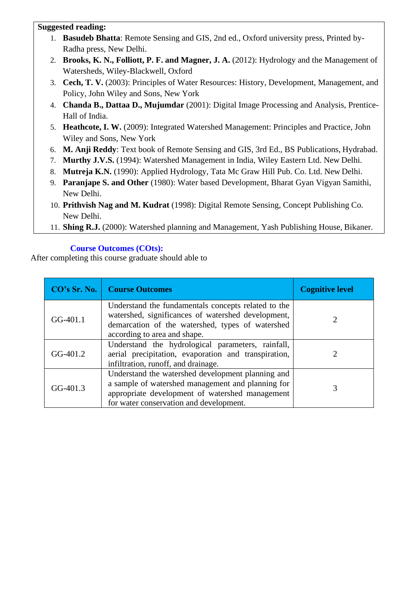## **Suggested reading:**

- 1. **Basudeb Bhatta**: Remote Sensing and GIS, 2nd ed., Oxford university press, Printed by-Radha press, New Delhi.
- 2. **Brooks, K. N., Folliott, P. F. and Magner, J. A.** (2012): Hydrology and the Management of Watersheds, Wiley-Blackwell, Oxford
- 3. **Cech, T. V.** (2003): Principles of Water Resources: History, Development, Management, and Policy, John Wiley and Sons, New York
- 4. **Chanda B., Dattaa D., Mujumdar** (2001): Digital Image Processing and Analysis, Prentice-Hall of India.
- 5. **Heathcote, I. W.** (2009): Integrated Watershed Management: Principles and Practice, John Wiley and Sons, New York
- 6. **M. Anji Reddy**: Text book of Remote Sensing and GIS, 3rd Ed., BS Publications, Hydrabad.
- 7. **Murthy J.V.S.** (1994): Watershed Management in India, Wiley Eastern Ltd. New Delhi.
- 8. **Mutreja K.N.** (1990): Applied Hydrology, Tata Mc Graw Hill Pub. Co. Ltd. New Delhi.
- 9. **Paranjape S. and Other** (1980): Water based Development, Bharat Gyan Vigyan Samithi, New Delhi.
- 10. **Prithvish Nag and M. Kudrat** (1998): Digital Remote Sensing, Concept Publishing Co. New Delhi.
- 11. **Shing R.J.** (2000): Watershed planning and Management, Yash Publishing House, Bikaner.

# **Course Outcomes (COts):**

| CO's Sr. No. | <b>Course Outcomes</b>                                                                                                                                                                               | <b>Cognitive level</b> |
|--------------|------------------------------------------------------------------------------------------------------------------------------------------------------------------------------------------------------|------------------------|
| $GG-401.1$   | Understand the fundamentals concepts related to the<br>watershed, significances of watershed development,<br>demarcation of the watershed, types of watershed<br>according to area and shape.        | 2                      |
| GG-401.2     | Understand the hydrological parameters, rainfall,<br>aerial precipitation, evaporation and transpiration,<br>infiltration, runoff, and drainage.                                                     |                        |
| $GG-401.3$   | Understand the watershed development planning and<br>a sample of watershed management and planning for<br>appropriate development of watershed management<br>for water conservation and development. |                        |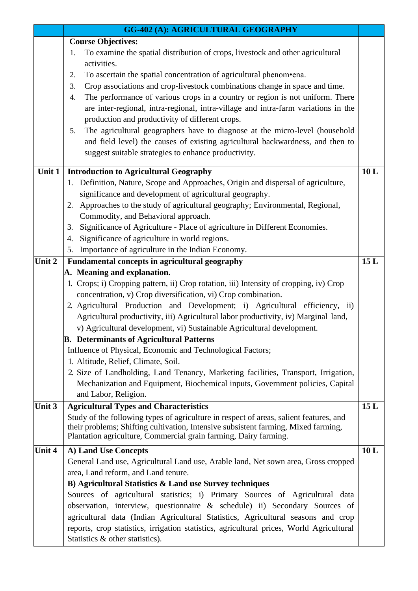|        | <b>GG-402 (A): AGRICULTURAL GEOGRAPHY</b>                                                                                                                                    |     |
|--------|------------------------------------------------------------------------------------------------------------------------------------------------------------------------------|-----|
|        | <b>Course Objectives:</b>                                                                                                                                                    |     |
|        | To examine the spatial distribution of crops, livestock and other agricultural<br>1.                                                                                         |     |
|        | activities.                                                                                                                                                                  |     |
|        | To ascertain the spatial concentration of agricultural phenom•ena.<br>2.                                                                                                     |     |
|        | Crop associations and crop-livestock combinations change in space and time.<br>3.                                                                                            |     |
|        | The performance of various crops in a country or region is not uniform. There<br>4.                                                                                          |     |
|        | are inter-regional, intra-regional, intra-village and intra-farm variations in the                                                                                           |     |
|        | production and productivity of different crops.                                                                                                                              |     |
|        | The agricultural geographers have to diagnose at the micro-level (household<br>5.                                                                                            |     |
|        | and field level) the causes of existing agricultural backwardness, and then to                                                                                               |     |
|        | suggest suitable strategies to enhance productivity.                                                                                                                         |     |
| Unit 1 | <b>Introduction to Agricultural Geography</b>                                                                                                                                | 10L |
|        | 1. Definition, Nature, Scope and Approaches, Origin and dispersal of agriculture,                                                                                            |     |
|        | significance and development of agricultural geography.                                                                                                                      |     |
|        | Approaches to the study of agricultural geography; Environmental, Regional,<br>2.                                                                                            |     |
|        | Commodity, and Behavioral approach.                                                                                                                                          |     |
|        | Significance of Agriculture - Place of agriculture in Different Economies.<br>3.                                                                                             |     |
|        | Significance of agriculture in world regions.<br>4.                                                                                                                          |     |
|        | Importance of agriculture in the Indian Economy.<br>5.                                                                                                                       |     |
| Unit 2 | Fundamental concepts in agricultural geography                                                                                                                               | 15L |
|        | A. Meaning and explanation.                                                                                                                                                  |     |
|        | 1. Crops; i) Cropping pattern, ii) Crop rotation, iii) Intensity of cropping, iv) Crop                                                                                       |     |
|        | concentration, v) Crop diversification, vi) Crop combination.                                                                                                                |     |
|        | 2. Agricultural Production and Development; i) Agricultural efficiency, ii)                                                                                                  |     |
|        | Agricultural productivity, iii) Agricultural labor productivity, iv) Marginal land,                                                                                          |     |
|        | v) Agricultural development, vi) Sustainable Agricultural development.                                                                                                       |     |
|        | <b>B.</b> Determinants of Agricultural Patterns                                                                                                                              |     |
|        | Influence of Physical, Economic and Technological Factors;                                                                                                                   |     |
|        | 1. Altitude, Relief, Climate, Soil.                                                                                                                                          |     |
|        | 2. Size of Landholding, Land Tenancy, Marketing facilities, Transport, Irrigation,                                                                                           |     |
|        | Mechanization and Equipment, Biochemical inputs, Government policies, Capital                                                                                                |     |
|        | and Labor, Religion.                                                                                                                                                         |     |
| Unit 3 | <b>Agricultural Types and Characteristics</b>                                                                                                                                | 15L |
|        | Study of the following types of agriculture in respect of areas, salient features, and<br>their problems; Shifting cultivation, Intensive subsistent farming, Mixed farming, |     |
|        | Plantation agriculture, Commercial grain farming, Dairy farming.                                                                                                             |     |
| Unit 4 | A) Land Use Concepts                                                                                                                                                         | 10L |
|        | General Land use, Agricultural Land use, Arable land, Net sown area, Gross cropped                                                                                           |     |
|        | area, Land reform, and Land tenure.                                                                                                                                          |     |
|        | B) Agricultural Statistics & Land use Survey techniques                                                                                                                      |     |
|        | Sources of agricultural statistics; i) Primary Sources of Agricultural data                                                                                                  |     |
|        | observation, interview, questionnaire & schedule) ii) Secondary Sources of                                                                                                   |     |
|        | agricultural data (Indian Agricultural Statistics, Agricultural seasons and crop                                                                                             |     |
|        | reports, crop statistics, irrigation statistics, agricultural prices, World Agricultural                                                                                     |     |
|        | Statistics & other statistics).                                                                                                                                              |     |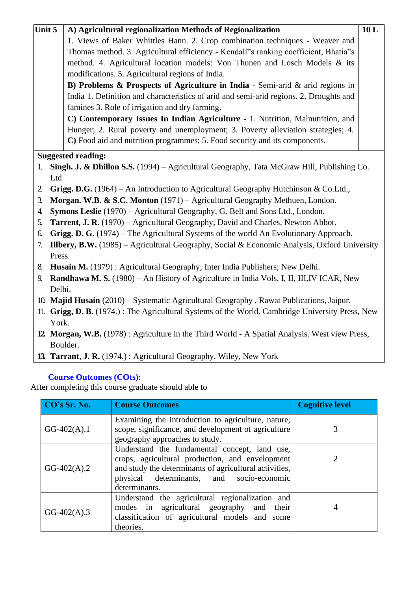| Unit 5 |                                                                                              | A) Agricultural regionalization Methods of Regionalization                                       | 10L |
|--------|----------------------------------------------------------------------------------------------|--------------------------------------------------------------------------------------------------|-----|
|        |                                                                                              | 1. Views of Baker Whittles Hann. 2. Crop combination techniques - Weaver and                     |     |
|        |                                                                                              | Thomas method. 3. Agricultural efficiency - Kendall"s ranking coefficient, Bhatia"s              |     |
|        |                                                                                              | method. 4. Agricultural location models: Von Thunen and Losch Models & its                       |     |
|        |                                                                                              | modifications. 5. Agricultural regions of India.                                                 |     |
|        |                                                                                              | B) Problems & Prospects of Agriculture in India - Semi-arid & arid regions in                    |     |
|        |                                                                                              | India 1. Definition and characteristics of arid and semi-arid regions. 2. Droughts and           |     |
|        |                                                                                              | famines 3. Role of irrigation and dry farming.                                                   |     |
|        |                                                                                              | C) Contemporary Issues In Indian Agriculture - 1. Nutrition, Malnutrition, and                   |     |
|        |                                                                                              | Hunger; 2. Rural poverty and unemployment; 3. Poverty alleviation strategies; 4.                 |     |
|        |                                                                                              | C) Food aid and nutrition programmes; 5. Food security and its components.                       |     |
|        |                                                                                              | <b>Suggested reading:</b>                                                                        |     |
| 1.     |                                                                                              | Singh. J. & Dhillon S.S. (1994) – Agricultural Geography, Tata McGraw Hill, Publishing Co.       |     |
|        | Ltd.                                                                                         |                                                                                                  |     |
| 2.     |                                                                                              | Grigg. D.G. (1964) – An Introduction to Agricultural Geography Hutchinson & Co.Ltd.,             |     |
| 3.     |                                                                                              | Morgan. W.B. & S.C. Monton (1971) - Agricultural Geography Methuen, London.                      |     |
| 4.     |                                                                                              | Symons Leslie (1970) - Agricultural Geography, G. Belt and Sons Ltd., London.                    |     |
| 5.     |                                                                                              | <b>Tarrent, J. R.</b> (1970) – Agricultural Geography, David and Charles, Newton Abbot.          |     |
| 6.     |                                                                                              | Grigg. D. G. (1974) – The Agricultural Systems of the world An Evolutionary Approach.            |     |
| 7.     | Illbery, B.W. (1985) – Agricultural Geography, Social & Economic Analysis, Oxford University |                                                                                                  |     |
|        | Press.                                                                                       |                                                                                                  |     |
| 8.     |                                                                                              | Husain M. (1979): Agricultural Geography; Inter India Publishers; New Delhi.                     |     |
| 9.     |                                                                                              | <b>Randhawa M. S.</b> (1980) – An History of Agriculture in India Vols. I, II, III, IV ICAR, New |     |
|        | Delhi.                                                                                       |                                                                                                  |     |
|        |                                                                                              | 10. Majid Husain (2010) – Systematic Agricultural Geography, Rawat Publications, Jaipur.         |     |
|        |                                                                                              | 11. Grigg, D. B. (1974.): The Agricultural Systems of the World. Cambridge University Press, New |     |
|        | York.                                                                                        |                                                                                                  |     |
|        |                                                                                              | 12. Morgan, W.B. (1978): Agriculture in the Third World - A Spatial Analysis. West view Press,   |     |

- **12. Morgan, W.B.** (1978) : Agriculture in the Third World A Spatial Analysis. West view Press, Boulder.
- **13. Tarrant, J. R.** (1974.) : Agricultural Geography. Wiley, New York

| CO's Sr. No.  | <b>Course Outcomes</b>                                                                                                                                                                                                   | <b>Cognitive level</b> |
|---------------|--------------------------------------------------------------------------------------------------------------------------------------------------------------------------------------------------------------------------|------------------------|
| $GG-402(A).1$ | Examining the introduction to agriculture, nature,<br>scope, significance, and development of agriculture<br>geography approaches to study.                                                                              | 3                      |
| $GG-402(A).2$ | Understand the fundamental concept, land use,<br>crops, agricultural production, and envelopment<br>and study the determinants of agricultural activities,<br>physical determinants, and socio-economic<br>determinants. | 2                      |
| $GG-402(A).3$ | Understand the agricultural regionalization and<br>modes in agricultural geography and their<br>classification of agricultural models and some<br>theories.                                                              | 4                      |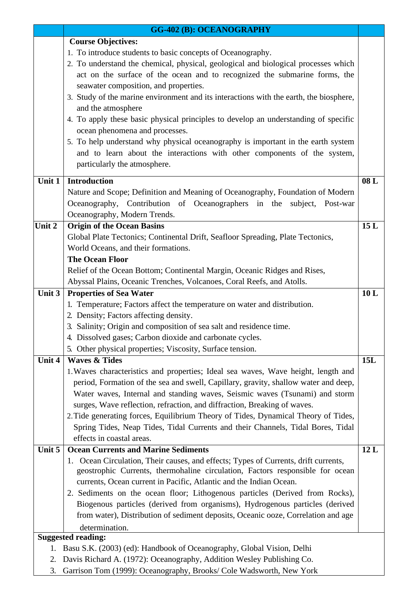|        | <b>GG-402 (B): OCEANOGRAPHY</b>                                                        |     |
|--------|----------------------------------------------------------------------------------------|-----|
|        | <b>Course Objectives:</b>                                                              |     |
|        | 1. To introduce students to basic concepts of Oceanography.                            |     |
|        | 2. To understand the chemical, physical, geological and biological processes which     |     |
|        | act on the surface of the ocean and to recognized the submarine forms, the             |     |
|        | seawater composition, and properties.                                                  |     |
|        | 3. Study of the marine environment and its interactions with the earth, the biosphere, |     |
|        | and the atmosphere                                                                     |     |
|        | 4. To apply these basic physical principles to develop an understanding of specific    |     |
|        | ocean phenomena and processes.                                                         |     |
|        | 5. To help understand why physical oceanography is important in the earth system       |     |
|        | and to learn about the interactions with other components of the system,               |     |
|        | particularly the atmosphere.                                                           |     |
|        |                                                                                        |     |
| Unit 1 | <b>Introduction</b>                                                                    | 08L |
|        | Nature and Scope; Definition and Meaning of Oceanography, Foundation of Modern         |     |
|        | Oceanography, Contribution of Oceanographers in the<br>subject, Post-war               |     |
|        | Oceanography, Modern Trends.                                                           |     |
| Unit 2 | <b>Origin of the Ocean Basins</b>                                                      | 15L |
|        | Global Plate Tectonics; Continental Drift, Seafloor Spreading, Plate Tectonics,        |     |
|        | World Oceans, and their formations.                                                    |     |
|        | <b>The Ocean Floor</b>                                                                 |     |
|        | Relief of the Ocean Bottom; Continental Margin, Oceanic Ridges and Rises,              |     |
|        | Abyssal Plains, Oceanic Trenches, Volcanoes, Coral Reefs, and Atolls.                  |     |
| Unit 3 | <b>Properties of Sea Water</b>                                                         | 10L |
|        | 1. Temperature; Factors affect the temperature on water and distribution.              |     |
|        | 2. Density; Factors affecting density.                                                 |     |
|        | 3. Salinity; Origin and composition of sea salt and residence time.                    |     |
|        | 4. Dissolved gases; Carbon dioxide and carbonate cycles.                               |     |
|        | 5. Other physical properties; Viscosity, Surface tension.                              |     |
| Unit 4 | <b>Waves &amp; Tides</b>                                                               | 15L |
|        | 1. Waves characteristics and properties; Ideal sea waves, Wave height, length and      |     |
|        | period, Formation of the sea and swell, Capillary, gravity, shallow water and deep,    |     |
|        | Water waves, Internal and standing waves, Seismic waves (Tsunami) and storm            |     |
|        | surges, Wave reflection, refraction, and diffraction, Breaking of waves.               |     |
|        | 2. Tide generating forces, Equilibrium Theory of Tides, Dynamical Theory of Tides,     |     |
|        | Spring Tides, Neap Tides, Tidal Currents and their Channels, Tidal Bores, Tidal        |     |
|        | effects in coastal areas.                                                              |     |
| Unit 5 | <b>Ocean Currents and Marine Sediments</b>                                             | 12L |
|        | 1. Ocean Circulation, Their causes, and effects; Types of Currents, drift currents,    |     |
|        | geostrophic Currents, thermohaline circulation, Factors responsible for ocean          |     |
|        | currents, Ocean current in Pacific, Atlantic and the Indian Ocean.                     |     |
|        | 2. Sediments on the ocean floor; Lithogenous particles (Derived from Rocks),           |     |
|        | Biogenous particles (derived from organisms), Hydrogenous particles (derived           |     |
|        | from water), Distribution of sediment deposits, Oceanic ooze, Correlation and age      |     |
|        | determination.                                                                         |     |
|        | <b>Suggested reading:</b>                                                              |     |
| 1.     | Basu S.K. (2003) (ed): Handbook of Oceanography, Global Vision, Delhi                  |     |
| 2.     | Davis Richard A. (1972): Oceanography, Addition Wesley Publishing Co.                  |     |
| 3.     | Garrison Tom (1999): Oceanography, Brooks/ Cole Wadsworth, New York                    |     |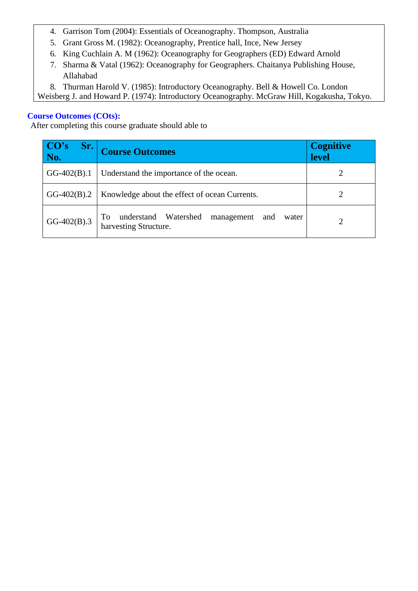- 4. Garrison Tom (2004): Essentials of Oceanography. Thompson, Australia
- 5. Grant Gross M. (1982): Oceanography, Prentice hall, Ince, New Jersey
- 6. King Cuchlain A. M (1962): Oceanography for Geographers (ED) Edward Arnold
- 7. Sharma & Vatal (1962): Oceanography for Geographers. Chaitanya Publishing House, Allahabad
- 8. Thurman Harold V. (1985): Introductory Oceanography. Bell & Howell Co. London

Weisberg J. and Howard P. (1974): Introductory Oceanography. McGraw Hill, Kogakusha, Tokyo.

# **Course Outcomes (COts):**

| CO's<br>Sr.<br>No. | <b>Course Outcomes</b>                                                            | <b>Cognitive</b><br>level |
|--------------------|-----------------------------------------------------------------------------------|---------------------------|
| $GG-402(B).1$      | Understand the importance of the ocean.                                           |                           |
| $GG-402(B).2$      | Knowledge about the effect of ocean Currents.                                     |                           |
| $GG-402(B).3$      | understand Watershed<br>To<br>management<br>water<br>and<br>harvesting Structure. | ∍                         |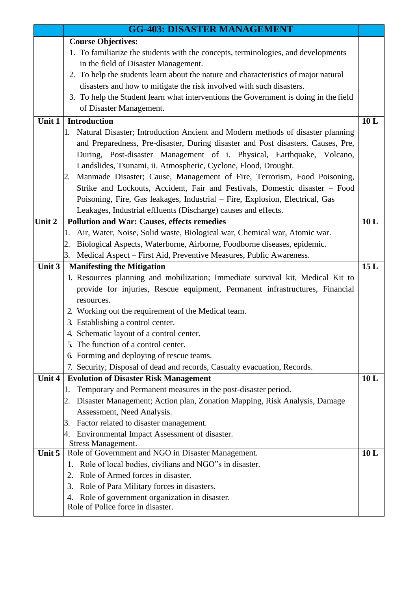|                            | <b>GG-403: DISASTER MANAGEMENT</b>                                                                                                             |     |
|----------------------------|------------------------------------------------------------------------------------------------------------------------------------------------|-----|
|                            | <b>Course Objectives:</b>                                                                                                                      |     |
|                            | 1. To familiarize the students with the concepts, terminologies, and developments                                                              |     |
|                            | in the field of Disaster Management.                                                                                                           |     |
|                            | 2. To help the students learn about the nature and characteristics of major natural                                                            |     |
|                            | disasters and how to mitigate the risk involved with such disasters.                                                                           |     |
|                            | 3. To help the Student learn what interventions the Government is doing in the field                                                           |     |
|                            | of Disaster Management.                                                                                                                        |     |
| $\overline{\text{Unit}}$ 1 | <b>Introduction</b>                                                                                                                            | 10L |
|                            | 1. Natural Disaster; Introduction Ancient and Modern methods of disaster planning                                                              |     |
|                            | and Preparedness, Pre-disaster, During disaster and Post disasters. Causes, Pre,                                                               |     |
|                            | During, Post-disaster Management of i. Physical, Earthquake, Volcano,                                                                          |     |
|                            | Landslides, Tsunami, ii. Atmospheric, Cyclone, Flood, Drought.                                                                                 |     |
|                            | Manmade Disaster; Cause, Management of Fire, Terrorism, Food Poisoning,<br>2.                                                                  |     |
|                            | Strike and Lockouts, Accident, Fair and Festivals, Domestic disaster - Food                                                                    |     |
|                            | Poisoning, Fire, Gas leakages, Industrial – Fire, Explosion, Electrical, Gas<br>Leakages, Industrial effluents (Discharge) causes and effects. |     |
| Unit 2                     | <b>Pollution and War: Causes, effects remedies</b>                                                                                             | 10L |
|                            | Air, Water, Noise, Solid waste, Biological war, Chemical war, Atomic war.<br>1.                                                                |     |
|                            | 2. Biological Aspects, Waterborne, Airborne, Foodborne diseases, epidemic.                                                                     |     |
|                            | 3. Medical Aspect – First Aid, Preventive Measures, Public Awareness.                                                                          |     |
| Unit 3                     | <b>Manifesting the Mitigation</b>                                                                                                              | 15L |
|                            | 1. Resources planning and mobilization; Immediate survival kit, Medical Kit to                                                                 |     |
|                            | provide for injuries, Rescue equipment, Permanent infrastructures, Financial                                                                   |     |
|                            | resources.                                                                                                                                     |     |
|                            | 2. Working out the requirement of the Medical team.                                                                                            |     |
|                            | 3. Establishing a control center.                                                                                                              |     |
|                            | 4. Schematic layout of a control center.                                                                                                       |     |
|                            | 5. The function of a control center.                                                                                                           |     |
|                            | 6. Forming and deploying of rescue teams.                                                                                                      |     |
|                            | 7. Security; Disposal of dead and records, Casualty evacuation, Records.                                                                       |     |
| Unit $4$                   | <b>Evolution of Disaster Risk Management</b>                                                                                                   | 10L |
|                            | Temporary and Permanent measures in the post-disaster period.<br>1.                                                                            |     |
|                            | 2. Disaster Management; Action plan, Zonation Mapping, Risk Analysis, Damage                                                                   |     |
|                            | Assessment, Need Analysis.                                                                                                                     |     |
|                            | 3. Factor related to disaster management.                                                                                                      |     |
|                            | Environmental Impact Assessment of disaster.<br>4.<br><b>Stress Management.</b>                                                                |     |
| Unit 5                     | Role of Government and NGO in Disaster Management.                                                                                             | 10L |
|                            | 1. Role of local bodies, civilians and NGO"s in disaster.                                                                                      |     |
|                            | Role of Armed forces in disaster.<br>2.                                                                                                        |     |
|                            | 3. Role of Para Military forces in disasters.                                                                                                  |     |
|                            | 4. Role of government organization in disaster.                                                                                                |     |
|                            | Role of Police force in disaster.                                                                                                              |     |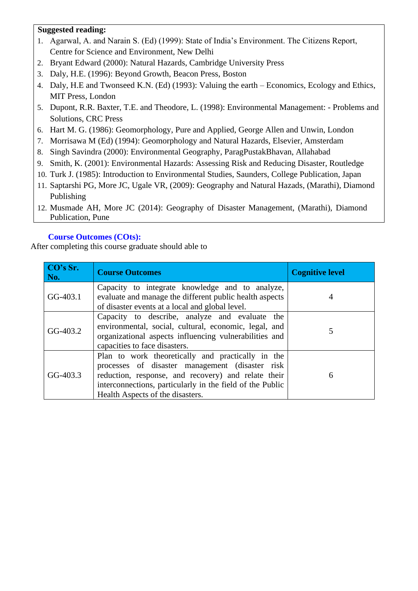# **Suggested reading:**

- 1. Agarwal, A. and Narain S. (Ed) (1999): State of India's Environment. The Citizens Report, Centre for Science and Environment, New Delhi
- 2. Bryant Edward (2000): Natural Hazards, Cambridge University Press
- 3. Daly, H.E. (1996): Beyond Growth, Beacon Press, Boston
- 4. Daly, H.E and Twonseed K.N. (Ed) (1993): Valuing the earth Economics, Ecology and Ethics, MIT Press, London
- 5. Dupont, R.R. Baxter, T.E. and Theodore, L. (1998): Environmental Management: Problems and Solutions, CRC Press
- 6. Hart M. G. (1986): Geomorphology, Pure and Applied, George Allen and Unwin, London
- 7. Morrisawa M (Ed) (1994): Geomorphology and Natural Hazards, Elsevier, Amsterdam
- 8. Singh Savindra (2000): Environmental Geography, ParagPustakBhavan, Allahabad
- 9. Smith, K. (2001): Environmental Hazards: Assessing Risk and Reducing Disaster, Routledge
- 10. Turk J. (1985): Introduction to Environmental Studies, Saunders, College Publication, Japan
- 11. Saptarshi PG, More JC, Ugale VR, (2009): Geography and Natural Hazads, (Marathi), Diamond Publishing
- 12. Musmade AH, More JC (2014): Geography of Disaster Management, (Marathi), Diamond Publication, Pune

# **Course Outcomes (COts):**

| CO's Sr.<br>No. | <b>Course Outcomes</b>                                                                                                                                                                                                                                        | <b>Cognitive level</b> |
|-----------------|---------------------------------------------------------------------------------------------------------------------------------------------------------------------------------------------------------------------------------------------------------------|------------------------|
| $GG-403.1$      | Capacity to integrate knowledge and to analyze,<br>evaluate and manage the different public health aspects<br>of disaster events at a local and global level.                                                                                                 |                        |
| GG-403.2        | Capacity to describe, analyze and evaluate the<br>environmental, social, cultural, economic, legal, and<br>organizational aspects influencing vulnerabilities and<br>capacities to face disasters.                                                            |                        |
| GG-403.3        | Plan to work theoretically and practically in the<br>processes of disaster management (disaster risk)<br>reduction, response, and recovery) and relate their<br>interconnections, particularly in the field of the Public<br>Health Aspects of the disasters. | 6                      |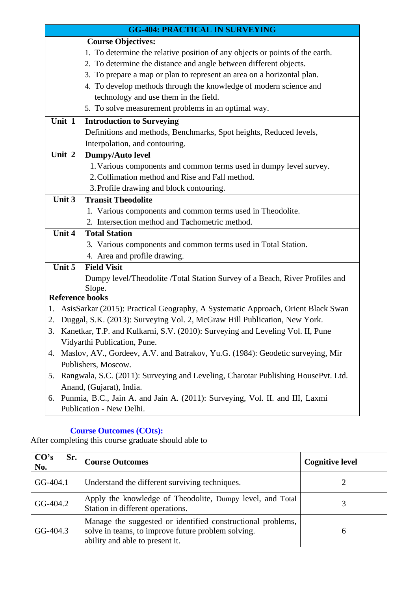|                                          | <b>GG-404: PRACTICAL IN SURVEYING</b>                                             |  |
|------------------------------------------|-----------------------------------------------------------------------------------|--|
|                                          | <b>Course Objectives:</b>                                                         |  |
|                                          | 1. To determine the relative position of any objects or points of the earth.      |  |
|                                          | 2. To determine the distance and angle between different objects.                 |  |
|                                          | 3. To prepare a map or plan to represent an area on a horizontal plan.            |  |
|                                          | 4. To develop methods through the knowledge of modern science and                 |  |
|                                          | technology and use them in the field.                                             |  |
|                                          | 5. To solve measurement problems in an optimal way.                               |  |
| Unit 1                                   | <b>Introduction to Surveying</b>                                                  |  |
|                                          | Definitions and methods, Benchmarks, Spot heights, Reduced levels,                |  |
|                                          | Interpolation, and contouring.                                                    |  |
| Unit 2                                   | Dumpy/Auto level                                                                  |  |
|                                          | 1. Various components and common terms used in dumpy level survey.                |  |
|                                          | 2. Collimation method and Rise and Fall method.                                   |  |
| 3. Profile drawing and block contouring. |                                                                                   |  |
| Unit 3                                   | <b>Transit Theodolite</b>                                                         |  |
|                                          | 1. Various components and common terms used in Theodolite.                        |  |
|                                          | 2. Intersection method and Tachometric method.                                    |  |
| Unit 4                                   | <b>Total Station</b>                                                              |  |
|                                          | 3. Various components and common terms used in Total Station.                     |  |
|                                          | 4. Area and profile drawing.                                                      |  |
| Unit 5                                   | <b>Field Visit</b>                                                                |  |
|                                          | Dumpy level/Theodolite /Total Station Survey of a Beach, River Profiles and       |  |
| <b>Reference books</b>                   | Slope.                                                                            |  |
| 1.                                       | AsisSarkar (2015): Practical Geography, A Systematic Approach, Orient Black Swan  |  |
| 2.                                       | Duggal, S.K. (2013): Surveying Vol. 2, McGraw Hill Publication, New York.         |  |
| 3.                                       | Kanetkar, T.P. and Kulkarni, S.V. (2010): Surveying and Leveling Vol. II, Pune    |  |
| Vidyarthi Publication, Pune.             |                                                                                   |  |
| 4.                                       | Maslov, AV., Gordeev, A.V. and Batrakov, Yu.G. (1984): Geodetic surveying, Mir    |  |
|                                          | Publishers, Moscow.                                                               |  |
| 5.                                       | Rangwala, S.C. (2011): Surveying and Leveling, Charotar Publishing HousePvt. Ltd. |  |
|                                          | Anand, (Gujarat), India.                                                          |  |
| 6.                                       | Punmia, B.C., Jain A. and Jain A. (2011): Surveying, Vol. II. and III, Laxmi      |  |
|                                          | Publication - New Delhi.                                                          |  |

| CO's<br>Sr.<br>No. | <b>Course Outcomes</b>                                                                                                                               | <b>Cognitive level</b> |
|--------------------|------------------------------------------------------------------------------------------------------------------------------------------------------|------------------------|
| GG-404.1           | Understand the different surviving techniques.                                                                                                       |                        |
| GG-404.2           | Apply the knowledge of Theodolite, Dumpy level, and Total<br>Station in different operations.                                                        |                        |
| GG-404.3           | Manage the suggested or identified constructional problems,<br>solve in teams, to improve future problem solving.<br>ability and able to present it. | 6                      |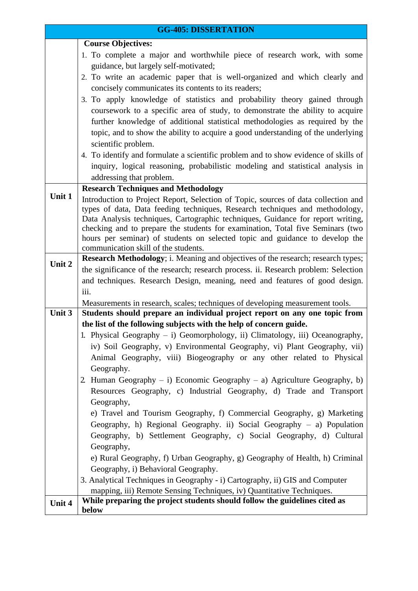|        | <b>GG-405: DISSERTATION</b>                                                                                                                                       |
|--------|-------------------------------------------------------------------------------------------------------------------------------------------------------------------|
|        | <b>Course Objectives:</b>                                                                                                                                         |
|        | 1. To complete a major and worthwhile piece of research work, with some                                                                                           |
|        | guidance, but largely self-motivated;                                                                                                                             |
|        | 2. To write an academic paper that is well-organized and which clearly and                                                                                        |
|        | concisely communicates its contents to its readers;                                                                                                               |
|        | 3. To apply knowledge of statistics and probability theory gained through                                                                                         |
|        | course work to a specific area of study, to demonstrate the ability to acquire                                                                                    |
|        | further knowledge of additional statistical methodologies as required by the                                                                                      |
|        | topic, and to show the ability to acquire a good understanding of the underlying                                                                                  |
|        | scientific problem.                                                                                                                                               |
|        | 4. To identify and formulate a scientific problem and to show evidence of skills of                                                                               |
|        | inquiry, logical reasoning, probabilistic modeling and statistical analysis in                                                                                    |
|        | addressing that problem.                                                                                                                                          |
|        | <b>Research Techniques and Methodology</b>                                                                                                                        |
| Unit 1 | Introduction to Project Report, Selection of Topic, sources of data collection and                                                                                |
|        | types of data, Data feeding techniques, Research techniques and methodology,                                                                                      |
|        | Data Analysis techniques, Cartographic techniques, Guidance for report writing,<br>checking and to prepare the students for examination, Total five Seminars (two |
|        | hours per seminar) of students on selected topic and guidance to develop the                                                                                      |
|        | communication skill of the students.                                                                                                                              |
| Unit 2 | <b>Research Methodology</b> ; i. Meaning and objectives of the research; research types;                                                                          |
|        | the significance of the research; research process. ii. Research problem: Selection                                                                               |
|        | and techniques. Research Design, meaning, need and features of good design.                                                                                       |
|        | iii.                                                                                                                                                              |
|        | Measurements in research, scales; techniques of developing measurement tools.                                                                                     |
| Unit 3 | Students should prepare an individual project report on any one topic from                                                                                        |
|        | the list of the following subjects with the help of concern guide.                                                                                                |
|        | 1. Physical Geography - i) Geomorphology, ii) Climatology, iii) Oceanography,                                                                                     |
|        | iv) Soil Geography, v) Environmental Geography, vi) Plant Geography, vii)                                                                                         |
|        | Animal Geography, viii) Biogeography or any other related to Physical                                                                                             |
|        | Geography.                                                                                                                                                        |
|        | 2. Human Geography – i) Economic Geography – a) Agriculture Geography, b)                                                                                         |
|        | Resources Geography, c) Industrial Geography, d) Trade and Transport                                                                                              |
|        | Geography,                                                                                                                                                        |
|        | e) Travel and Tourism Geography, f) Commercial Geography, g) Marketing                                                                                            |
|        | Geography, h) Regional Geography. ii) Social Geography $-$ a) Population                                                                                          |
|        | Geography, b) Settlement Geography, c) Social Geography, d) Cultural                                                                                              |
|        | Geography,                                                                                                                                                        |
|        | e) Rural Geography, f) Urban Geography, g) Geography of Health, h) Criminal                                                                                       |
|        | Geography, i) Behavioral Geography.                                                                                                                               |
|        | 3. Analytical Techniques in Geography - i) Cartography, ii) GIS and Computer                                                                                      |
|        | mapping, iii) Remote Sensing Techniques, iv) Quantitative Techniques.<br>While preparing the project students should follow the guidelines cited as               |
| Unit 4 | below                                                                                                                                                             |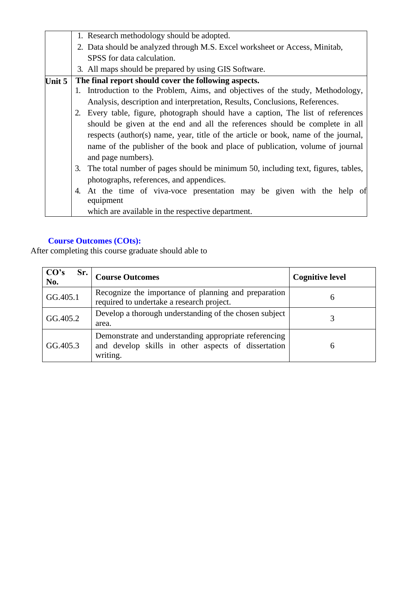| 2. Data should be analyzed through M.S. Excel worksheet or Access, Minitab,        |
|------------------------------------------------------------------------------------|
|                                                                                    |
|                                                                                    |
|                                                                                    |
| Introduction to the Problem, Aims, and objectives of the study, Methodology,       |
| Analysis, description and interpretation, Results, Conclusions, References.        |
| 2. Every table, figure, photograph should have a caption, The list of references   |
| should be given at the end and all the references should be complete in all        |
| respects (author(s) name, year, title of the article or book, name of the journal, |
| name of the publisher of the book and place of publication, volume of journal      |
|                                                                                    |
| The total number of pages should be minimum 50, including text, figures, tables,   |
|                                                                                    |
| At the time of viva-voce presentation may be given with the help of                |
|                                                                                    |
|                                                                                    |
|                                                                                    |

| CO's<br>Sr.<br>No. | <b>Course Outcomes</b>                                                                                                   | <b>Cognitive level</b> |
|--------------------|--------------------------------------------------------------------------------------------------------------------------|------------------------|
| GG.405.1           | Recognize the importance of planning and preparation<br>required to undertake a research project.                        | 6                      |
| GG.405.2           | Develop a thorough understanding of the chosen subject<br>area.                                                          |                        |
| GG.405.3           | Demonstrate and understanding appropriate referencing<br>and develop skills in other aspects of dissertation<br>writing. | h                      |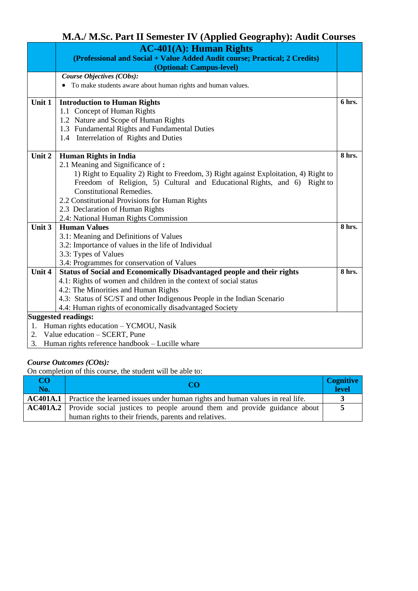# **M.A./ M.Sc. Part II Semester IV (Applied Geography): Audit Courses**

|        | <b>AC-401(A): Human Rights</b>                                                       |        |  |
|--------|--------------------------------------------------------------------------------------|--------|--|
|        | (Professional and Social + Value Added Audit course; Practical; 2 Credits)           |        |  |
|        | (Optional: Campus-level)                                                             |        |  |
|        | Course Objectives (CObs):                                                            |        |  |
|        | • To make students aware about human rights and human values.                        |        |  |
|        |                                                                                      |        |  |
| Unit 1 | <b>Introduction to Human Rights</b>                                                  | 6 hrs. |  |
|        | 1.1 Concept of Human Rights                                                          |        |  |
|        | 1.2 Nature and Scope of Human Rights                                                 |        |  |
|        | 1.3 Fundamental Rights and Fundamental Duties                                        |        |  |
|        | 1.4 Interrelation of Rights and Duties                                               |        |  |
|        |                                                                                      |        |  |
| Unit 2 | <b>Human Rights in India</b>                                                         | 8 hrs. |  |
|        | 2.1 Meaning and Significance of:                                                     |        |  |
|        | 1) Right to Equality 2) Right to Freedom, 3) Right against Exploitation, 4) Right to |        |  |
|        | Freedom of Religion, 5) Cultural and Educational Rights, and 6) Right to             |        |  |
|        | <b>Constitutional Remedies.</b>                                                      |        |  |
|        | 2.2 Constitutional Provisions for Human Rights                                       |        |  |
|        | 2.3 Declaration of Human Rights                                                      |        |  |
|        | 2.4: National Human Rights Commission                                                |        |  |
| Unit 3 | <b>Human Values</b>                                                                  | 8 hrs. |  |
|        | 3.1: Meaning and Definitions of Values                                               |        |  |
|        | 3.2: Importance of values in the life of Individual                                  |        |  |
|        | 3.3: Types of Values                                                                 |        |  |
|        | 3.4: Programmes for conservation of Values                                           |        |  |
| Unit 4 | Status of Social and Economically Disadvantaged people and their rights              | 8 hrs. |  |
|        | 4.1: Rights of women and children in the context of social status                    |        |  |
|        | 4.2: The Minorities and Human Rights                                                 |        |  |
|        | 4.3: Status of SC/ST and other Indigenous People in the Indian Scenario              |        |  |
|        | 4.4: Human rights of economically disadvantaged Society                              |        |  |
|        | <b>Suggested readings:</b>                                                           |        |  |
|        | 1. Human rights education - YCMOU, Nasik                                             |        |  |
|        | 2. Value education - SCERT, Pune                                                     |        |  |
|        | 3. Human rights reference handbook - Lucille whare                                   |        |  |

#### *Course Outcomes (COts):*

| CO<br>No. |                                                                                               | <b>Cognitive</b><br><b>level</b> |
|-----------|-----------------------------------------------------------------------------------------------|----------------------------------|
|           | <b>AC401A.1</b> Practice the learned issues under human rights and human values in real life. |                                  |
|           | <b>AC401A.2</b> Provide social justices to people around them and provide guidance about      |                                  |
|           | human rights to their friends, parents and relatives.                                         |                                  |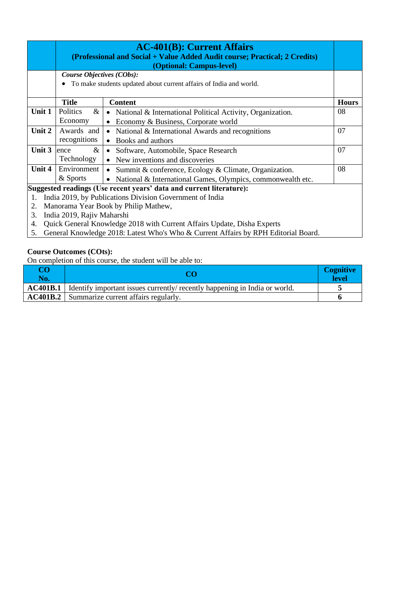|                                                                     |                                                                                    | <b>AC-401(B): Current Affairs</b><br>(Professional and Social + Value Added Audit course; Practical; 2 Credits)<br>(Optional: Campus-level) |              |  |
|---------------------------------------------------------------------|------------------------------------------------------------------------------------|---------------------------------------------------------------------------------------------------------------------------------------------|--------------|--|
|                                                                     | Course Objectives (CObs):                                                          |                                                                                                                                             |              |  |
|                                                                     |                                                                                    | • To make students updated about current affairs of India and world.                                                                        |              |  |
|                                                                     | <b>Title</b>                                                                       | <b>Content</b>                                                                                                                              | <b>Hours</b> |  |
| Unit 1                                                              | Politics<br>$\&$                                                                   | National & International Political Activity, Organization.<br>$\bullet$                                                                     | 08           |  |
|                                                                     | Economy                                                                            | Economy & Business, Corporate world                                                                                                         |              |  |
| Unit 2                                                              | Awards and                                                                         | National & International Awards and recognitions                                                                                            | 07           |  |
|                                                                     | recognitions                                                                       | Books and authors<br>$\bullet$                                                                                                              |              |  |
| Unit 3                                                              | $\&$<br>ence                                                                       | Software, Automobile, Space Research<br>$\bullet$                                                                                           | 07           |  |
|                                                                     | Technology                                                                         | New inventions and discoveries<br>$\bullet$                                                                                                 |              |  |
| Unit 4                                                              | Environment                                                                        | Summit & conference, Ecology & Climate, Organization.<br>$\bullet$                                                                          | 08           |  |
|                                                                     | & Sports                                                                           | National & International Games, Olympics, commonwealth etc.                                                                                 |              |  |
| Suggested readings (Use recent years' data and current literature): |                                                                                    |                                                                                                                                             |              |  |
| 1.                                                                  | India 2019, by Publications Division Government of India                           |                                                                                                                                             |              |  |
| 2.                                                                  | Manorama Year Book by Philip Mathew,                                               |                                                                                                                                             |              |  |
|                                                                     | India 2019, Rajiv Maharshi<br>3.                                                   |                                                                                                                                             |              |  |
| 4.                                                                  | Quick General Knowledge 2018 with Current Affairs Update, Disha Experts            |                                                                                                                                             |              |  |
| 5.                                                                  | General Knowledge 2018: Latest Who's Who & Current Affairs by RPH Editorial Board. |                                                                                                                                             |              |  |

| CO<br>No.       |                                                                            | <b>Cognitive</b><br>level |
|-----------------|----------------------------------------------------------------------------|---------------------------|
| <b>AC401B.1</b> | Identify important issues currently/ recently happening in India or world. |                           |
|                 | <b>AC401B.2</b> Summarize current affairs regularly.                       |                           |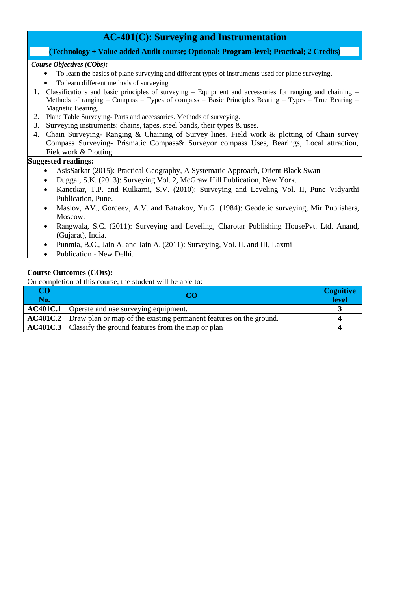# **AC-401(C): Surveying and Instrumentation**

#### **(Technology + Value added Audit course; Optional: Program-level; Practical; 2 Credits)**

#### *Course Objectives (CObs):*

- To learn the basics of plane surveying and different types of instruments used for plane surveying.
- To learn different methods of surveying
- 1. Classifications and basic principles of surveying Equipment and accessories for ranging and chaining Methods of ranging – Compass – Types of compass – Basic Principles Bearing – Types – True Bearing – Magnetic Bearing.
- 2. Plane Table Surveying- Parts and accessories. Methods of surveying.
- 3. Surveying instruments: chains, tapes, steel bands, their types & uses.
- 4. Chain Surveying- Ranging & Chaining of Survey lines. Field work & plotting of Chain survey Compass Surveying- Prismatic Compass& Surveyor compass Uses, Bearings, Local attraction, Fieldwork & Plotting.

#### **Suggested readings:**

- AsisSarkar (2015): Practical Geography, A Systematic Approach, Orient Black Swan
- Duggal, S.K. (2013): Surveying Vol. 2, McGraw Hill Publication, New York.
- Kanetkar, T.P. and Kulkarni, S.V. (2010): Surveying and Leveling Vol. II, Pune Vidyarthi Publication, Pune.
- Maslov, AV., Gordeev, A.V. and Batrakov, Yu.G. (1984): Geodetic surveying, Mir Publishers, Moscow.
- Rangwala, S.C. (2011): Surveying and Leveling, Charotar Publishing HousePvt. Ltd. Anand, (Gujarat), India.
- Punmia, B.C., Jain A. and Jain A. (2011): Surveying, Vol. II. and III, Laxmi
- Publication New Delhi.

#### **Course Outcomes (COts):**

| CO<br>No. | ററ                                                                                 | <b>Cognitive</b><br>level |
|-----------|------------------------------------------------------------------------------------|---------------------------|
|           | <b>AC401C.1</b> Operate and use surveying equipment.                               |                           |
|           | <b>AC401C.2</b> Draw plan or map of the existing permanent features on the ground. |                           |
|           | <b>AC401C.3</b> Classify the ground features from the map or plan                  |                           |